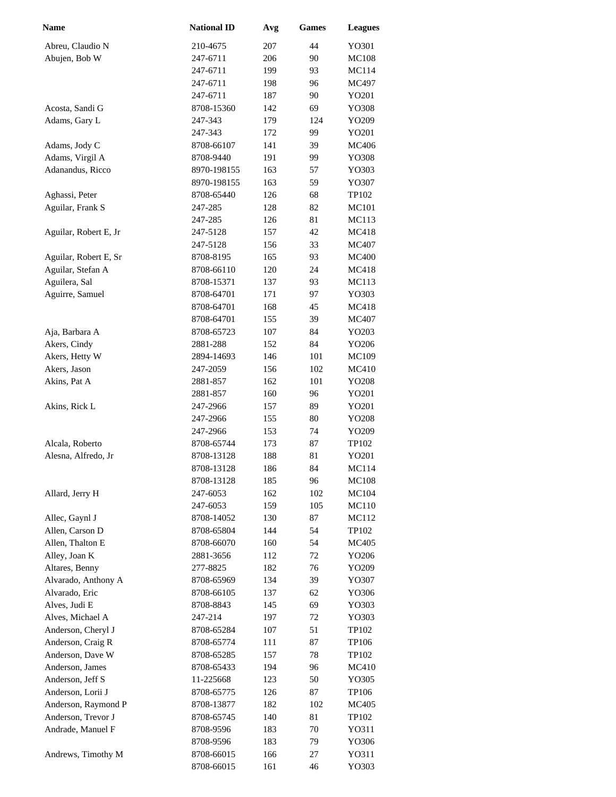| Name                                   | <b>National ID</b>       | Avg        | <b>Games</b> | <b>Leagues</b> |
|----------------------------------------|--------------------------|------------|--------------|----------------|
| Abreu, Claudio N                       | 210-4675                 | 207        | 44           | YO301          |
| Abujen, Bob W                          | 247-6711                 | 206        | 90           | <b>MC108</b>   |
|                                        | 247-6711                 | 199        | 93           | MC114          |
|                                        | 247-6711                 | 198        | 96           | MC497          |
|                                        | 247-6711                 | 187        | 90           | YO201          |
| Acosta, Sandi G                        | 8708-15360               | 142        | 69           | YO308          |
| Adams, Gary L                          | 247-343                  | 179        | 124          | YO209          |
|                                        | 247-343                  | 172        | 99           | YO201          |
| Adams, Jody C                          | 8708-66107               | 141        | 39           | <b>MC406</b>   |
| Adams, Virgil A                        | 8708-9440                | 191        | 99           | YO308          |
| Adanandus, Ricco                       | 8970-198155              | 163        | 57           | YO303          |
|                                        | 8970-198155              | 163        | 59           | YO307          |
| Aghassi, Peter                         | 8708-65440               | 126        | 68           | TP102          |
| Aguilar, Frank S                       | 247-285                  | 128        | 82           | MC101          |
|                                        | 247-285                  | 126        | 81           | MC113          |
| Aguilar, Robert E, Jr                  | 247-5128                 | 157        | 42           | <b>MC418</b>   |
|                                        | 247-5128                 | 156        | 33           | MC407          |
| Aguilar, Robert E, Sr                  | 8708-8195                | 165        | 93           | <b>MC400</b>   |
| Aguilar, Stefan A                      | 8708-66110               | 120        | 24           | MC418          |
| Aguilera, Sal                          | 8708-15371               | 137        | 93           | MC113          |
| Aguirre, Samuel                        | 8708-64701               | 171        | 97           | YO303          |
|                                        | 8708-64701               | 168        | 45           | MC418          |
|                                        | 8708-64701               | 155        | 39           | MC407          |
| Aja, Barbara A                         | 8708-65723               | 107        | 84           | YO203          |
| Akers, Cindy                           | 2881-288                 | 152        | 84           | YO206          |
| Akers, Hetty W                         | 2894-14693               | 146        | 101          | MC109          |
| Akers, Jason                           | 247-2059                 | 156        | 102          | MC410          |
| Akins, Pat A                           | 2881-857                 | 162        | 101          | YO208          |
|                                        | 2881-857                 | 160        | 96           | YO201          |
| Akins, Rick L                          | 247-2966                 | 157        | 89           | YO201          |
|                                        | 247-2966                 | 155        | 80           | YO208          |
|                                        | 247-2966                 | 153        | 74           | YO209          |
| Alcala, Roberto<br>Alesna, Alfredo, Jr | 8708-65744<br>8708-13128 | 173<br>188 | 87<br>81     | TP102<br>YO201 |
|                                        | 8708-13128               | 186        | 84           | MC114          |
|                                        | 8708-13128               | 185        | 96           | <b>MC108</b>   |
| Allard, Jerry H                        | 247-6053                 | 162        | 102          | MC104          |
|                                        | 247-6053                 | 159        | 105          | MC110          |
| Allec, Gaynl J                         | 8708-14052               | 130        | 87           | MC112          |
| Allen, Carson D                        | 8708-65804               | 144        | 54           | TP102          |
| Allen, Thalton E                       | 8708-66070               | 160        | 54           | MC405          |
| Alley, Joan K                          | 2881-3656                | 112        | 72           | YO206          |
| Altares, Benny                         | 277-8825                 | 182        | 76           | YO209          |
| Alvarado, Anthony A                    | 8708-65969               | 134        | 39           | YO307          |
| Alvarado, Eric                         | 8708-66105               | 137        | 62           | YO306          |
| Alves, Judi E                          | 8708-8843                | 145        | 69           | YO303          |
| Alves, Michael A                       | 247-214                  | 197        | 72           | YO303          |
| Anderson, Cheryl J                     | 8708-65284               | 107        | 51           | TP102          |
| Anderson, Craig R                      | 8708-65774               | 111        | 87           | TP106          |
| Anderson, Dave W                       | 8708-65285               | 157        | 78           | TP102          |
| Anderson, James                        | 8708-65433               | 194        | 96           | MC410          |
| Anderson, Jeff S                       | 11-225668                | 123        | 50           | YO305          |
| Anderson, Lorii J                      | 8708-65775               | 126        | 87           | TP106          |
| Anderson, Raymond P                    | 8708-13877               | 182        | 102          | MC405          |
| Anderson, Trevor J                     | 8708-65745               | 140        | 81           | TP102          |
| Andrade, Manuel F                      | 8708-9596                | 183        | 70           | Y0311          |
|                                        | 8708-9596                | 183        | 79           | YO306          |
| Andrews, Timothy M                     | 8708-66015               | 166        | 27           | YO311          |
|                                        | 8708-66015               | 161        | 46           | YO303          |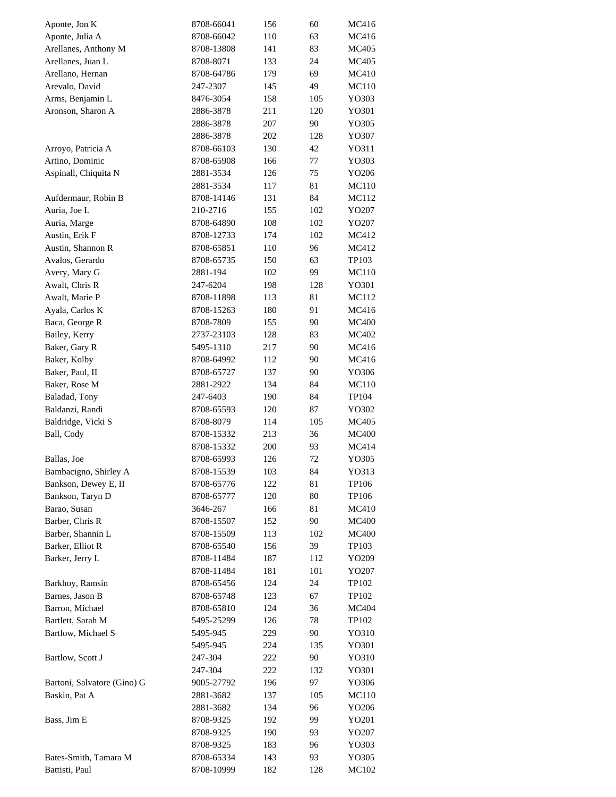| Aponte, Jon K               | 8708-66041 | 156 | 60  | MC416        |
|-----------------------------|------------|-----|-----|--------------|
| Aponte, Julia A             | 8708-66042 | 110 | 63  | MC416        |
| Arellanes, Anthony M        | 8708-13808 | 141 | 83  | MC405        |
| Arellanes, Juan L           | 8708-8071  | 133 | 24  | MC405        |
| Arellano, Hernan            | 8708-64786 | 179 | 69  | MC410        |
| Arevalo, David              | 247-2307   | 145 | 49  | MC110        |
| Arms, Benjamin L            | 8476-3054  | 158 | 105 | YO303        |
| Aronson, Sharon A           | 2886-3878  | 211 | 120 | YO301        |
|                             | 2886-3878  | 207 | 90  | YO305        |
|                             | 2886-3878  | 202 | 128 | YO307        |
| Arroyo, Patricia A          | 8708-66103 | 130 | 42  | Y0311        |
| Artino, Dominic             | 8708-65908 | 166 | 77  | YO303        |
| Aspinall, Chiquita N        | 2881-3534  | 126 | 75  | YO206        |
|                             | 2881-3534  | 117 | 81  | MC110        |
| Aufdermaur, Robin B         | 8708-14146 | 131 | 84  | MC112        |
| Auria, Joe L                | 210-2716   | 155 | 102 | YO207        |
|                             |            |     |     |              |
| Auria, Marge                | 8708-64890 | 108 | 102 | YO207        |
| Austin, Erik F              | 8708-12733 | 174 | 102 | MC412        |
| Austin, Shannon R           | 8708-65851 | 110 | 96  | MC412        |
| Avalos, Gerardo             | 8708-65735 | 150 | 63  | TP103        |
| Avery, Mary G               | 2881-194   | 102 | 99  | MC110        |
| Awalt, Chris R              | 247-6204   | 198 | 128 | YO301        |
| Awalt, Marie P              | 8708-11898 | 113 | 81  | MC112        |
| Ayala, Carlos K             | 8708-15263 | 180 | 91  | MC416        |
| Baca, George R              | 8708-7809  | 155 | 90  | <b>MC400</b> |
| Bailey, Kerry               | 2737-23103 | 128 | 83  | MC402        |
| Baker, Gary R               | 5495-1310  | 217 | 90  | MC416        |
| Baker, Kolby                | 8708-64992 | 112 | 90  | MC416        |
| Baker, Paul, II             | 8708-65727 | 137 | 90  | YO306        |
| Baker, Rose M               | 2881-2922  | 134 | 84  | MC110        |
| Baladad, Tony               | 247-6403   | 190 | 84  | TP104        |
| Baldanzi, Randi             | 8708-65593 | 120 | 87  | YO302        |
| Baldridge, Vicki S          | 8708-8079  | 114 | 105 | MC405        |
| Ball, Cody                  | 8708-15332 | 213 | 36  | <b>MC400</b> |
|                             | 8708-15332 | 200 | 93  | MC414        |
| Ballas, Joe                 | 8708-65993 | 126 | 72  | YO305        |
| Bambacigno, Shirley A       | 8708-15539 | 103 | 84  | YO313        |
| Bankson, Dewey E, II        | 8708-65776 | 122 | 81  | TP106        |
| Bankson, Taryn D            | 8708-65777 | 120 | 80  | TP106        |
| Barao, Susan                | 3646-267   | 166 | 81  | MC410        |
| Barber, Chris R             | 8708-15507 | 152 | 90  | <b>MC400</b> |
| Barber, Shannin L           | 8708-15509 | 113 | 102 | <b>MC400</b> |
| Barker, Elliot R            | 8708-65540 | 156 | 39  | TP103        |
| Barker, Jerry L             | 8708-11484 | 187 | 112 | YO209        |
|                             | 8708-11484 | 181 | 101 | YO207        |
| Barkhoy, Ramsin             | 8708-65456 | 124 | 24  | TP102        |
| Barnes, Jason B             | 8708-65748 | 123 | 67  | TP102        |
| Barron, Michael             | 8708-65810 | 124 | 36  | MC404        |
| Bartlett, Sarah M           | 5495-25299 | 126 | 78  | TP102        |
| Bartlow, Michael S          | 5495-945   | 229 | 90  | YO310        |
|                             | 5495-945   | 224 | 135 | YO301        |
| Bartlow, Scott J            | 247-304    | 222 | 90  | YO310        |
|                             | 247-304    | 222 | 132 | YO301        |
| Bartoni, Salvatore (Gino) G | 9005-27792 | 196 | 97  | YO306        |
| Baskin, Pat A               | 2881-3682  | 137 | 105 | MC110        |
|                             | 2881-3682  | 134 | 96  | YO206        |
| Bass, Jim E                 | 8708-9325  | 192 | 99  | YO201        |
|                             |            | 190 | 93  |              |
|                             | 8708-9325  |     | 96  | YO207        |
|                             | 8708-9325  | 183 |     | YO303        |
| Bates-Smith, Tamara M       | 8708-65334 | 143 | 93  | YO305        |
| Battisti, Paul              | 8708-10999 | 182 | 128 | MC102        |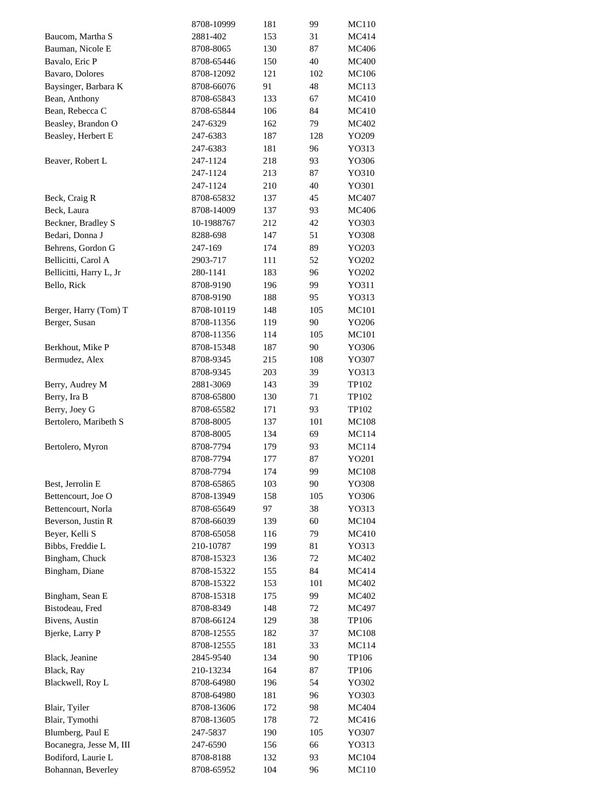|                         | 8708-10999              | 181        | 99  | MC110        |
|-------------------------|-------------------------|------------|-----|--------------|
| Baucom, Martha S        | 2881-402                | 153        | 31  | MC414        |
| Bauman, Nicole E        | 8708-8065               | 130        | 87  | MC406        |
| Bavalo, Eric P          | 8708-65446              | 150        | 40  | <b>MC400</b> |
| Bavaro, Dolores         | 8708-12092              | 121        | 102 | <b>MC106</b> |
| Baysinger, Barbara K    | 8708-66076              | 91         | 48  | <b>MC113</b> |
| Bean, Anthony           | 8708-65843              | 133        | 67  | MC410        |
| Bean, Rebecca C         | 8708-65844              | 106        | 84  | MC410        |
| Beasley, Brandon O      | 247-6329                | 162        | 79  | MC402        |
| Beasley, Herbert E      | 247-6383                | 187        | 128 | YO209        |
|                         | 247-6383                | 181        | 96  | YO313        |
| Beaver, Robert L        | 247-1124                | 218        | 93  | YO306        |
|                         | 247-1124                | 213        | 87  | YO310        |
|                         | 247-1124                | 210        | 40  | YO301        |
| Beck, Craig R           | 8708-65832              | 137        | 45  | MC407        |
| Beck, Laura             | 8708-14009              | 137        | 93  | MC406        |
| Beckner, Bradley S      | 10-1988767              | 212        | 42  | YO303        |
| Bedari, Donna J         | 8288-698                | 147        | 51  | YO308        |
| Behrens, Gordon G       |                         |            |     |              |
|                         | 247-169                 | 174        | 89  | YO203        |
| Bellicitti, Carol A     | 2903-717                | 111        | 52  | YO202        |
| Bellicitti, Harry L, Jr | 280-1141                | 183        | 96  | YO202        |
| Bello, Rick             | 8708-9190               | 196        | 99  | YO311        |
|                         | 8708-9190               | 188        | 95  | YO313        |
| Berger, Harry (Tom) T   | 8708-10119              | 148        | 105 | MC101        |
| Berger, Susan           | 8708-11356              | 119        | 90  | YO206        |
|                         | 8708-11356              | 114        | 105 | MC101        |
| Berkhout, Mike P        | 8708-15348              | 187        | 90  | YO306        |
| Bermudez, Alex          | 8708-9345               | 215        | 108 | YO307        |
|                         | 8708-9345               | 203        | 39  | YO313        |
| Berry, Audrey M         | 2881-3069               | 143        | 39  | TP102        |
| Berry, Ira B            | 8708-65800              | 130        | 71  | TP102        |
| Berry, Joey G           | 8708-65582              | 171        | 93  | TP102        |
| Bertolero, Maribeth S   | 8708-8005               | 137        | 101 | <b>MC108</b> |
|                         | 8708-8005               | 134        | 69  | MC114        |
| Bertolero, Myron        | 8708-7794               | 179        | 93  | MC114        |
|                         | 8708-7794               | 177        | 87  | YO201        |
|                         | 8708-7794               | 174        | 99  | <b>MC108</b> |
| Best, Jerrolin E        | 8708-65865              | 103        | 90  | YO308        |
| Bettencourt, Joe O      | 8708-13949              | 158        | 105 | YO306        |
| Bettencourt, Norla      | 8708-65649              | 97         | 38  | YO313        |
| Beverson, Justin R      | 8708-66039              | 139        | 60  | MC104        |
| Beyer, Kelli S          | 8708-65058              | 116        | 79  | MC410        |
| Bibbs, Freddie L        | 210-10787               | 199        | 81  | YO313        |
| Bingham, Chuck          | 8708-15323              | 136        | 72  | MC402        |
| Bingham, Diane          | 8708-15322              | 155        | 84  | MC414        |
|                         | 8708-15322              | 153        | 101 | MC402        |
| Bingham, Sean E         | 8708-15318              | 175        | 99  | MC402        |
| Bistodeau, Fred         | 8708-8349               | 148        | 72  | MC497        |
| Bivens, Austin          | 8708-66124              | 129        | 38  | TP106        |
| Bjerke, Larry P         | 8708-12555              | 182        | 37  | <b>MC108</b> |
|                         | 8708-12555              | 181        | 33  | MC114        |
| Black, Jeanine          | 2845-9540               | 134        | 90  | TP106        |
| Black, Ray              | 210-13234               | 164        | 87  | TP106        |
| Blackwell, Roy L        | 8708-64980              | 196        | 54  | YO302        |
|                         | 8708-64980              | 181        | 96  | YO303        |
| Blair, Tyiler           | 8708-13606              | 172        | 98  | MC404        |
| Blair, Tymothi          | 8708-13605              | 178        | 72  | MC416        |
| Blumberg, Paul E        | 247-5837                | 190        | 105 | YO307        |
| Bocanegra, Jesse M, III | 247-6590                | 156        | 66  | YO313        |
| Bodiford, Laurie L      |                         |            | 93  |              |
| Bohannan, Beverley      | 8708-8188<br>8708-65952 | 132<br>104 | 96  | MC104        |
|                         |                         |            |     | MC110        |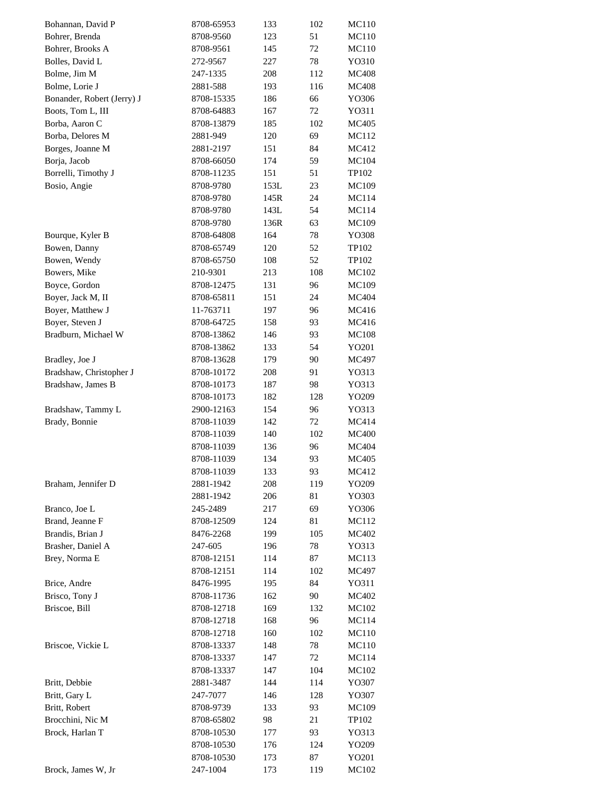| Bohannan, David P          | 8708-65953 | 133  | 102       | MC110        |
|----------------------------|------------|------|-----------|--------------|
| Bohrer, Brenda             | 8708-9560  | 123  | 51        | MC110        |
| Bohrer, Brooks A           | 8708-9561  | 145  | 72        | MC110        |
| Bolles, David L            | 272-9567   | 227  | 78        | YO310        |
| Bolme, Jim M               | 247-1335   | 208  | 112       | <b>MC408</b> |
| Bolme, Lorie J             | 2881-588   | 193  | 116       | <b>MC408</b> |
| Bonander, Robert (Jerry) J | 8708-15335 | 186  | 66        | YO306        |
| Boots, Tom L, III          | 8708-64883 | 167  | 72        | Y0311        |
| Borba, Aaron C             | 8708-13879 | 185  | 102       | <b>MC405</b> |
| Borba, Delores M           | 2881-949   | 120  | 69        | MC112        |
| Borges, Joanne M           | 2881-2197  | 151  | 84        | MC412        |
| Borja, Jacob               | 8708-66050 | 174  | 59        | MC104        |
| Borrelli, Timothy J        | 8708-11235 | 151  | 51        | TP102        |
| Bosio, Angie               | 8708-9780  | 153L | 23        | MC109        |
|                            | 8708-9780  | 145R | 24        | MC114        |
|                            | 8708-9780  | 143L | 54        | MC114        |
|                            | 8708-9780  | 136R | 63        | MC109        |
| Bourque, Kyler B           | 8708-64808 | 164  | 78        | YO308        |
| Bowen, Danny               | 8708-65749 | 120  | 52        | TP102        |
| Bowen, Wendy               | 8708-65750 | 108  | 52        | TP102        |
| Bowers, Mike               | 210-9301   | 213  | 108       | MC102        |
| Boyce, Gordon              | 8708-12475 | 131  | 96        | <b>MC109</b> |
| Boyer, Jack M, II          | 8708-65811 | 151  | 24        | MC404        |
| Boyer, Matthew J           | 11-763711  | 197  | 96        | MC416        |
| Boyer, Steven J            | 8708-64725 | 158  | 93        | MC416        |
| Bradburn, Michael W        | 8708-13862 | 146  | 93        | <b>MC108</b> |
|                            | 8708-13862 | 133  | 54        | YO201        |
| Bradley, Joe J             | 8708-13628 | 179  | 90        | MC497        |
| Bradshaw, Christopher J    | 8708-10172 | 208  | 91        | YO313        |
| Bradshaw, James B          | 8708-10173 | 187  | 98        | YO313        |
|                            | 8708-10173 | 182  | 128       | YO209        |
| Bradshaw, Tammy L          | 2900-12163 | 154  | 96        | YO313        |
| Brady, Bonnie              | 8708-11039 | 142  | 72        | MC414        |
|                            | 8708-11039 | 140  | 102       | <b>MC400</b> |
|                            | 8708-11039 | 136  | 96        | MC404        |
|                            | 8708-11039 | 134  | 93        | MC405        |
|                            | 8708-11039 | 133  | 93        | MC412        |
| Braham, Jennifer D         | 2881-1942  | 208  | 119       | YO209        |
|                            | 2881-1942  | 206  | 81        | YO303        |
| Branco, Joe L              | 245-2489   | 217  | 69        | YO306        |
| Brand, Jeanne F            | 8708-12509 | 124  | 81        | MC112        |
| Brandis, Brian J           | 8476-2268  | 199  | 105       | MC402        |
| Brasher, Daniel A          | 247-605    | 196  | 78        | YO313        |
| Brey, Norma E              | 8708-12151 | 114  | 87        | MC113        |
|                            | 8708-12151 | 114  | 102       | MC497        |
| Brice, Andre               | 8476-1995  | 195  | 84        | YO311        |
| Brisco, Tony J             | 8708-11736 | 162  | 90        | MC402        |
| Briscoe, Bill              | 8708-12718 | 169  | 132       | MC102        |
|                            | 8708-12718 | 168  | 96        | MC114        |
|                            | 8708-12718 | 160  | 102       | MC110        |
| Briscoe, Vickie L          | 8708-13337 | 148  | 78        | MC110        |
|                            | 8708-13337 | 147  | 72        | MC114        |
|                            | 8708-13337 | 147  | 104       | MC102        |
| Britt, Debbie              | 2881-3487  | 144  | 114       | YO307        |
| Britt, Gary L              |            | 146  |           |              |
| Britt, Robert              | 247-7077   | 133  | 128<br>93 | YO307        |
| Brocchini, Nic M           | 8708-9739  | 98   | 21        | MC109        |
| Brock, Harlan T            | 8708-65802 | 177  | 93        | TP102        |
|                            | 8708-10530 |      | 124       | YO313        |
|                            | 8708-10530 | 176  |           | YO209        |
|                            | 8708-10530 | 173  | 87        | YO201        |
| Brock, James W, Jr         | 247-1004   | 173  | 119       | MC102        |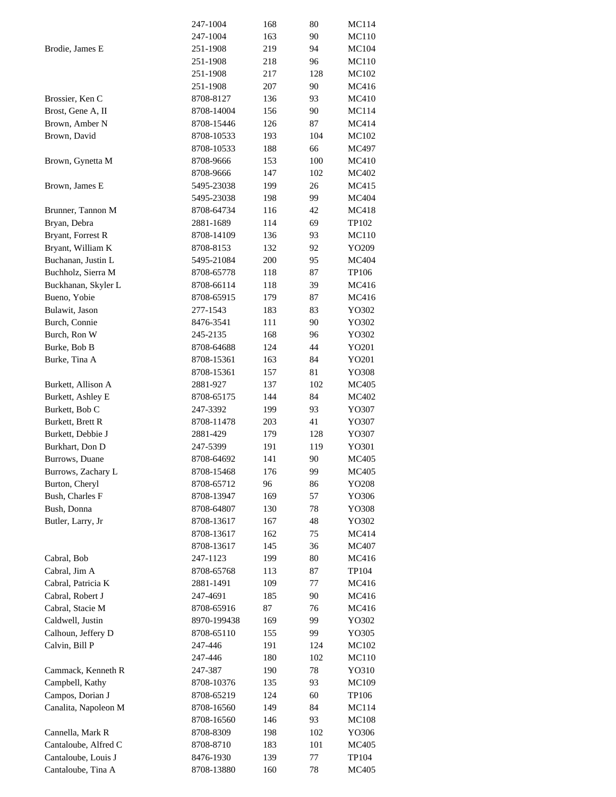|                      | 247-1004    | 168 | 80  | MC114        |
|----------------------|-------------|-----|-----|--------------|
|                      | 247-1004    | 163 | 90  | MC110        |
| Brodie, James E      | 251-1908    | 219 | 94  | MC104        |
|                      | 251-1908    | 218 | 96  | MC110        |
|                      | 251-1908    | 217 | 128 | <b>MC102</b> |
|                      | 251-1908    | 207 | 90  | MC416        |
| Brossier, Ken C      | 8708-8127   | 136 | 93  | MC410        |
| Brost, Gene A, II    | 8708-14004  | 156 | 90  | MC114        |
| Brown, Amber N       | 8708-15446  | 126 | 87  | MC414        |
| Brown, David         | 8708-10533  | 193 | 104 | MC102        |
|                      | 8708-10533  | 188 | 66  | MC497        |
| Brown, Gynetta M     | 8708-9666   | 153 | 100 | MC410        |
|                      | 8708-9666   | 147 | 102 | MC402        |
| Brown, James E       | 5495-23038  | 199 | 26  | MC415        |
|                      | 5495-23038  | 198 | 99  | MC404        |
| Brunner, Tannon M    | 8708-64734  | 116 | 42  | MC418        |
| Bryan, Debra         | 2881-1689   | 114 | 69  | TP102        |
|                      | 8708-14109  | 136 | 93  | MC110        |
| Bryant, Forrest R    |             |     |     | YO209        |
| Bryant, William K    | 8708-8153   | 132 | 92  |              |
| Buchanan, Justin L   | 5495-21084  | 200 | 95  | MC404        |
| Buchholz, Sierra M   | 8708-65778  | 118 | 87  | TP106        |
| Buckhanan, Skyler L  | 8708-66114  | 118 | 39  | MC416        |
| Bueno, Yobie         | 8708-65915  | 179 | 87  | MC416        |
| Bulawit, Jason       | 277-1543    | 183 | 83  | YO302        |
| Burch, Connie        | 8476-3541   | 111 | 90  | YO302        |
| Burch, Ron W         | 245-2135    | 168 | 96  | YO302        |
| Burke, Bob B         | 8708-64688  | 124 | 44  | YO201        |
| Burke, Tina A        | 8708-15361  | 163 | 84  | YO201        |
|                      | 8708-15361  | 157 | 81  | YO308        |
| Burkett, Allison A   | 2881-927    | 137 | 102 | MC405        |
| Burkett, Ashley E    | 8708-65175  | 144 | 84  | MC402        |
| Burkett, Bob C       | 247-3392    | 199 | 93  | YO307        |
| Burkett, Brett R     | 8708-11478  | 203 | 41  | YO307        |
| Burkett, Debbie J    | 2881-429    | 179 | 128 | YO307        |
| Burkhart, Don D      | 247-5399    | 191 | 119 | YO301        |
| Burrows, Duane       | 8708-64692  | 141 | 90  | MC405        |
| Burrows, Zachary L   | 8708-15468  | 176 | 99  | MC405        |
| Burton, Cheryl       | 8708-65712  | 96  | 86  | YO208        |
| Bush, Charles F      | 8708-13947  | 169 | 57  | YO306        |
| Bush, Donna          | 8708-64807  | 130 | 78  | YO308        |
| Butler, Larry, Jr    | 8708-13617  | 167 | 48  | YO302        |
|                      | 8708-13617  | 162 | 75  | MC414        |
|                      | 8708-13617  | 145 | 36  | MC407        |
| Cabral, Bob          | 247-1123    | 199 | 80  | MC416        |
| Cabral, Jim A        | 8708-65768  | 113 | 87  | TP104        |
| Cabral, Patricia K   | 2881-1491   | 109 | 77  | MC416        |
| Cabral, Robert J     | 247-4691    | 185 | 90  | MC416        |
| Cabral, Stacie M     | 8708-65916  | 87  | 76  | MC416        |
| Caldwell, Justin     | 8970-199438 | 169 | 99  | YO302        |
| Calhoun, Jeffery D   | 8708-65110  | 155 | 99  | YO305        |
| Calvin, Bill P       | 247-446     | 191 | 124 | MC102        |
|                      | 247-446     | 180 | 102 | MC110        |
| Cammack, Kenneth R   | 247-387     | 190 | 78  | YO310        |
| Campbell, Kathy      | 8708-10376  | 135 | 93  | MC109        |
| Campos, Dorian J     |             |     |     |              |
|                      | 8708-65219  | 124 | 60  | TP106        |
| Canalita, Napoleon M | 8708-16560  | 149 | 84  | MC114        |
|                      | 8708-16560  | 146 | 93  | <b>MC108</b> |
| Cannella, Mark R     | 8708-8309   | 198 | 102 | YO306        |
| Cantaloube, Alfred C | 8708-8710   | 183 | 101 | MC405        |
| Cantaloube, Louis J  | 8476-1930   | 139 | 77  | TP104        |
| Cantaloube, Tina A   | 8708-13880  | 160 | 78  | MC405        |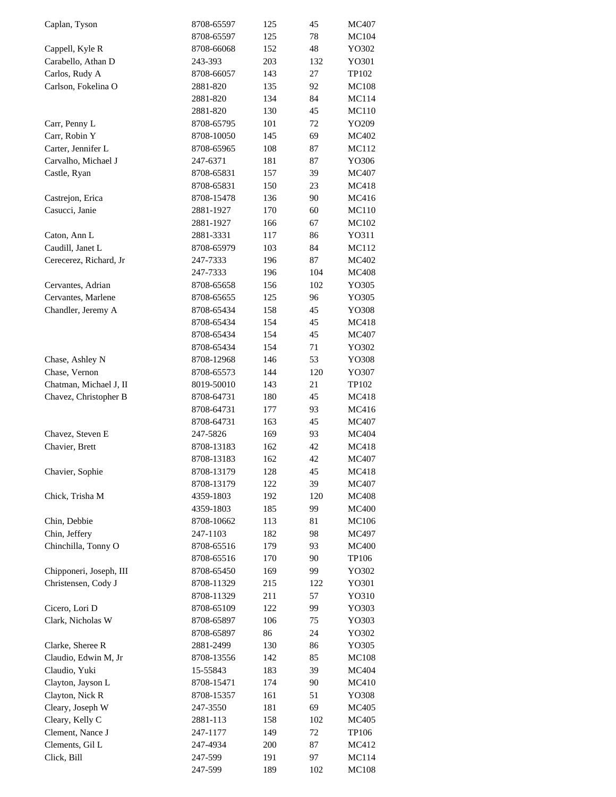| Caplan, Tyson           | 8708-65597 | 125 | 45  | MC407        |
|-------------------------|------------|-----|-----|--------------|
|                         | 8708-65597 | 125 | 78  | MC104        |
| Cappell, Kyle R         | 8708-66068 | 152 | 48  | YO302        |
| Carabello, Athan D      | 243-393    | 203 | 132 | YO301        |
| Carlos, Rudy A          | 8708-66057 | 143 | 27  | TP102        |
| Carlson, Fokelina O     | 2881-820   | 135 | 92  | <b>MC108</b> |
|                         | 2881-820   | 134 | 84  | MC114        |
|                         | 2881-820   | 130 | 45  | MC110        |
| Carr, Penny L           | 8708-65795 | 101 | 72  | YO209        |
| Carr, Robin Y           | 8708-10050 | 145 | 69  | MC402        |
| Carter, Jennifer L      | 8708-65965 | 108 | 87  | MC112        |
| Carvalho, Michael J     | 247-6371   | 181 | 87  | YO306        |
| Castle, Ryan            | 8708-65831 | 157 | 39  | MC407        |
|                         | 8708-65831 | 150 | 23  | MC418        |
| Castrejon, Erica        | 8708-15478 | 136 | 90  | MC416        |
| Casucci, Janie          | 2881-1927  | 170 | 60  | MC110        |
|                         | 2881-1927  | 166 | 67  | MC102        |
| Caton, Ann L            | 2881-3331  | 117 | 86  | YO311        |
| Caudill, Janet L        | 8708-65979 | 103 | 84  | MC112        |
| Cerecerez, Richard, Jr  | 247-7333   | 196 | 87  | MC402        |
|                         |            |     |     | <b>MC408</b> |
|                         | 247-7333   | 196 | 104 |              |
| Cervantes, Adrian       | 8708-65658 | 156 | 102 | YO305        |
| Cervantes, Marlene      | 8708-65655 | 125 | 96  | YO305        |
| Chandler, Jeremy A      | 8708-65434 | 158 | 45  | YO308        |
|                         | 8708-65434 | 154 | 45  | MC418        |
|                         | 8708-65434 | 154 | 45  | MC407        |
|                         | 8708-65434 | 154 | 71  | YO302        |
| Chase, Ashley N         | 8708-12968 | 146 | 53  | YO308        |
| Chase, Vernon           | 8708-65573 | 144 | 120 | YO307        |
| Chatman, Michael J, II  | 8019-50010 | 143 | 21  | TP102        |
| Chavez, Christopher B   | 8708-64731 | 180 | 45  | MC418        |
|                         | 8708-64731 | 177 | 93  | MC416        |
|                         | 8708-64731 | 163 | 45  | MC407        |
| Chavez, Steven E        | 247-5826   | 169 | 93  | MC404        |
| Chavier, Brett          | 8708-13183 | 162 | 42  | MC418        |
|                         | 8708-13183 | 162 | 42  | MC407        |
| Chavier, Sophie         | 8708-13179 | 128 | 45  | MC418        |
|                         | 8708-13179 | 122 | 39  | MC407        |
| Chick, Trisha M         | 4359-1803  | 192 | 120 | MC408        |
|                         | 4359-1803  | 185 | 99  | <b>MC400</b> |
| Chin, Debbie            | 8708-10662 | 113 | 81  | MC106        |
| Chin, Jeffery           | 247-1103   | 182 | 98  | MC497        |
| Chinchilla, Tonny O     | 8708-65516 | 179 | 93  | <b>MC400</b> |
|                         | 8708-65516 | 170 | 90  | TP106        |
| Chipponeri, Joseph, III | 8708-65450 | 169 | 99  | YO302        |
| Christensen, Cody J     | 8708-11329 | 215 | 122 | YO301        |
|                         | 8708-11329 | 211 | 57  | YO310        |
| Cicero, Lori D          | 8708-65109 | 122 | 99  | YO303        |
| Clark, Nicholas W       | 8708-65897 | 106 | 75  | YO303        |
|                         | 8708-65897 | 86  | 24  | YO302        |
| Clarke, Sheree R        | 2881-2499  | 130 | 86  | YO305        |
| Claudio, Edwin M, Jr    | 8708-13556 | 142 | 85  | <b>MC108</b> |
| Claudio, Yuki           | 15-55843   | 183 | 39  | MC404        |
| Clayton, Jayson L       | 8708-15471 | 174 | 90  | MC410        |
| Clayton, Nick R         | 8708-15357 | 161 | 51  | YO308        |
| Cleary, Joseph W        | 247-3550   | 181 | 69  | MC405        |
| Cleary, Kelly C         | 2881-113   | 158 | 102 | MC405        |
| Clement, Nance J        | 247-1177   | 149 | 72  | TP106        |
| Clements, Gil L         | 247-4934   | 200 | 87  | MC412        |
| Click, Bill             | 247-599    | 191 | 97  | MC114        |
|                         | 247-599    | 189 | 102 | MC108        |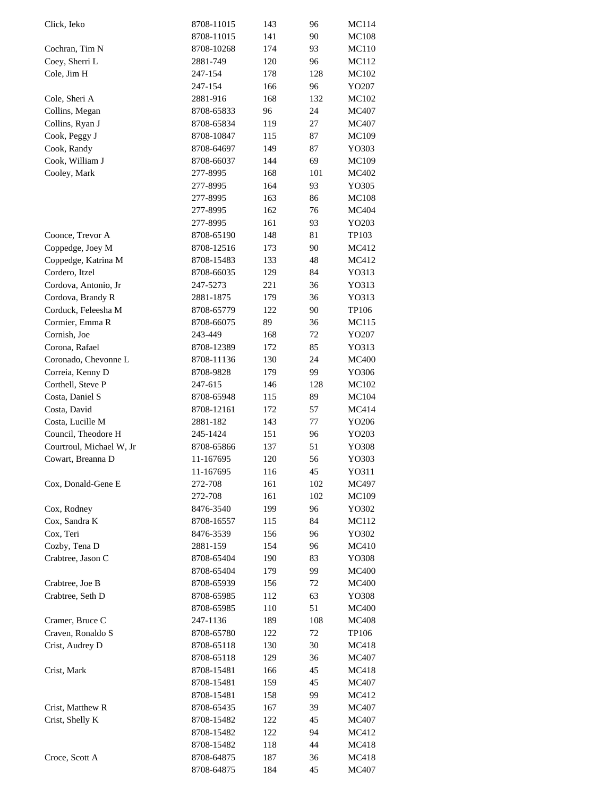| Click, Ieko              | 8708-11015 | 143 | 96  | MC114        |
|--------------------------|------------|-----|-----|--------------|
|                          | 8708-11015 | 141 | 90  | <b>MC108</b> |
| Cochran, Tim N           | 8708-10268 | 174 | 93  | <b>MC110</b> |
| Coey, Sherri L           | 2881-749   | 120 | 96  | MC112        |
| Cole, Jim H              | 247-154    | 178 | 128 | MC102        |
|                          | 247-154    | 166 | 96  | YO207        |
| Cole, Sheri A            | 2881-916   | 168 | 132 | MC102        |
| Collins, Megan           | 8708-65833 | 96  | 24  | MC407        |
| Collins, Ryan J          | 8708-65834 | 119 | 27  | MC407        |
| Cook, Peggy J            | 8708-10847 | 115 | 87  | MC109        |
| Cook, Randy              | 8708-64697 | 149 | 87  | YO303        |
| Cook, William J          | 8708-66037 | 144 | 69  | MC109        |
| Cooley, Mark             | 277-8995   | 168 | 101 | MC402        |
|                          | 277-8995   | 164 | 93  | YO305        |
|                          | 277-8995   | 163 | 86  | <b>MC108</b> |
|                          |            |     | 76  |              |
|                          | 277-8995   | 162 |     | MC404        |
|                          | 277-8995   | 161 | 93  | YO203        |
| Coonce, Trevor A         | 8708-65190 | 148 | 81  | TP103        |
| Coppedge, Joey M         | 8708-12516 | 173 | 90  | MC412        |
| Coppedge, Katrina M      | 8708-15483 | 133 | 48  | MC412        |
| Cordero, Itzel           | 8708-66035 | 129 | 84  | YO313        |
| Cordova, Antonio, Jr     | 247-5273   | 221 | 36  | YO313        |
| Cordova, Brandy R        | 2881-1875  | 179 | 36  | YO313        |
| Corduck, Feleesha M      | 8708-65779 | 122 | 90  | TP106        |
| Cormier, Emma R          | 8708-66075 | 89  | 36  | MC115        |
| Cornish, Joe             | 243-449    | 168 | 72  | YO207        |
| Corona, Rafael           | 8708-12389 | 172 | 85  | YO313        |
| Coronado, Chevonne L     | 8708-11136 | 130 | 24  | <b>MC400</b> |
| Correia, Kenny D         | 8708-9828  | 179 | 99  | YO306        |
| Corthell, Steve P        | 247-615    | 146 | 128 | MC102        |
| Costa, Daniel S          | 8708-65948 | 115 | 89  | MC104        |
| Costa, David             | 8708-12161 | 172 | 57  | MC414        |
| Costa, Lucille M         | 2881-182   | 143 | 77  | YO206        |
| Council, Theodore H      | 245-1424   | 151 | 96  | YO203        |
| Courtroul, Michael W, Jr | 8708-65866 | 137 | 51  | YO308        |
| Cowart, Breanna D        | 11-167695  | 120 | 56  | YO303        |
|                          | 11-167695  | 116 | 45  | YO311        |
| Cox, Donald-Gene E       | 272-708    | 161 | 102 | MC497        |
|                          | 272-708    | 161 | 102 |              |
|                          |            |     |     | MC109        |
| Cox, Rodney              | 8476-3540  | 199 | 96  | YO302        |
| Cox, Sandra K            | 8708-16557 | 115 | 84  | MC112        |
| Cox, Teri                | 8476-3539  | 156 | 96  | YO302        |
| Cozby, Tena D            | 2881-159   | 154 | 96  | MC410        |
| Crabtree, Jason C        | 8708-65404 | 190 | 83  | YO308        |
|                          | 8708-65404 | 179 | 99  | <b>MC400</b> |
| Crabtree, Joe B          | 8708-65939 | 156 | 72  | <b>MC400</b> |
| Crabtree, Seth D         | 8708-65985 | 112 | 63  | YO308        |
|                          | 8708-65985 | 110 | 51  | <b>MC400</b> |
| Cramer, Bruce C          | 247-1136   | 189 | 108 | <b>MC408</b> |
| Craven, Ronaldo S        | 8708-65780 | 122 | 72  | TP106        |
| Crist, Audrey D          | 8708-65118 | 130 | 30  | MC418        |
|                          | 8708-65118 | 129 | 36  | MC407        |
| Crist, Mark              | 8708-15481 | 166 | 45  | MC418        |
|                          | 8708-15481 | 159 | 45  | MC407        |
|                          | 8708-15481 | 158 | 99  | MC412        |
| Crist, Matthew R         | 8708-65435 | 167 | 39  | MC407        |
| Crist, Shelly K          | 8708-15482 | 122 | 45  | MC407        |
|                          | 8708-15482 | 122 | 94  | MC412        |
|                          | 8708-15482 | 118 | 44  | MC418        |
| Croce, Scott A           | 8708-64875 | 187 | 36  | MC418        |
|                          | 8708-64875 | 184 | 45  | MC407        |
|                          |            |     |     |              |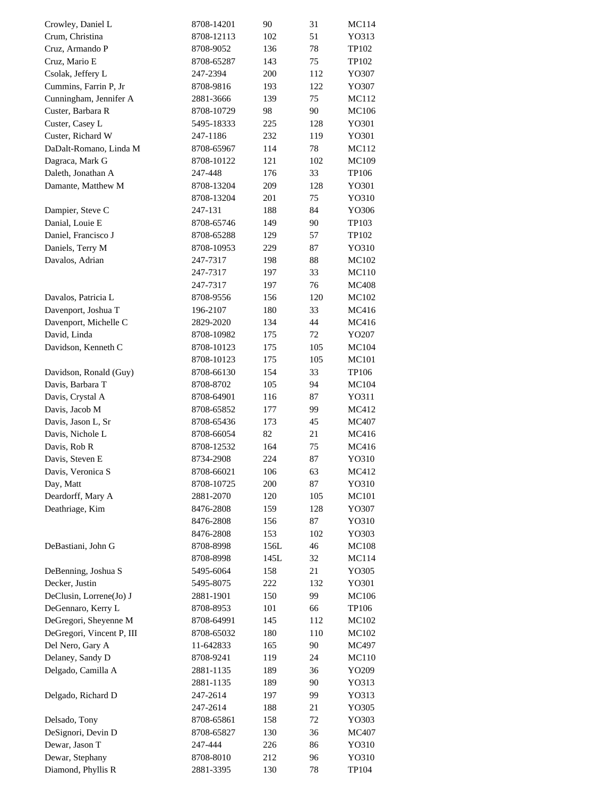| Crowley, Daniel L         | 8708-14201            | 90   | 31  | MC114          |
|---------------------------|-----------------------|------|-----|----------------|
| Crum, Christina           | 8708-12113            | 102  | 51  | YO313          |
| Cruz, Armando P           | 8708-9052             | 136  | 78  | TP102          |
| Cruz, Mario E             | 8708-65287            | 143  | 75  | TP102          |
| Csolak, Jeffery L         | 247-2394              | 200  | 112 | YO307          |
| Cummins, Farrin P, Jr     | 8708-9816             | 193  | 122 | YO307          |
| Cunningham, Jennifer A    | 2881-3666             | 139  | 75  | MC112          |
| Custer, Barbara R         | 8708-10729            | 98   | 90  | MC106          |
| Custer, Casey L           | 5495-18333            | 225  | 128 | YO301          |
| Custer, Richard W         | 247-1186              | 232  | 119 | YO301          |
| DaDalt-Romano, Linda M    | 8708-65967            | 114  | 78  | MC112          |
| Dagraca, Mark G           | 8708-10122            | 121  | 102 | MC109          |
| Daleth, Jonathan A        | 247-448               | 176  | 33  | TP106          |
| Damante, Matthew M        | 8708-13204            | 209  | 128 | YO301          |
|                           | 8708-13204            | 201  | 75  | YO310          |
| Dampier, Steve C          | 247-131               | 188  | 84  | YO306          |
| Danial, Louie E           | 8708-65746            | 149  | 90  | TP103          |
| Daniel, Francisco J       | 8708-65288            | 129  | 57  | TP102          |
| Daniels, Terry M          | 8708-10953            | 229  | 87  | YO310          |
| Davalos, Adrian           | 247-7317              | 198  | 88  | MC102          |
|                           | 247-7317              | 197  | 33  | <b>MC110</b>   |
|                           | 247-7317              | 197  | 76  | <b>MC408</b>   |
| Davalos, Patricia L       |                       | 156  | 120 |                |
|                           | 8708-9556<br>196-2107 | 180  | 33  | MC102<br>MC416 |
| Davenport, Joshua T       |                       |      | 44  |                |
| Davenport, Michelle C     | 2829-2020             | 134  |     | MC416          |
| David, Linda              | 8708-10982            | 175  | 72  | YO207          |
| Davidson, Kenneth C       | 8708-10123            | 175  | 105 | MC104          |
|                           | 8708-10123            | 175  | 105 | MC101          |
| Davidson, Ronald (Guy)    | 8708-66130            | 154  | 33  | TP106          |
| Davis, Barbara T          | 8708-8702             | 105  | 94  | MC104          |
| Davis, Crystal A          | 8708-64901            | 116  | 87  | YO311          |
| Davis, Jacob M            | 8708-65852            | 177  | 99  | MC412          |
| Davis, Jason L, Sr        | 8708-65436            | 173  | 45  | MC407          |
| Davis, Nichole L          | 8708-66054            | 82   | 21  | MC416          |
| Davis, Rob R              | 8708-12532            | 164  | 75  | MC416          |
| Davis, Steven E           | 8734-2908             | 224  | 87  | YO310          |
| Davis, Veronica S         | 8708-66021            | 106  | 63  | MC412          |
| Day, Matt                 | 8708-10725            | 200  | 87  | YO310          |
| Deardorff, Mary A         | 2881-2070             | 120  | 105 | <b>MC101</b>   |
| Deathriage, Kim           | 8476-2808             | 159  | 128 | YO307          |
|                           | 8476-2808             | 156  | 87  | YO310          |
|                           | 8476-2808             | 153  | 102 | YO303          |
| DeBastiani, John G        | 8708-8998             | 156L | 46  | <b>MC108</b>   |
|                           | 8708-8998             | 145L | 32  | MC114          |
| DeBenning, Joshua S       | 5495-6064             | 158  | 21  | YO305          |
| Decker, Justin            | 5495-8075             | 222  | 132 | YO301          |
| DeClusin, Lorrene(Jo) J   | 2881-1901             | 150  | 99  | MC106          |
| DeGennaro, Kerry L        | 8708-8953             | 101  | 66  | TP106          |
| DeGregori, Sheyenne M     | 8708-64991            | 145  | 112 | MC102          |
| DeGregori, Vincent P, III | 8708-65032            | 180  | 110 | MC102          |
| Del Nero, Gary A          | 11-642833             | 165  | 90  | MC497          |
| Delaney, Sandy D          | 8708-9241             | 119  | 24  | MC110          |
| Delgado, Camilla A        | 2881-1135             | 189  | 36  | YO209          |
|                           | 2881-1135             | 189  | 90  | YO313          |
| Delgado, Richard D        | 247-2614              | 197  | 99  | YO313          |
|                           | 247-2614              | 188  | 21  | YO305          |
| Delsado, Tony             | 8708-65861            | 158  | 72  | YO303          |
| DeSignori, Devin D        | 8708-65827            | 130  | 36  | MC407          |
| Dewar, Jason T            | 247-444               | 226  | 86  | YO310          |
| Dewar, Stephany           | 8708-8010             | 212  | 96  | YO310          |
| Diamond, Phyllis R        | 2881-3395             | 130  | 78  | TP104          |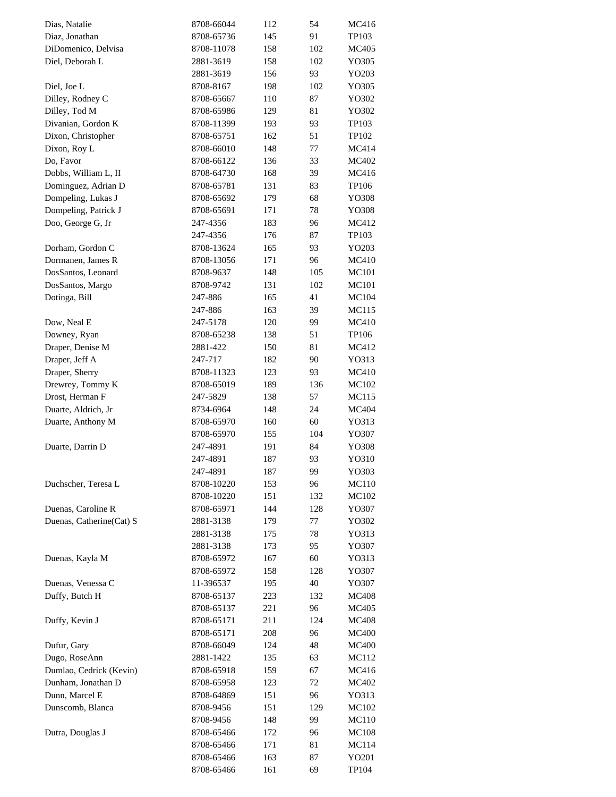| Dias, Natalie            | 8708-66044 | 112 | 54  | MC416        |
|--------------------------|------------|-----|-----|--------------|
| Diaz, Jonathan           | 8708-65736 | 145 | 91  | TP103        |
| DiDomenico, Delvisa      | 8708-11078 | 158 | 102 | <b>MC405</b> |
| Diel, Deborah L          | 2881-3619  | 158 | 102 | YO305        |
|                          | 2881-3619  | 156 | 93  | YO203        |
| Diel, Joe L              | 8708-8167  | 198 | 102 | YO305        |
| Dilley, Rodney C         | 8708-65667 | 110 | 87  | YO302        |
| Dilley, Tod M            | 8708-65986 | 129 | 81  | YO302        |
| Divanian, Gordon K       | 8708-11399 | 193 | 93  | TP103        |
| Dixon, Christopher       | 8708-65751 | 162 | 51  | TP102        |
| Dixon, Roy L             | 8708-66010 | 148 | 77  | MC414        |
| Do, Favor                | 8708-66122 | 136 | 33  | MC402        |
| Dobbs, William L, II     | 8708-64730 | 168 | 39  | MC416        |
| Dominguez, Adrian D      | 8708-65781 | 131 | 83  | TP106        |
| Dompeling, Lukas J       | 8708-65692 | 179 | 68  | YO308        |
| Dompeling, Patrick J     | 8708-65691 | 171 | 78  | YO308        |
| Doo, George G, Jr        | 247-4356   | 183 | 96  | MC412        |
|                          | 247-4356   | 176 | 87  | TP103        |
| Dorham, Gordon C         | 8708-13624 | 165 | 93  | YO203        |
| Dormanen, James R        | 8708-13056 | 171 | 96  | MC410        |
| DosSantos, Leonard       | 8708-9637  | 148 | 105 | <b>MC101</b> |
| DosSantos, Margo         | 8708-9742  | 131 | 102 | MC101        |
| Dotinga, Bill            | 247-886    | 165 | 41  | MC104        |
|                          | 247-886    | 163 | 39  | MC115        |
| Dow, Neal E              | 247-5178   | 120 | 99  | MC410        |
| Downey, Ryan             | 8708-65238 | 138 | 51  | TP106        |
| Draper, Denise M         | 2881-422   | 150 | 81  | MC412        |
|                          | 247-717    |     | 90  |              |
| Draper, Jeff A           |            | 182 |     | YO313        |
| Draper, Sherry           | 8708-11323 | 123 | 93  | MC410        |
| Drewrey, Tommy K         | 8708-65019 | 189 | 136 | MC102        |
| Drost, Herman F          | 247-5829   | 138 | 57  | MC115        |
| Duarte, Aldrich, Jr      | 8734-6964  | 148 | 24  | MC404        |
| Duarte, Anthony M        | 8708-65970 | 160 | 60  | YO313        |
|                          | 8708-65970 | 155 | 104 | YO307        |
| Duarte, Darrin D         | 247-4891   | 191 | 84  | YO308        |
|                          | 247-4891   | 187 | 93  | YO310        |
|                          | 247-4891   | 187 | 99  | YO303        |
| Duchscher, Teresa L      | 8708-10220 | 153 | 96  | MC110        |
|                          | 8708-10220 | 151 | 132 | MC102        |
| Duenas, Caroline R       | 8708-65971 | 144 | 128 | YO307        |
| Duenas, Catherine(Cat) S | 2881-3138  | 179 | 77  | YO302        |
|                          | 2881-3138  | 175 | 78  | YO313        |
|                          | 2881-3138  | 173 | 95  | YO307        |
| Duenas, Kayla M          | 8708-65972 | 167 | 60  | YO313        |
|                          | 8708-65972 | 158 | 128 | YO307        |
| Duenas, Venessa C        | 11-396537  | 195 | 40  | YO307        |
| Duffy, Butch H           | 8708-65137 | 223 | 132 | <b>MC408</b> |
|                          | 8708-65137 | 221 | 96  | MC405        |
| Duffy, Kevin J           | 8708-65171 | 211 | 124 | <b>MC408</b> |
|                          | 8708-65171 | 208 | 96  | <b>MC400</b> |
| Dufur, Gary              | 8708-66049 | 124 | 48  | <b>MC400</b> |
| Dugo, RoseAnn            | 2881-1422  | 135 | 63  | MC112        |
| Dumlao, Cedrick (Kevin)  | 8708-65918 | 159 | 67  | MC416        |
| Dunham, Jonathan D       | 8708-65958 | 123 | 72  | MC402        |
| Dunn, Marcel E           | 8708-64869 | 151 | 96  | YO313        |
| Dunscomb, Blanca         | 8708-9456  | 151 | 129 | MC102        |
|                          | 8708-9456  | 148 | 99  | MC110        |
| Dutra, Douglas J         | 8708-65466 | 172 | 96  | MC108        |
|                          | 8708-65466 | 171 | 81  | MC114        |
|                          | 8708-65466 | 163 | 87  | YO201        |
|                          | 8708-65466 | 161 | 69  | TP104        |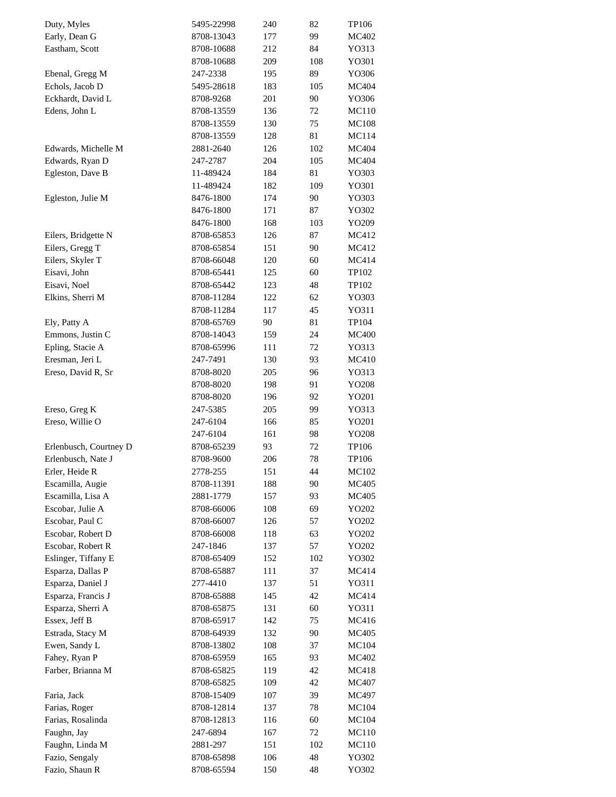| Duty, Myles            | 5495-22998 | 240 | 82  | <b>TP106</b> |
|------------------------|------------|-----|-----|--------------|
| Early, Dean G          | 8708-13043 | 177 | 99  | MC402        |
| Eastham, Scott         | 8708-10688 | 212 | 84  | YO313        |
|                        | 8708-10688 | 209 | 108 | YO301        |
| Ebenal, Gregg M        | 247-2338   | 195 | 89  | YO306        |
| Echols, Jacob D        | 5495-28618 | 183 | 105 | MC404        |
| Eckhardt, David L      | 8708-9268  | 201 | 90  | YO306        |
| Edens, John L          | 8708-13559 | 136 | 72  | MC110        |
|                        | 8708-13559 | 130 | 75  | <b>MC108</b> |
|                        | 8708-13559 | 128 | 81  | <b>MC114</b> |
| Edwards, Michelle M    | 2881-2640  | 126 | 102 | MC404        |
| Edwards, Ryan D        | 247-2787   | 204 | 105 | MC404        |
|                        |            |     |     |              |
| Egleston, Dave B       | 11-489424  | 184 | 81  | YO303        |
|                        | 11-489424  | 182 | 109 | YO301        |
| Egleston, Julie M      | 8476-1800  | 174 | 90  | YO303        |
|                        | 8476-1800  | 171 | 87  | YO302        |
|                        | 8476-1800  | 168 | 103 | YO209        |
| Eilers, Bridgette N    | 8708-65853 | 126 | 87  | MC412        |
| Eilers, Gregg T        | 8708-65854 | 151 | 90  | MC412        |
| Eilers, Skyler T       | 8708-66048 | 120 | 60  | MC414        |
| Eisavi, John           | 8708-65441 | 125 | 60  | TP102        |
| Eisavi, Noel           | 8708-65442 | 123 | 48  | TP102        |
| Elkins, Sherri M       | 8708-11284 | 122 | 62  | YO303        |
|                        | 8708-11284 | 117 | 45  | Y0311        |
| Ely, Patty A           | 8708-65769 | 90  | 81  | TP104        |
| Emmons, Justin C       | 8708-14043 | 159 | 24  | <b>MC400</b> |
| Epling, Stacie A       | 8708-65996 | 111 | 72  | YO313        |
| Eresman, Jeri L        | 247-7491   | 130 | 93  | MC410        |
| Ereso, David R, Sr     | 8708-8020  | 205 | 96  | YO313        |
|                        |            |     | 91  |              |
|                        | 8708-8020  | 198 |     | YO208        |
|                        | 8708-8020  | 196 | 92  | YO201        |
| Ereso, Greg K          | 247-5385   | 205 | 99  | YO313        |
| Ereso, Willie O        | 247-6104   | 166 | 85  | YO201        |
|                        | 247-6104   | 161 | 98  | YO208        |
| Erlenbusch, Courtney D | 8708-65239 | 93  | 72  | TP106        |
| Erlenbusch, Nate J     | 8708-9600  | 206 | 78  | TP106        |
| Erler, Heide R         | 2778-255   | 151 | 44  | MC102        |
| Escamilla, Augie       | 8708-11391 | 188 | 90  | MC405        |
| Escamilla, Lisa A      | 2881-1779  | 157 | 93  | MC405        |
| Escobar, Julie A       | 8708-66006 | 108 | 69  | YO202        |
| Escobar, Paul C        | 8708-66007 | 126 | 57  | YO202        |
| Escobar, Robert D      | 8708-66008 | 118 | 63  | YO202        |
| Escobar, Robert R      | 247-1846   | 137 | 57  | YO202        |
| Eslinger, Tiffany E    | 8708-65409 | 152 | 102 | YO302        |
| Esparza, Dallas P      | 8708-65887 | 111 | 37  | MC414        |
| Esparza, Daniel J      | 277-4410   | 137 | 51  | Y0311        |
| Esparza, Francis J     | 8708-65888 | 145 | 42  | MC414        |
| Esparza, Sherri A      |            |     | 60  |              |
|                        | 8708-65875 | 131 |     | Y0311        |
| Essex, Jeff B          | 8708-65917 | 142 | 75  | MC416        |
| Estrada, Stacy M       | 8708-64939 | 132 | 90  | MC405        |
| Ewen, Sandy L          | 8708-13802 | 108 | 37  | MC104        |
| Fahey, Ryan P          | 8708-65959 | 165 | 93  | MC402        |
| Farber, Brianna M      | 8708-65825 | 119 | 42  | MC418        |
|                        | 8708-65825 | 109 | 42  | MC407        |
| Faria, Jack            | 8708-15409 | 107 | 39  | MC497        |
| Farias, Roger          | 8708-12814 | 137 | 78  | MC104        |
| Farias, Rosalinda      | 8708-12813 | 116 | 60  | MC104        |
| Faughn, Jay            | 247-6894   | 167 | 72  | MC110        |
| Faughn, Linda M        | 2881-297   | 151 | 102 | MC110        |
| Fazio, Sengaly         | 8708-65898 | 106 | 48  | YO302        |
|                        |            | 150 | 48  | YO302        |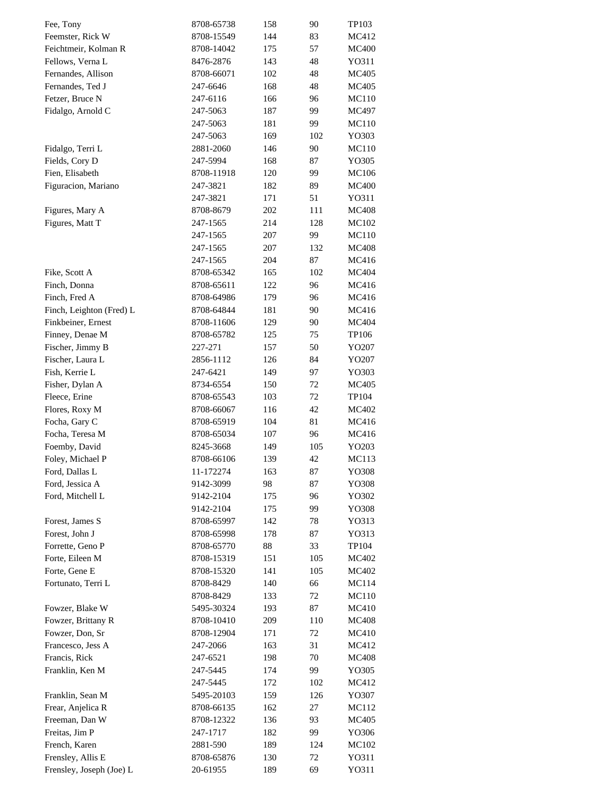| Fee, Tony                | 8708-65738 | 158 | 90  | TP103        |
|--------------------------|------------|-----|-----|--------------|
| Feemster, Rick W         | 8708-15549 | 144 | 83  | MC412        |
| Feichtmeir, Kolman R     | 8708-14042 | 175 | 57  | <b>MC400</b> |
| Fellows, Verna L         | 8476-2876  | 143 | 48  | YO311        |
| Fernandes, Allison       | 8708-66071 | 102 | 48  | MC405        |
| Fernandes, Ted J         | 247-6646   | 168 | 48  | MC405        |
| Fetzer, Bruce N          | 247-6116   | 166 | 96  | <b>MC110</b> |
| Fidalgo, Arnold C        | 247-5063   | 187 | 99  | MC497        |
|                          | 247-5063   | 181 | 99  | <b>MC110</b> |
|                          | 247-5063   | 169 | 102 | YO303        |
| Fidalgo, Terri L         | 2881-2060  | 146 | 90  | <b>MC110</b> |
| Fields, Cory D           | 247-5994   | 168 | 87  | YO305        |
| Fien, Elisabeth          | 8708-11918 | 120 | 99  | <b>MC106</b> |
|                          | 247-3821   | 182 | 89  | <b>MC400</b> |
| Figuracion, Mariano      |            |     | 51  |              |
|                          | 247-3821   | 171 |     | YO311        |
| Figures, Mary A          | 8708-8679  | 202 | 111 | <b>MC408</b> |
| Figures, Matt T          | 247-1565   | 214 | 128 | MC102        |
|                          | 247-1565   | 207 | 99  | MC110        |
|                          | 247-1565   | 207 | 132 | <b>MC408</b> |
|                          | 247-1565   | 204 | 87  | MC416        |
| Fike, Scott A            | 8708-65342 | 165 | 102 | MC404        |
| Finch, Donna             | 8708-65611 | 122 | 96  | MC416        |
| Finch, Fred A            | 8708-64986 | 179 | 96  | MC416        |
| Finch, Leighton (Fred) L | 8708-64844 | 181 | 90  | MC416        |
| Finkbeiner, Ernest       | 8708-11606 | 129 | 90  | MC404        |
| Finney, Denae M          | 8708-65782 | 125 | 75  | TP106        |
| Fischer, Jimmy B         | 227-271    | 157 | 50  | YO207        |
| Fischer, Laura L         | 2856-1112  | 126 | 84  | YO207        |
| Fish, Kerrie L           | 247-6421   | 149 | 97  | YO303        |
| Fisher, Dylan A          | 8734-6554  | 150 | 72  | MC405        |
| Fleece, Erine            | 8708-65543 | 103 | 72  | TP104        |
| Flores, Roxy M           | 8708-66067 | 116 | 42  | MC402        |
| Focha, Gary C            | 8708-65919 | 104 | 81  | MC416        |
| Focha, Teresa M          | 8708-65034 | 107 | 96  | MC416        |
| Foemby, David            | 8245-3668  | 149 | 105 | YO203        |
| Foley, Michael P         | 8708-66106 | 139 | 42  | MC113        |
| Ford, Dallas L           | 11-172274  | 163 | 87  | YO308        |
| Ford, Jessica A          | 9142-3099  | 98  | 87  | YO308        |
| Ford, Mitchell L         | 9142-2104  | 175 | 96  | YO302        |
|                          | 9142-2104  | 175 | 99  | YO308        |
| Forest, James S          | 8708-65997 | 142 | 78  | YO313        |
| Forest, John J           | 8708-65998 | 178 | 87  | YO313        |
| Forrette, Geno P         | 8708-65770 | 88  | 33  | TP104        |
| Forte, Eileen M          | 8708-15319 | 151 | 105 | MC402        |
| Forte, Gene E            | 8708-15320 | 141 | 105 | MC402        |
| Fortunato, Terri L       |            |     | 66  |              |
|                          | 8708-8429  | 140 |     | MC114        |
|                          | 8708-8429  | 133 | 72  | MC110        |
| Fowzer, Blake W          | 5495-30324 | 193 | 87  | MC410        |
| Fowzer, Brittany R       | 8708-10410 | 209 | 110 | <b>MC408</b> |
| Fowzer, Don, Sr          | 8708-12904 | 171 | 72  | MC410        |
| Francesco, Jess A        | 247-2066   | 163 | 31  | MC412        |
| Francis, Rick            | 247-6521   | 198 | 70  | MC408        |
| Franklin, Ken M          | 247-5445   | 174 | 99  | YO305        |
|                          | 247-5445   | 172 | 102 | MC412        |
| Franklin, Sean M         | 5495-20103 | 159 | 126 | YO307        |
| Frear, Anjelica R        | 8708-66135 | 162 | 27  | MC112        |
| Freeman, Dan W           | 8708-12322 | 136 | 93  | MC405        |
| Freitas, Jim P           | 247-1717   | 182 | 99  | YO306        |
| French, Karen            | 2881-590   | 189 | 124 | MC102        |
| Frensley, Allis E        | 8708-65876 | 130 | 72  | YO311        |
| Frensley, Joseph (Joe) L | 20-61955   | 189 | 69  | YO311        |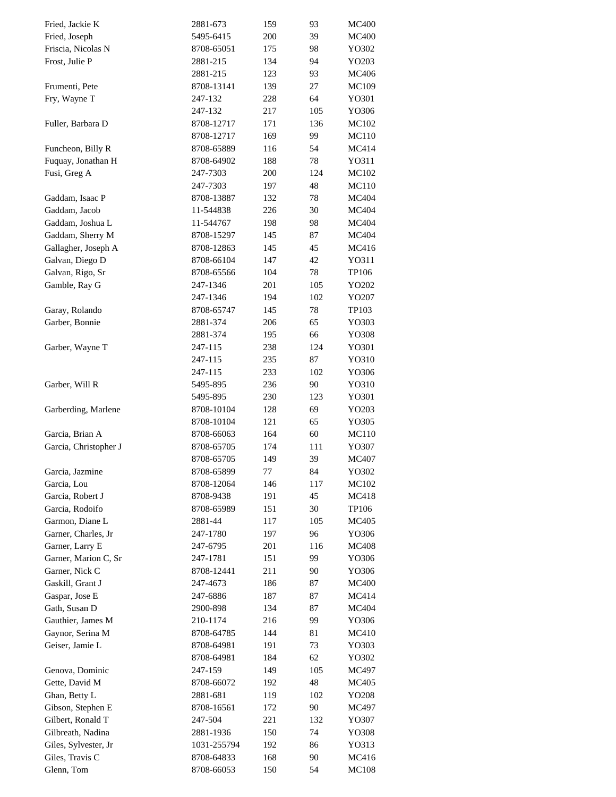| Fried, Jackie K       | 2881-673    | 159     | 93  | <b>MC400</b> |
|-----------------------|-------------|---------|-----|--------------|
| Fried, Joseph         | 5495-6415   | 200     | 39  | <b>MC400</b> |
| Friscia, Nicolas N    | 8708-65051  | 175     | 98  | YO302        |
| Frost, Julie P        | 2881-215    | 134     | 94  | YO203        |
|                       | 2881-215    | 123     | 93  | MC406        |
| Frumenti, Pete        | 8708-13141  | 139     | 27  | <b>MC109</b> |
| Fry, Wayne T          | 247-132     | 228     | 64  | YO301        |
|                       | 247-132     | 217     | 105 | YO306        |
| Fuller, Barbara D     | 8708-12717  | 171     | 136 | <b>MC102</b> |
|                       | 8708-12717  | 169     | 99  | MC110        |
| Funcheon, Billy R     | 8708-65889  | 116     | 54  | MC414        |
| Fuquay, Jonathan H    | 8708-64902  | 188     | 78  | YO311        |
| Fusi, Greg A          | 247-7303    | 200     | 124 | MC102        |
|                       | 247-7303    | 197     | 48  | MC110        |
| Gaddam, Isaac P       | 8708-13887  | 132     | 78  | MC404        |
| Gaddam, Jacob         | 11-544838   | 226     | 30  | MC404        |
|                       |             |         |     | <b>MC404</b> |
| Gaddam, Joshua L      | 11-544767   | 198     | 98  |              |
| Gaddam, Sherry M      | 8708-15297  | 145     | 87  | <b>MC404</b> |
| Gallagher, Joseph A   | 8708-12863  | 145     | 45  | MC416        |
| Galvan, Diego D       | 8708-66104  | 147     | 42  | YO311        |
| Galvan, Rigo, Sr      | 8708-65566  | 104     | 78  | TP106        |
| Gamble, Ray G         | 247-1346    | 201     | 105 | YO202        |
|                       | 247-1346    | 194     | 102 | YO207        |
| Garay, Rolando        | 8708-65747  | 145     | 78  | TP103        |
| Garber, Bonnie        | 2881-374    | 206     | 65  | YO303        |
|                       | 2881-374    | 195     | 66  | YO308        |
| Garber, Wayne T       | 247-115     | 238     | 124 | YO301        |
|                       | 247-115     | 235     | 87  | YO310        |
|                       | 247-115     | 233     | 102 | YO306        |
| Garber, Will R        | 5495-895    | 236     | 90  | YO310        |
|                       | 5495-895    | 230     | 123 | YO301        |
| Garberding, Marlene   | 8708-10104  | 128     | 69  | YO203        |
|                       | 8708-10104  | 121     | 65  | YO305        |
| Garcia, Brian A       | 8708-66063  | 164     | 60  | MC110        |
| Garcia, Christopher J | 8708-65705  | 174     | 111 | YO307        |
|                       | 8708-65705  | 149     | 39  | MC407        |
| Garcia, Jazmine       | 8708-65899  | $77 \,$ | 84  | YO302        |
| Garcia, Lou           | 8708-12064  | 146     | 117 | MC102        |
| Garcia, Robert J      | 8708-9438   | 191     | 45  | MC418        |
| Garcia, Rodoifo       | 8708-65989  | 151     | 30  | TP106        |
| Garmon, Diane L       | 2881-44     | 117     | 105 | MC405        |
| Garner, Charles, Jr   | 247-1780    | 197     | 96  | YO306        |
| Garner, Larry E       | 247-6795    | 201     | 116 | MC408        |
| Garner, Marion C, Sr  | 247-1781    | 151     | 99  | YO306        |
| Garner, Nick C        | 8708-12441  | 211     | 90  | YO306        |
| Gaskill, Grant J      | 247-4673    | 186     | 87  | <b>MC400</b> |
| Gaspar, Jose E        | 247-6886    | 187     | 87  | MC414        |
| Gath, Susan D         | 2900-898    | 134     | 87  | MC404        |
| Gauthier, James M     | 210-1174    | 216     | 99  | YO306        |
| Gaynor, Serina M      | 8708-64785  | 144     | 81  | MC410        |
| Geiser, Jamie L       | 8708-64981  | 191     | 73  | YO303        |
|                       | 8708-64981  | 184     | 62  | YO302        |
| Genova, Dominic       | 247-159     | 149     | 105 | MC497        |
| Gette, David M        | 8708-66072  | 192     | 48  | MC405        |
| Ghan, Betty L         | 2881-681    | 119     | 102 | YO208        |
| Gibson, Stephen E     |             |         | 90  |              |
| Gilbert, Ronald T     | 8708-16561  | 172     |     | MC497        |
|                       | 247-504     | 221     | 132 | YO307        |
| Gilbreath, Nadina     | 2881-1936   | 150     | 74  | YO308        |
| Giles, Sylvester, Jr  | 1031-255794 | 192     | 86  | YO313        |
| Giles, Travis C       | 8708-64833  | 168     | 90  | MC416        |
| Glenn, Tom            | 8708-66053  | 150     | 54  | MC108        |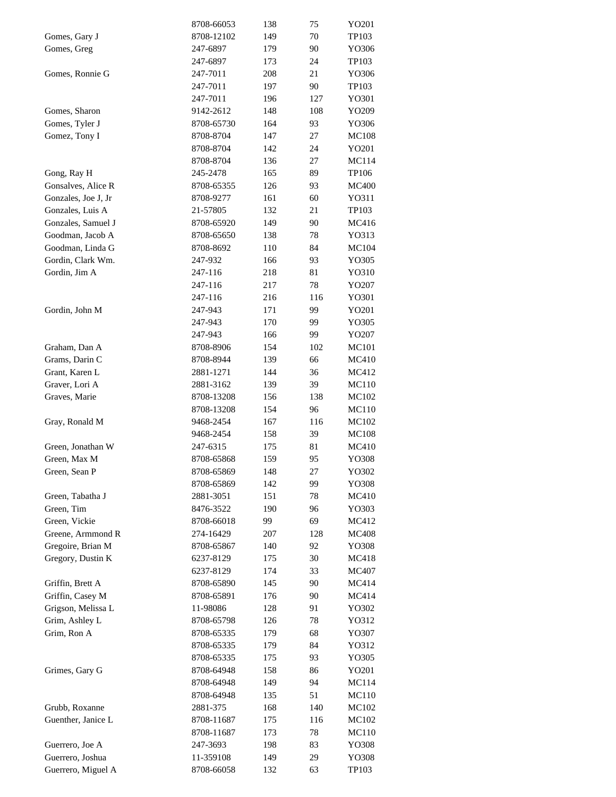|                     | 8708-66053 | 138 | 75  | YO201        |
|---------------------|------------|-----|-----|--------------|
| Gomes, Gary J       | 8708-12102 | 149 | 70  | TP103        |
| Gomes, Greg         | 247-6897   | 179 | 90  | YO306        |
|                     | 247-6897   | 173 | 24  | TP103        |
| Gomes, Ronnie G     | 247-7011   | 208 | 21  | YO306        |
|                     | 247-7011   | 197 | 90  | TP103        |
|                     | 247-7011   | 196 | 127 | YO301        |
| Gomes, Sharon       | 9142-2612  | 148 | 108 | YO209        |
| Gomes, Tyler J      | 8708-65730 | 164 | 93  | YO306        |
| Gomez, Tony I       | 8708-8704  | 147 | 27  | <b>MC108</b> |
|                     | 8708-8704  | 142 | 24  | YO201        |
|                     | 8708-8704  | 136 | 27  | MC114        |
| Gong, Ray H         | 245-2478   | 165 | 89  | TP106        |
| Gonsalves, Alice R  | 8708-65355 | 126 | 93  | <b>MC400</b> |
|                     |            |     |     |              |
| Gonzales, Joe J, Jr | 8708-9277  | 161 | 60  | YO311        |
| Gonzales, Luis A    | 21-57805   | 132 | 21  | TP103        |
| Gonzales, Samuel J  | 8708-65920 | 149 | 90  | MC416        |
| Goodman, Jacob A    | 8708-65650 | 138 | 78  | YO313        |
| Goodman, Linda G    | 8708-8692  | 110 | 84  | MC104        |
| Gordin, Clark Wm.   | 247-932    | 166 | 93  | YO305        |
| Gordin, Jim A       | 247-116    | 218 | 81  | YO310        |
|                     | 247-116    | 217 | 78  | YO207        |
|                     | 247-116    | 216 | 116 | YO301        |
| Gordin, John M      | 247-943    | 171 | 99  | YO201        |
|                     | 247-943    | 170 | 99  | YO305        |
|                     | 247-943    | 166 | 99  | YO207        |
| Graham, Dan A       | 8708-8906  | 154 | 102 | <b>MC101</b> |
| Grams, Darin C      | 8708-8944  | 139 | 66  | MC410        |
| Grant, Karen L      | 2881-1271  | 144 | 36  | MC412        |
| Graver, Lori A      | 2881-3162  | 139 | 39  | MC110        |
| Graves, Marie       | 8708-13208 | 156 | 138 | MC102        |
|                     | 8708-13208 | 154 | 96  | MC110        |
| Gray, Ronald M      | 9468-2454  | 167 | 116 | MC102        |
|                     | 9468-2454  | 158 | 39  | <b>MC108</b> |
| Green, Jonathan W   | 247-6315   | 175 | 81  | MC410        |
| Green, Max M        | 8708-65868 | 159 | 95  | YO308        |
| Green, Sean P       | 8708-65869 | 148 | 27  | YO302        |
|                     | 8708-65869 | 142 | 99  | YO308        |
| Green, Tabatha J    | 2881-3051  | 151 | 78  | MC410        |
| Green, Tim          | 8476-3522  | 190 | 96  | YO303        |
| Green, Vickie       | 8708-66018 | 99  | 69  | MC412        |
| Greene, Armmond R   | 274-16429  | 207 | 128 | MC408        |
| Gregoire, Brian M   | 8708-65867 | 140 | 92  | YO308        |
| Gregory, Dustin K   | 6237-8129  | 175 | 30  | MC418        |
|                     | 6237-8129  | 174 | 33  | MC407        |
| Griffin, Brett A    | 8708-65890 | 145 | 90  | MC414        |
| Griffin, Casey M    | 8708-65891 | 176 | 90  | MC414        |
| Grigson, Melissa L  | 11-98086   | 128 | 91  | YO302        |
| Grim, Ashley L      | 8708-65798 | 126 | 78  | YO312        |
| Grim, Ron A         |            | 179 | 68  |              |
|                     | 8708-65335 |     | 84  | YO307        |
|                     | 8708-65335 | 179 |     | YO312        |
|                     | 8708-65335 | 175 | 93  | YO305        |
| Grimes, Gary G      | 8708-64948 | 158 | 86  | YO201        |
|                     | 8708-64948 | 149 | 94  | MC114        |
|                     | 8708-64948 | 135 | 51  | <b>MC110</b> |
| Grubb, Roxanne      | 2881-375   | 168 | 140 | MC102        |
| Guenther, Janice L  | 8708-11687 | 175 | 116 | MC102        |
|                     | 8708-11687 | 173 | 78  | <b>MC110</b> |
| Guerrero, Joe A     | 247-3693   | 198 | 83  | YO308        |
| Guerrero, Joshua    | 11-359108  | 149 | 29  | YO308        |
| Guerrero, Miguel A  | 8708-66058 | 132 | 63  | TP103        |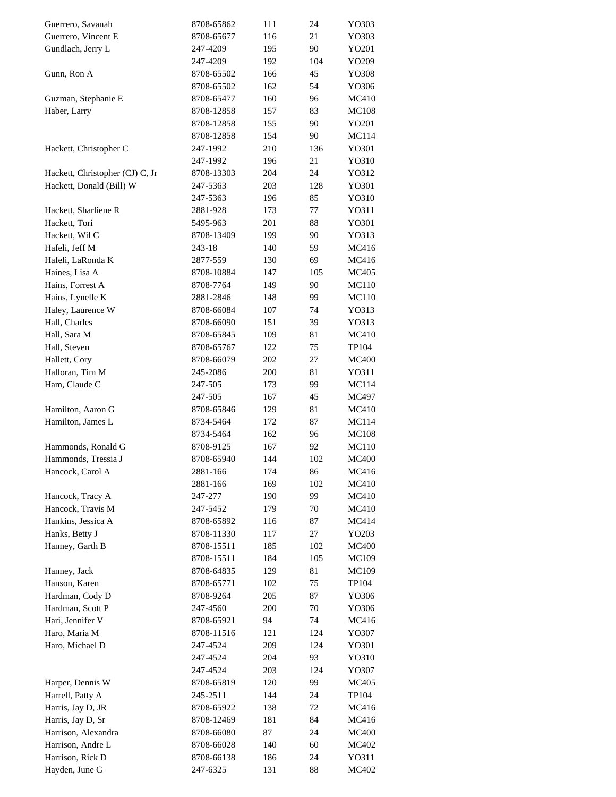| Guerrero, Savanah               | 8708-65862 | 111 | 24  | YO303        |
|---------------------------------|------------|-----|-----|--------------|
| Guerrero, Vincent E             | 8708-65677 | 116 | 21  | YO303        |
| Gundlach, Jerry L               | 247-4209   | 195 | 90  | YO201        |
|                                 | 247-4209   | 192 | 104 | YO209        |
| Gunn, Ron A                     | 8708-65502 | 166 | 45  | YO308        |
|                                 | 8708-65502 | 162 | 54  | YO306        |
| Guzman, Stephanie E             | 8708-65477 | 160 | 96  | MC410        |
| Haber, Larry                    | 8708-12858 | 157 | 83  | <b>MC108</b> |
|                                 | 8708-12858 | 155 | 90  | YO201        |
|                                 | 8708-12858 | 154 | 90  | MC114        |
| Hackett, Christopher C          | 247-1992   | 210 | 136 | YO301        |
|                                 | 247-1992   | 196 | 21  | YO310        |
| Hackett, Christopher (CJ) C, Jr | 8708-13303 | 204 | 24  | YO312        |
| Hackett, Donald (Bill) W        | 247-5363   | 203 | 128 | YO301        |
|                                 | 247-5363   | 196 | 85  | YO310        |
| Hackett, Sharliene R            | 2881-928   | 173 | 77  | YO311        |
|                                 |            |     |     |              |
| Hackett, Tori                   | 5495-963   | 201 | 88  | YO301        |
| Hackett, Wil C                  | 8708-13409 | 199 | 90  | YO313        |
| Hafeli, Jeff M                  | 243-18     | 140 | 59  | MC416        |
| Hafeli, LaRonda K               | 2877-559   | 130 | 69  | MC416        |
| Haines, Lisa A                  | 8708-10884 | 147 | 105 | MC405        |
| Hains, Forrest A                | 8708-7764  | 149 | 90  | <b>MC110</b> |
| Hains, Lynelle K                | 2881-2846  | 148 | 99  | MC110        |
| Haley, Laurence W               | 8708-66084 | 107 | 74  | YO313        |
| Hall, Charles                   | 8708-66090 | 151 | 39  | YO313        |
| Hall, Sara M                    | 8708-65845 | 109 | 81  | MC410        |
| Hall, Steven                    | 8708-65767 | 122 | 75  | TP104        |
| Hallett, Cory                   | 8708-66079 | 202 | 27  | <b>MC400</b> |
| Halloran, Tim M                 | 245-2086   | 200 | 81  | YO311        |
| Ham, Claude C                   | 247-505    | 173 | 99  | MC114        |
|                                 | 247-505    | 167 | 45  | MC497        |
| Hamilton, Aaron G               | 8708-65846 | 129 | 81  | MC410        |
| Hamilton, James L               | 8734-5464  | 172 | 87  | MC114        |
|                                 | 8734-5464  | 162 | 96  | <b>MC108</b> |
| Hammonds, Ronald G              | 8708-9125  | 167 | 92  | MC110        |
| Hammonds, Tressia J             | 8708-65940 | 144 | 102 | <b>MC400</b> |
| Hancock, Carol A                | 2881-166   | 174 | 86  | MC416        |
|                                 | 2881-166   | 169 | 102 | MC410        |
| Hancock, Tracy A                | 247-277    | 190 | 99  | MC410        |
| Hancock, Travis M               | 247-5452   | 179 | 70  | MC410        |
| Hankins, Jessica A              | 8708-65892 | 116 | 87  | MC414        |
| Hanks, Betty J                  | 8708-11330 | 117 | 27  | YO203        |
| Hanney, Garth B                 | 8708-15511 | 185 | 102 | <b>MC400</b> |
|                                 | 8708-15511 | 184 | 105 | MC109        |
| Hanney, Jack                    | 8708-64835 | 129 | 81  | MC109        |
| Hanson, Karen                   | 8708-65771 | 102 | 75  | TP104        |
| Hardman, Cody D                 | 8708-9264  | 205 | 87  | YO306        |
| Hardman, Scott P                | 247-4560   | 200 | 70  | YO306        |
| Hari, Jennifer V                | 8708-65921 | 94  | 74  | MC416        |
| Haro, Maria M                   | 8708-11516 | 121 | 124 | YO307        |
| Haro, Michael D                 | 247-4524   | 209 | 124 | YO301        |
|                                 | 247-4524   | 204 | 93  | YO310        |
|                                 |            | 203 | 124 |              |
|                                 | 247-4524   |     |     | YO307        |
| Harper, Dennis W                | 8708-65819 | 120 | 99  | MC405        |
| Harrell, Patty A                | 245-2511   | 144 | 24  | TP104        |
| Harris, Jay D, JR               | 8708-65922 | 138 | 72  | MC416        |
| Harris, Jay D, Sr               | 8708-12469 | 181 | 84  | MC416        |
| Harrison, Alexandra             | 8708-66080 | 87  | 24  | <b>MC400</b> |
| Harrison, Andre L               | 8708-66028 | 140 | 60  | MC402        |
| Harrison, Rick D                | 8708-66138 | 186 | 24  | YO311        |
| Hayden, June G                  | 247-6325   | 131 | 88  | MC402        |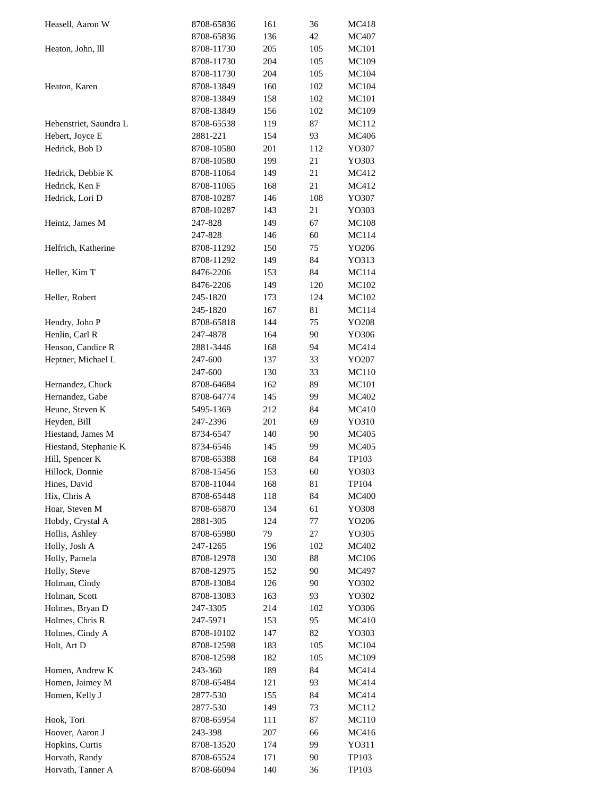| Heasell, Aaron W       | 8708-65836 | 161 | 36  | MC418        |
|------------------------|------------|-----|-----|--------------|
|                        | 8708-65836 | 136 | 42  | MC407        |
| Heaton, John, lll      | 8708-11730 | 205 | 105 | <b>MC101</b> |
|                        | 8708-11730 | 204 | 105 | MC109        |
|                        | 8708-11730 | 204 | 105 | MC104        |
| Heaton, Karen          | 8708-13849 | 160 | 102 | MC104        |
|                        | 8708-13849 | 158 | 102 | <b>MC101</b> |
|                        | 8708-13849 | 156 | 102 | MC109        |
| Hebenstriet, Saundra L | 8708-65538 | 119 | 87  | MC112        |
| Hebert, Joyce E        | 2881-221   | 154 | 93  | <b>MC406</b> |
| Hedrick, Bob D         | 8708-10580 | 201 | 112 | YO307        |
|                        | 8708-10580 | 199 | 21  | YO303        |
| Hedrick, Debbie K      | 8708-11064 | 149 | 21  | MC412        |
| Hedrick, Ken F         | 8708-11065 | 168 | 21  | MC412        |
| Hedrick, Lori D        | 8708-10287 | 146 | 108 | YO307        |
|                        | 8708-10287 | 143 | 21  | YO303        |
| Heintz, James M        | 247-828    | 149 | 67  | <b>MC108</b> |
|                        | 247-828    | 146 | 60  | MC114        |
| Helfrich, Katherine    | 8708-11292 | 150 | 75  | YO206        |
|                        |            |     |     |              |
|                        | 8708-11292 | 149 | 84  | YO313        |
| Heller, Kim T          | 8476-2206  | 153 | 84  | <b>MC114</b> |
|                        | 8476-2206  | 149 | 120 | MC102        |
| Heller, Robert         | 245-1820   | 173 | 124 | MC102        |
|                        | 245-1820   | 167 | 81  | MC114        |
| Hendry, John P         | 8708-65818 | 144 | 75  | YO208        |
| Henlin, Carl R         | 247-4878   | 164 | 90  | YO306        |
| Henson, Candice R      | 2881-3446  | 168 | 94  | MC414        |
| Heptner, Michael L     | 247-600    | 137 | 33  | YO207        |
|                        | 247-600    | 130 | 33  | MC110        |
| Hernandez, Chuck       | 8708-64684 | 162 | 89  | MC101        |
| Hernandez, Gabe        | 8708-64774 | 145 | 99  | MC402        |
| Heune, Steven K        | 5495-1369  | 212 | 84  | MC410        |
| Heyden, Bill           | 247-2396   | 201 | 69  | YO310        |
| Hiestand, James M      | 8734-6547  | 140 | 90  | MC405        |
| Hiestand, Stephanie K  | 8734-6546  | 145 | 99  | MC405        |
| Hill, Spencer K        | 8708-65388 | 168 | 84  | TP103        |
| Hillock, Donnie        | 8708-15456 | 153 | 60  | YO303        |
| Hines, David           | 8708-11044 | 168 | 81  | TP104        |
| Hix, Chris A           | 8708-65448 | 118 | 84  | <b>MC400</b> |
| Hoar, Steven M         | 8708-65870 | 134 | 61  | YO308        |
| Hobdy, Crystal A       | 2881-305   | 124 | 77  | YO206        |
| Hollis, Ashley         | 8708-65980 | 79  | 27  | YO305        |
| Holly, Josh A          | 247-1265   | 196 | 102 | MC402        |
| Holly, Pamela          | 8708-12978 | 130 | 88  | MC106        |
| Holly, Steve           | 8708-12975 | 152 | 90  | MC497        |
| Holman, Cindy          | 8708-13084 | 126 | 90  | YO302        |
| Holman, Scott          | 8708-13083 | 163 | 93  | YO302        |
| Holmes, Bryan D        | 247-3305   | 214 | 102 | YO306        |
| Holmes, Chris R        | 247-5971   | 153 | 95  | MC410        |
| Holmes, Cindy A        | 8708-10102 | 147 | 82  | YO303        |
| Holt, Art D            | 8708-12598 | 183 | 105 | MC104        |
|                        | 8708-12598 | 182 | 105 | MC109        |
| Homen, Andrew K        | 243-360    | 189 | 84  | MC414        |
| Homen, Jaimey M        | 8708-65484 | 121 | 93  | MC414        |
| Homen, Kelly J         | 2877-530   | 155 | 84  | MC414        |
|                        | 2877-530   | 149 | 73  | MC112        |
| Hook, Tori             | 8708-65954 | 111 | 87  | MC110        |
| Hoover, Aaron J        | 243-398    | 207 | 66  | MC416        |
| Hopkins, Curtis        | 8708-13520 | 174 | 99  | YO311        |
| Horvath, Randy         | 8708-65524 |     | 90  |              |
|                        |            | 171 |     | TP103        |
| Horvath, Tanner A      | 8708-66094 | 140 | 36  | TP103        |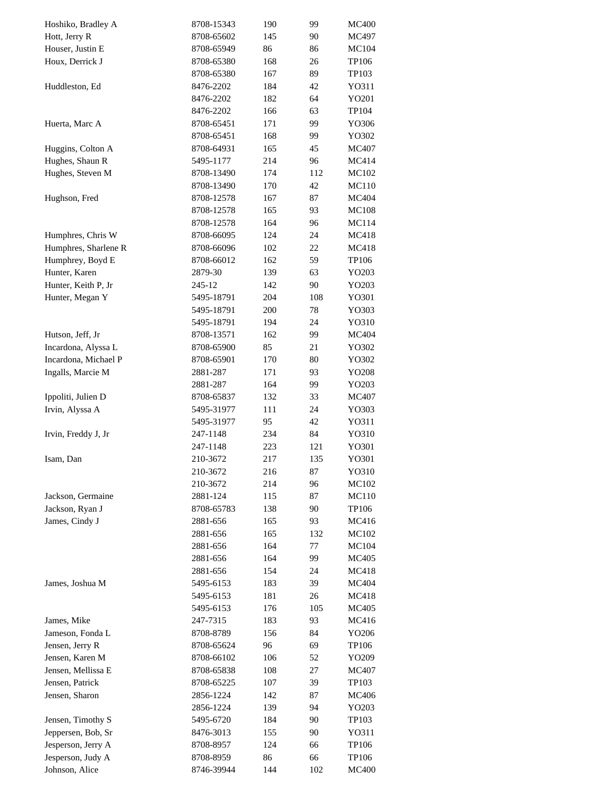| Hoshiko, Bradley A   | 8708-15343 | 190 | 99  | <b>MC400</b> |
|----------------------|------------|-----|-----|--------------|
| Hott, Jerry R        | 8708-65602 | 145 | 90  | MC497        |
| Houser, Justin E     | 8708-65949 | 86  | 86  | MC104        |
| Houx, Derrick J      | 8708-65380 | 168 | 26  | TP106        |
|                      | 8708-65380 | 167 | 89  | TP103        |
| Huddleston, Ed       | 8476-2202  | 184 | 42  | YO311        |
|                      | 8476-2202  | 182 | 64  | YO201        |
|                      | 8476-2202  | 166 | 63  | TP104        |
| Huerta, Marc A       | 8708-65451 | 171 | 99  | YO306        |
|                      | 8708-65451 | 168 | 99  | YO302        |
| Huggins, Colton A    | 8708-64931 | 165 | 45  | MC407        |
| Hughes, Shaun R      | 5495-1177  | 214 | 96  | MC414        |
| Hughes, Steven M     | 8708-13490 | 174 | 112 | MC102        |
|                      | 8708-13490 | 170 | 42  | <b>MC110</b> |
| Hughson, Fred        | 8708-12578 | 167 | 87  | MC404        |
|                      | 8708-12578 | 165 | 93  | <b>MC108</b> |
|                      | 8708-12578 | 164 | 96  | MC114        |
| Humphres, Chris W    | 8708-66095 | 124 | 24  | MC418        |
| Humphres, Sharlene R | 8708-66096 | 102 | 22  | MC418        |
| Humphrey, Boyd E     |            |     |     |              |
|                      | 8708-66012 | 162 | 59  | TP106        |
| Hunter, Karen        | 2879-30    | 139 | 63  | YO203        |
| Hunter, Keith P, Jr  | 245-12     | 142 | 90  | YO203        |
| Hunter, Megan Y      | 5495-18791 | 204 | 108 | YO301        |
|                      | 5495-18791 | 200 | 78  | YO303        |
|                      | 5495-18791 | 194 | 24  | YO310        |
| Hutson, Jeff, Jr     | 8708-13571 | 162 | 99  | MC404        |
| Incardona, Alyssa L  | 8708-65900 | 85  | 21  | YO302        |
| Incardona, Michael P | 8708-65901 | 170 | 80  | YO302        |
| Ingalls, Marcie M    | 2881-287   | 171 | 93  | YO208        |
|                      | 2881-287   | 164 | 99  | YO203        |
| Ippoliti, Julien D   | 8708-65837 | 132 | 33  | MC407        |
| Irvin, Alyssa A      | 5495-31977 | 111 | 24  | YO303        |
|                      | 5495-31977 | 95  | 42  | YO311        |
| Irvin, Freddy J, Jr  | 247-1148   | 234 | 84  | YO310        |
|                      | 247-1148   | 223 | 121 | YO301        |
| Isam, Dan            | 210-3672   | 217 | 135 | YO301        |
|                      | 210-3672   | 216 | 87  | YO310        |
|                      | 210-3672   | 214 | 96  | MC102        |
| Jackson, Germaine    | 2881-124   | 115 | 87  | MC110        |
| Jackson, Ryan J      | 8708-65783 | 138 | 90  | TP106        |
| James, Cindy J       | 2881-656   | 165 | 93  | MC416        |
|                      | 2881-656   | 165 | 132 | MC102        |
|                      | 2881-656   | 164 | 77  | MC104        |
|                      | 2881-656   | 164 | 99  | MC405        |
|                      | 2881-656   | 154 | 24  | MC418        |
| James, Joshua M      | 5495-6153  | 183 | 39  | MC404        |
|                      | 5495-6153  | 181 | 26  | MC418        |
|                      | 5495-6153  | 176 | 105 | MC405        |
| James, Mike          | 247-7315   | 183 | 93  | MC416        |
| Jameson, Fonda L     | 8708-8789  | 156 | 84  | YO206        |
| Jensen, Jerry R      | 8708-65624 | 96  | 69  | TP106        |
| Jensen, Karen M      | 8708-66102 | 106 | 52  | YO209        |
| Jensen, Mellissa E   | 8708-65838 | 108 | 27  | MC407        |
| Jensen, Patrick      | 8708-65225 | 107 | 39  | TP103        |
| Jensen, Sharon       | 2856-1224  | 142 | 87  | MC406        |
|                      | 2856-1224  | 139 | 94  | YO203        |
| Jensen, Timothy S    | 5495-6720  | 184 | 90  | TP103        |
| Jeppersen, Bob, Sr   | 8476-3013  | 155 | 90  | Y0311        |
|                      |            |     |     |              |
| Jesperson, Jerry A   | 8708-8957  | 124 | 66  | TP106        |
| Jesperson, Judy A    | 8708-8959  | 86  | 66  | TP106        |
| Johnson, Alice       | 8746-39944 | 144 | 102 | <b>MC400</b> |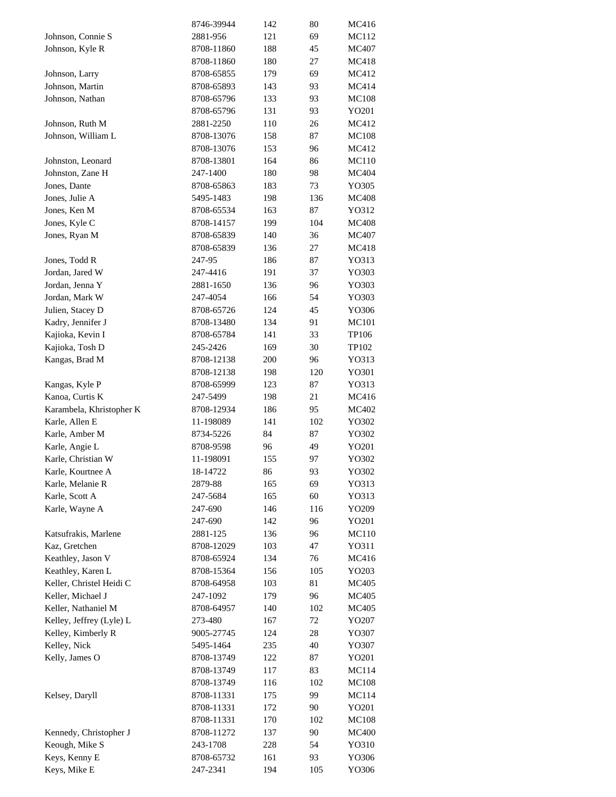|                          | 8746-39944 | 142 | 80  | MC416        |
|--------------------------|------------|-----|-----|--------------|
| Johnson, Connie S        | 2881-956   | 121 | 69  | MC112        |
| Johnson, Kyle R          | 8708-11860 | 188 | 45  | MC407        |
|                          | 8708-11860 | 180 | 27  | MC418        |
| Johnson, Larry           | 8708-65855 | 179 | 69  | MC412        |
| Johnson, Martin          | 8708-65893 | 143 | 93  | MC414        |
| Johnson, Nathan          | 8708-65796 | 133 | 93  | <b>MC108</b> |
|                          | 8708-65796 | 131 | 93  | YO201        |
| Johnson, Ruth M          | 2881-2250  | 110 | 26  | MC412        |
| Johnson, William L       | 8708-13076 | 158 | 87  | <b>MC108</b> |
|                          |            |     |     |              |
|                          | 8708-13076 | 153 | 96  | MC412        |
| Johnston, Leonard        | 8708-13801 | 164 | 86  | MC110        |
| Johnston, Zane H         | 247-1400   | 180 | 98  | MC404        |
| Jones, Dante             | 8708-65863 | 183 | 73  | YO305        |
| Jones, Julie A           | 5495-1483  | 198 | 136 | <b>MC408</b> |
| Jones, Ken M             | 8708-65534 | 163 | 87  | YO312        |
| Jones, Kyle C            | 8708-14157 | 199 | 104 | <b>MC408</b> |
| Jones, Ryan M            | 8708-65839 | 140 | 36  | MC407        |
|                          | 8708-65839 | 136 | 27  | MC418        |
| Jones, Todd R            | 247-95     | 186 | 87  | YO313        |
| Jordan, Jared W          | 247-4416   | 191 | 37  | YO303        |
| Jordan, Jenna Y          | 2881-1650  | 136 | 96  | YO303        |
| Jordan, Mark W           | 247-4054   | 166 | 54  | YO303        |
| Julien, Stacey D         | 8708-65726 | 124 | 45  | YO306        |
| Kadry, Jennifer J        | 8708-13480 | 134 | 91  | <b>MC101</b> |
| Kajioka, Kevin I         | 8708-65784 | 141 | 33  | TP106        |
| Kajioka, Tosh D          | 245-2426   | 169 | 30  | TP102        |
| Kangas, Brad M           | 8708-12138 | 200 | 96  | YO313        |
|                          | 8708-12138 | 198 | 120 | YO301        |
|                          |            |     | 87  |              |
| Kangas, Kyle P           | 8708-65999 | 123 |     | YO313        |
| Kanoa, Curtis K          | 247-5499   | 198 | 21  | MC416        |
| Karambela, Khristopher K | 8708-12934 | 186 | 95  | MC402        |
| Karle, Allen E           | 11-198089  | 141 | 102 | YO302        |
| Karle, Amber M           | 8734-5226  | 84  | 87  | YO302        |
| Karle, Angie L           | 8708-9598  | 96  | 49  | YO201        |
| Karle, Christian W       | 11-198091  | 155 | 97  | YO302        |
| Karle, Kourtnee A        | 18-14722   | 86  | 93  | YO302        |
| Karle, Melanie R         | 2879-88    | 165 | 69  | YO313        |
| Karle, Scott A           | 247-5684   | 165 | 60  | YO313        |
| Karle, Wayne A           | 247-690    | 146 | 116 | YO209        |
|                          | 247-690    | 142 | 96  | YO201        |
| Katsufrakis, Marlene     | 2881-125   | 136 | 96  | MC110        |
| Kaz, Gretchen            | 8708-12029 | 103 | 47  | YO311        |
| Keathley, Jason V        | 8708-65924 | 134 | 76  | MC416        |
| Keathley, Karen L        | 8708-15364 | 156 | 105 | YO203        |
| Keller, Christel Heidi C | 8708-64958 | 103 | 81  | MC405        |
| Keller, Michael J        | 247-1092   | 179 | 96  | MC405        |
| Keller, Nathaniel M      | 8708-64957 | 140 | 102 | MC405        |
| Kelley, Jeffrey (Lyle) L | 273-480    | 167 | 72  | YO207        |
| Kelley, Kimberly R       | 9005-27745 | 124 | 28  | YO307        |
| Kelley, Nick             | 5495-1464  | 235 | 40  | YO307        |
|                          |            |     |     |              |
| Kelly, James O           | 8708-13749 | 122 | 87  | YO201        |
|                          | 8708-13749 | 117 | 83  | MC114        |
|                          | 8708-13749 | 116 | 102 | MC108        |
| Kelsey, Daryll           | 8708-11331 | 175 | 99  | MC114        |
|                          | 8708-11331 | 172 | 90  | YO201        |
|                          | 8708-11331 | 170 | 102 | <b>MC108</b> |
| Kennedy, Christopher J   | 8708-11272 | 137 | 90  | <b>MC400</b> |
| Keough, Mike S           | 243-1708   | 228 | 54  | YO310        |
| Keys, Kenny E            | 8708-65732 | 161 | 93  | YO306        |
| Keys, Mike E             | 247-2341   | 194 | 105 | YO306        |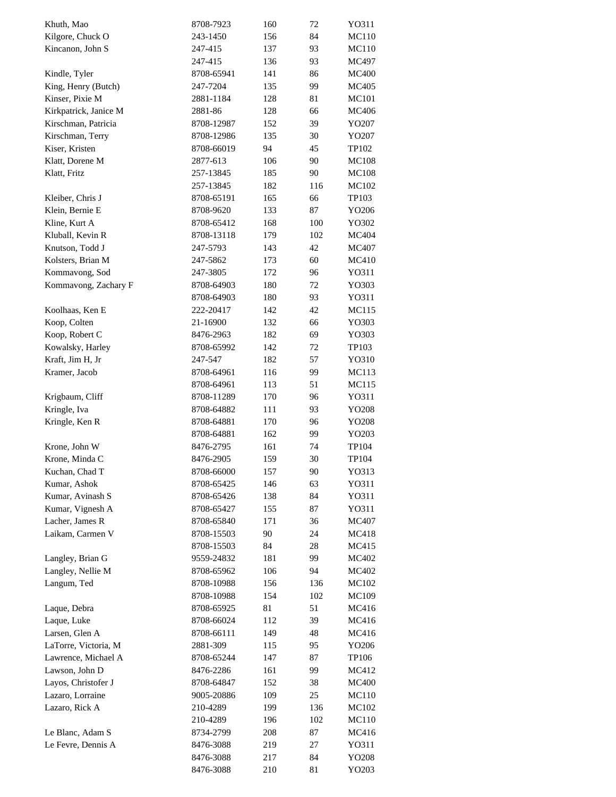| Khuth, Mao            | 8708-7923  | 160 | 72  | YO311          |
|-----------------------|------------|-----|-----|----------------|
| Kilgore, Chuck O      | 243-1450   | 156 | 84  | MC110          |
| Kincanon, John S      | 247-415    | 137 | 93  | MC110          |
|                       | 247-415    | 136 | 93  | MC497          |
| Kindle, Tyler         | 8708-65941 | 141 | 86  | <b>MC400</b>   |
| King, Henry (Butch)   | 247-7204   | 135 | 99  | MC405          |
| Kinser, Pixie M       | 2881-1184  | 128 | 81  | MC101          |
| Kirkpatrick, Janice M | 2881-86    | 128 | 66  | <b>MC406</b>   |
| Kirschman, Patricia   | 8708-12987 | 152 | 39  | YO207          |
| Kirschman, Terry      | 8708-12986 | 135 | 30  | YO207          |
| Kiser, Kristen        | 8708-66019 | 94  | 45  | TP102          |
| Klatt, Dorene M       | 2877-613   | 106 | 90  | <b>MC108</b>   |
| Klatt, Fritz          | 257-13845  | 185 | 90  | <b>MC108</b>   |
|                       | 257-13845  | 182 | 116 | MC102          |
| Kleiber, Chris J      | 8708-65191 | 165 | 66  | TP103          |
| Klein, Bernie E       | 8708-9620  | 133 | 87  | YO206          |
| Kline, Kurt A         | 8708-65412 | 168 | 100 | YO302          |
| Kluball, Kevin R      | 8708-13118 | 179 | 102 | MC404          |
| Knutson, Todd J       | 247-5793   | 143 | 42  | MC407          |
| Kolsters, Brian M     | 247-5862   | 173 | 60  | <b>MC410</b>   |
| Kommavong, Sod        | 247-3805   | 172 | 96  | YO311          |
| Kommavong, Zachary F  | 8708-64903 | 180 | 72  | YO303          |
|                       | 8708-64903 | 180 | 93  | YO311          |
| Koolhaas, Ken E       | 222-20417  | 142 | 42  | MC115          |
| Koop, Colten          | 21-16900   | 132 | 66  | YO303          |
| Koop, Robert C        | 8476-2963  | 182 | 69  |                |
|                       | 8708-65992 | 142 | 72  | YO303<br>TP103 |
| Kowalsky, Harley      |            |     |     |                |
| Kraft, Jim H, Jr      | 247-547    | 182 | 57  | YO310          |
| Kramer, Jacob         | 8708-64961 | 116 | 99  | MC113          |
|                       | 8708-64961 | 113 | 51  | MC115          |
| Krigbaum, Cliff       | 8708-11289 | 170 | 96  | YO311          |
| Kringle, Iva          | 8708-64882 | 111 | 93  | YO208          |
| Kringle, Ken R        | 8708-64881 | 170 | 96  | YO208          |
|                       | 8708-64881 | 162 | 99  | YO203          |
| Krone, John W         | 8476-2795  | 161 | 74  | TP104          |
| Krone, Minda C        | 8476-2905  | 159 | 30  | TP104          |
| Kuchan, Chad T        | 8708-66000 | 157 | 90  | YO313          |
| Kumar, Ashok          | 8708-65425 | 146 | 63  | Y0311          |
| Kumar, Avinash S      | 8708-65426 | 138 | 84  | Y0311          |
| Kumar, Vignesh A      | 8708-65427 | 155 | 87  | Y0311          |
| Lacher, James R       | 8708-65840 | 171 | 36  | MC407          |
| Laikam, Carmen V      | 8708-15503 | 90  | 24  | MC418          |
|                       | 8708-15503 | 84  | 28  | MC415          |
| Langley, Brian G      | 9559-24832 | 181 | 99  | MC402          |
| Langley, Nellie M     | 8708-65962 | 106 | 94  | MC402          |
| Langum, Ted           | 8708-10988 | 156 | 136 | MC102          |
|                       | 8708-10988 | 154 | 102 | MC109          |
| Laque, Debra          | 8708-65925 | 81  | 51  | MC416          |
| Laque, Luke           | 8708-66024 | 112 | 39  | MC416          |
| Larsen, Glen A        | 8708-66111 | 149 | 48  | MC416          |
| LaTorre, Victoria, M  | 2881-309   | 115 | 95  | YO206          |
| Lawrence, Michael A   | 8708-65244 | 147 | 87  | TP106          |
| Lawson, John D        | 8476-2286  | 161 | 99  | MC412          |
| Layos, Christofer J   | 8708-64847 | 152 | 38  | <b>MC400</b>   |
| Lazaro, Lorraine      | 9005-20886 | 109 | 25  | MC110          |
| Lazaro, Rick A        | 210-4289   | 199 | 136 | MC102          |
|                       | 210-4289   | 196 | 102 | MC110          |
| Le Blanc, Adam S      | 8734-2799  | 208 | 87  | MC416          |
| Le Fevre, Dennis A    | 8476-3088  | 219 | 27  | Y0311          |
|                       | 8476-3088  | 217 | 84  | YO208          |
|                       | 8476-3088  | 210 | 81  | YO203          |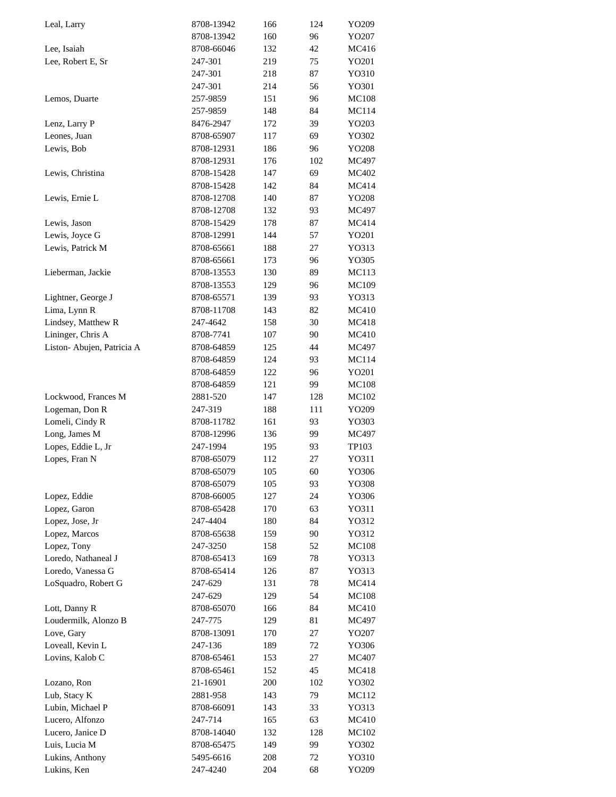| Leal, Larry                | 8708-13942 | 166 | 124 | YO209        |
|----------------------------|------------|-----|-----|--------------|
|                            | 8708-13942 | 160 | 96  | YO207        |
| Lee, Isaiah                | 8708-66046 | 132 | 42  | MC416        |
| Lee, Robert E, Sr          | 247-301    | 219 | 75  | YO201        |
|                            | 247-301    | 218 | 87  | YO310        |
|                            | 247-301    | 214 | 56  | YO301        |
| Lemos, Duarte              | 257-9859   | 151 | 96  | <b>MC108</b> |
|                            | 257-9859   | 148 | 84  | <b>MC114</b> |
|                            | 8476-2947  | 172 | 39  | YO203        |
| Lenz, Larry P              |            |     |     |              |
| Leones, Juan               | 8708-65907 | 117 | 69  | YO302        |
| Lewis, Bob                 | 8708-12931 | 186 | 96  | YO208        |
|                            | 8708-12931 | 176 | 102 | MC497        |
| Lewis, Christina           | 8708-15428 | 147 | 69  | MC402        |
|                            | 8708-15428 | 142 | 84  | MC414        |
| Lewis, Ernie L             | 8708-12708 | 140 | 87  | YO208        |
|                            | 8708-12708 | 132 | 93  | MC497        |
| Lewis, Jason               | 8708-15429 | 178 | 87  | MC414        |
| Lewis, Joyce G             | 8708-12991 | 144 | 57  | YO201        |
| Lewis, Patrick M           | 8708-65661 | 188 | 27  | YO313        |
|                            | 8708-65661 | 173 | 96  | YO305        |
| Lieberman, Jackie          | 8708-13553 | 130 | 89  | MC113        |
|                            | 8708-13553 | 129 |     |              |
|                            |            |     | 96  | MC109        |
| Lightner, George J         | 8708-65571 | 139 | 93  | YO313        |
| Lima, Lynn R               | 8708-11708 | 143 | 82  | MC410        |
| Lindsey, Matthew R         | 247-4642   | 158 | 30  | MC418        |
| Lininger, Chris A          | 8708-7741  | 107 | 90  | MC410        |
| Liston- Abujen, Patricia A | 8708-64859 | 125 | 44  | MC497        |
|                            | 8708-64859 | 124 | 93  | MC114        |
|                            | 8708-64859 | 122 | 96  | YO201        |
|                            | 8708-64859 | 121 | 99  | <b>MC108</b> |
| Lockwood, Frances M        | 2881-520   | 147 | 128 | MC102        |
| Logeman, Don R             | 247-319    | 188 | 111 | YO209        |
| Lomeli, Cindy R            | 8708-11782 | 161 | 93  | YO303        |
| Long, James M              | 8708-12996 | 136 | 99  | MC497        |
| Lopes, Eddie L, Jr         | 247-1994   | 195 | 93  | TP103        |
|                            | 8708-65079 |     | 27  | YO311        |
| Lopes, Fran N              |            | 112 |     |              |
|                            | 8708-65079 | 105 | 60  | YO306        |
|                            | 8708-65079 | 105 | 93  | YO308        |
| Lopez, Eddie               | 8708-66005 | 127 | 24  | YO306        |
| Lopez, Garon               | 8708-65428 | 170 | 63  | Y0311        |
| Lopez, Jose, Jr            | 247-4404   | 180 | 84  | YO312        |
| Lopez, Marcos              | 8708-65638 | 159 | 90  | YO312        |
| Lopez, Tony                | 247-3250   | 158 | 52  | MC108        |
| Loredo, Nathaneal J        | 8708-65413 | 169 | 78  | YO313        |
| Loredo, Vanessa G          | 8708-65414 | 126 | 87  | YO313        |
| LoSquadro, Robert G        | 247-629    | 131 | 78  | MC414        |
|                            | 247-629    | 129 | 54  | <b>MC108</b> |
| Lott, Danny R              | 8708-65070 | 166 | 84  | MC410        |
| Loudermilk, Alonzo B       | 247-775    | 129 | 81  | MC497        |
|                            |            |     |     |              |
| Love, Gary                 | 8708-13091 | 170 | 27  | YO207        |
| Loveall, Kevin L           | 247-136    | 189 | 72  | YO306        |
| Lovins, Kalob C            | 8708-65461 | 153 | 27  | MC407        |
|                            | 8708-65461 | 152 | 45  | MC418        |
| Lozano, Ron                | 21-16901   | 200 | 102 | YO302        |
| Lub, Stacy K               | 2881-958   | 143 | 79  | MC112        |
| Lubin, Michael P           | 8708-66091 | 143 | 33  | YO313        |
| Lucero, Alfonzo            | 247-714    | 165 | 63  | MC410        |
| Lucero, Janice D           | 8708-14040 | 132 | 128 | MC102        |
| Luis, Lucia M              | 8708-65475 | 149 | 99  | YO302        |
| Lukins, Anthony            | 5495-6616  | 208 | 72  | YO310        |
| Lukins, Ken                | 247-4240   | 204 | 68  | YO209        |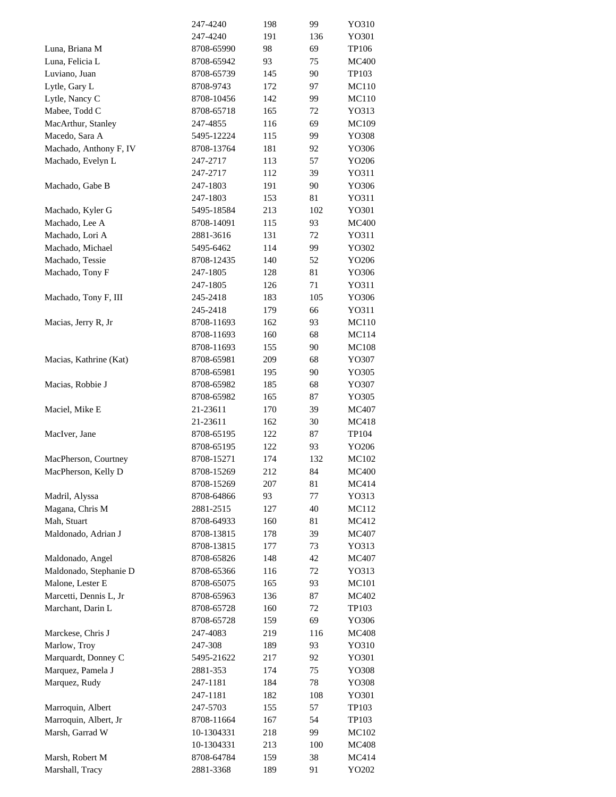|                                    | 247-4240                | 198        | 99       | YO310          |
|------------------------------------|-------------------------|------------|----------|----------------|
|                                    | 247-4240                | 191        | 136      | YO301          |
| Luna, Briana M                     | 8708-65990              | 98         | 69       | TP106          |
| Luna, Felicia L                    | 8708-65942              | 93         | 75       | <b>MC400</b>   |
| Luviano, Juan                      | 8708-65739              | 145        | 90       | TP103          |
| Lytle, Gary L                      | 8708-9743               | 172        | 97       | MC110          |
| Lytle, Nancy C                     | 8708-10456              | 142        | 99       | MC110          |
| Mabee, Todd C                      | 8708-65718              | 165        | 72       | YO313          |
| MacArthur, Stanley                 | 247-4855                | 116        | 69       | <b>MC109</b>   |
| Macedo, Sara A                     | 5495-12224              | 115        | 99       | YO308          |
| Machado, Anthony F, IV             | 8708-13764              | 181        | 92       | YO306          |
|                                    |                         |            |          |                |
| Machado, Evelyn L                  | 247-2717                | 113        | 57       | YO206          |
|                                    | 247-2717                | 112        | 39       | YO311          |
| Machado, Gabe B                    | 247-1803                | 191        | 90       | YO306          |
|                                    | 247-1803                | 153        | 81       | Y0311          |
| Machado, Kyler G                   | 5495-18584              | 213        | 102      | YO301          |
| Machado, Lee A                     | 8708-14091              | 115        | 93       | <b>MC400</b>   |
| Machado, Lori A                    | 2881-3616               | 131        | 72       | YO311          |
| Machado, Michael                   | 5495-6462               | 114        | 99       | YO302          |
| Machado, Tessie                    | 8708-12435              | 140        | 52       | YO206          |
| Machado, Tony F                    | 247-1805                | 128        | 81       | YO306          |
|                                    | 247-1805                | 126        | 71       | YO311          |
| Machado, Tony F, III               | 245-2418                | 183        | 105      | YO306          |
|                                    | 245-2418                | 179        | 66       | Y0311          |
| Macias, Jerry R, Jr                | 8708-11693              | 162        | 93       | <b>MC110</b>   |
|                                    | 8708-11693              | 160        | 68       | MC114          |
|                                    | 8708-11693              | 155        | 90       | <b>MC108</b>   |
| Macias, Kathrine (Kat)             | 8708-65981              | 209        | 68       | YO307          |
|                                    | 8708-65981              | 195        | 90       | YO305          |
| Macias, Robbie J                   | 8708-65982              | 185        | 68       | YO307          |
|                                    | 8708-65982              | 165        | 87       | YO305          |
| Maciel, Mike E                     | 21-23611                | 170        | 39       | MC407          |
|                                    | 21-23611                | 162        | 30       | MC418          |
|                                    |                         |            |          |                |
| MacIver, Jane                      | 8708-65195              | 122        | 87       | TP104          |
|                                    | 8708-65195              | 122        | 93       | YO206          |
| MacPherson, Courtney               | 8708-15271              | 174        | 132      | <b>MC102</b>   |
| MacPherson, Kelly D                | 8708-15269              | 212        | 84       | <b>MC400</b>   |
|                                    | 8708-15269              | 207        | 81       | MC414          |
| Madril, Alyssa                     | 8708-64866              | 93         | 77       | YO313          |
| Magana, Chris M                    | 2881-2515               | 127        | 40       | MC112          |
| Mah, Stuart                        | 8708-64933              | 160        | 81       | MC412          |
| Maldonado, Adrian J                | 8708-13815              | 178        | 39       | MC407          |
|                                    | 8708-13815              | 177        | 73       | YO313          |
| Maldonado, Angel                   | 8708-65826              | 148        | 42       | MC407          |
| Maldonado, Stephanie D             | 8708-65366              | 116        | 72       | YO313          |
| Malone, Lester E                   | 8708-65075              | 165        | 93       | MC101          |
| Marcetti, Dennis L, Jr             | 8708-65963              | 136        | 87       | MC402          |
| Marchant, Darin L                  | 8708-65728              | 160        | 72       | TP103          |
|                                    | 8708-65728              | 159        | 69       | YO306          |
| Marckese, Chris J                  | 247-4083                | 219        | 116      | <b>MC408</b>   |
| Marlow, Troy                       |                         |            |          | YO310          |
| Marquardt, Donney C                |                         |            |          |                |
|                                    | 247-308                 | 189        | 93       |                |
|                                    | 5495-21622              | 217        | 92       | YO301          |
| Marquez, Pamela J                  | 2881-353                | 174        | 75       | YO308          |
| Marquez, Rudy                      | 247-1181                | 184        | 78       | YO308          |
|                                    | 247-1181                | 182        | 108      | YO301          |
| Marroquin, Albert                  | 247-5703                | 155        | 57       | TP103          |
| Marroquin, Albert, Jr              | 8708-11664              | 167        | 54       | TP103          |
| Marsh, Garrad W                    | 10-1304331              | 218        | 99       | MC102          |
|                                    | 10-1304331              | 213        | 100      | <b>MC408</b>   |
| Marsh, Robert M<br>Marshall, Tracy | 8708-64784<br>2881-3368 | 159<br>189 | 38<br>91 | MC414<br>YO202 |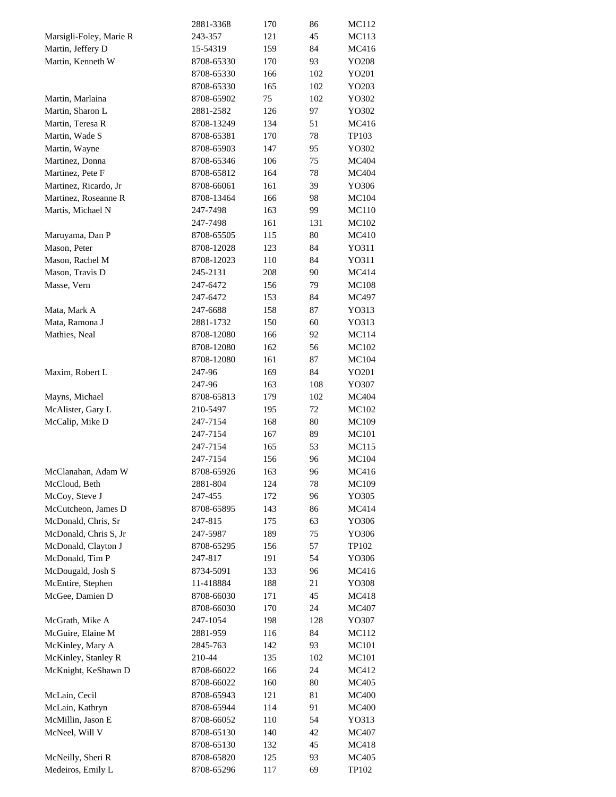|                         | 2881-3368  | 170 | 86  | MC112        |
|-------------------------|------------|-----|-----|--------------|
| Marsigli-Foley, Marie R | 243-357    | 121 | 45  | MC113        |
| Martin, Jeffery D       | 15-54319   | 159 | 84  | MC416        |
| Martin, Kenneth W       | 8708-65330 | 170 | 93  | YO208        |
|                         | 8708-65330 | 166 | 102 | YO201        |
|                         | 8708-65330 | 165 | 102 | YO203        |
| Martin, Marlaina        | 8708-65902 | 75  | 102 | YO302        |
| Martin, Sharon L        | 2881-2582  | 126 | 97  | YO302        |
| Martin, Teresa R        | 8708-13249 | 134 | 51  | MC416        |
| Martin, Wade S          | 8708-65381 | 170 | 78  | TP103        |
| Martin, Wayne           | 8708-65903 | 147 | 95  | YO302        |
| Martinez, Donna         | 8708-65346 | 106 | 75  | MC404        |
| Martinez, Pete F        | 8708-65812 | 164 | 78  | MC404        |
| Martinez, Ricardo, Jr   | 8708-66061 | 161 | 39  | YO306        |
| Martinez, Roseanne R    | 8708-13464 | 166 | 98  | MC104        |
| Martis, Michael N       | 247-7498   | 163 | 99  | <b>MC110</b> |
|                         | 247-7498   | 161 | 131 | <b>MC102</b> |
| Maruyama, Dan P         | 8708-65505 | 115 | 80  | MC410        |
| Mason, Peter            | 8708-12028 | 123 | 84  | YO311        |
| Mason, Rachel M         | 8708-12023 | 110 | 84  | YO311        |
| Mason, Travis D         | 245-2131   | 208 | 90  | MC414        |
| Masse, Vern             | 247-6472   | 156 | 79  | <b>MC108</b> |
|                         | 247-6472   | 153 | 84  | MC497        |
| Mata, Mark A            | 247-6688   | 158 | 87  | YO313        |
| Mata, Ramona J          | 2881-1732  | 150 | 60  | YO313        |
| Mathies, Neal           | 8708-12080 | 166 | 92  | MC114        |
|                         | 8708-12080 | 162 | 56  | MC102        |
|                         | 8708-12080 | 161 | 87  | MC104        |
|                         |            |     | 84  |              |
| Maxim, Robert L         | 247-96     | 169 |     | YO201        |
|                         | 247-96     | 163 | 108 | YO307        |
| Mayns, Michael          | 8708-65813 | 179 | 102 | MC404        |
| McAlister, Gary L       | 210-5497   | 195 | 72  | MC102        |
| McCalip, Mike D         | 247-7154   | 168 | 80  | MC109        |
|                         | 247-7154   | 167 | 89  | MC101        |
|                         | 247-7154   | 165 | 53  | MC115        |
|                         | 247-7154   | 156 | 96  | MC104        |
| McClanahan, Adam W      | 8708-65926 | 163 | 96  | MC416        |
| McCloud, Beth           | 2881-804   | 124 | 78  | MC109        |
| McCoy, Steve J          | 247-455    | 172 | 96  | YO305        |
| McCutcheon, James D     | 8708-65895 | 143 | 86  | MC414        |
| McDonald, Chris, Sr     | 247-815    | 175 | 63  | YO306        |
| McDonald, Chris S, Jr   | 247-5987   | 189 | 75  | YO306        |
| McDonald, Clayton J     | 8708-65295 | 156 | 57  | TP102        |
| McDonald, Tim P         | 247-817    | 191 | 54  | YO306        |
| McDougald, Josh S       | 8734-5091  | 133 | 96  | MC416        |
| McEntire, Stephen       | 11-418884  | 188 | 21  | YO308        |
| McGee, Damien D         | 8708-66030 | 171 | 45  | MC418        |
|                         | 8708-66030 | 170 | 24  | MC407        |
| McGrath, Mike A         | 247-1054   | 198 | 128 | YO307        |
| McGuire, Elaine M       | 2881-959   | 116 | 84  | MC112        |
| McKinley, Mary A        | 2845-763   | 142 | 93  | MC101        |
| McKinley, Stanley R     | 210-44     | 135 | 102 | MC101        |
| McKnight, KeShawn D     | 8708-66022 | 166 | 24  | MC412        |
|                         | 8708-66022 | 160 | 80  | MC405        |
| McLain, Cecil           | 8708-65943 | 121 | 81  | <b>MC400</b> |
| McLain, Kathryn         | 8708-65944 | 114 | 91  | <b>MC400</b> |
| McMillin, Jason E       | 8708-66052 | 110 | 54  | YO313        |
| McNeel, Will V          | 8708-65130 | 140 | 42  | MC407        |
|                         | 8708-65130 | 132 | 45  | MC418        |
| McNeilly, Sheri R       | 8708-65820 | 125 | 93  | MC405        |
| Medeiros, Emily L       | 8708-65296 | 117 | 69  | TP102        |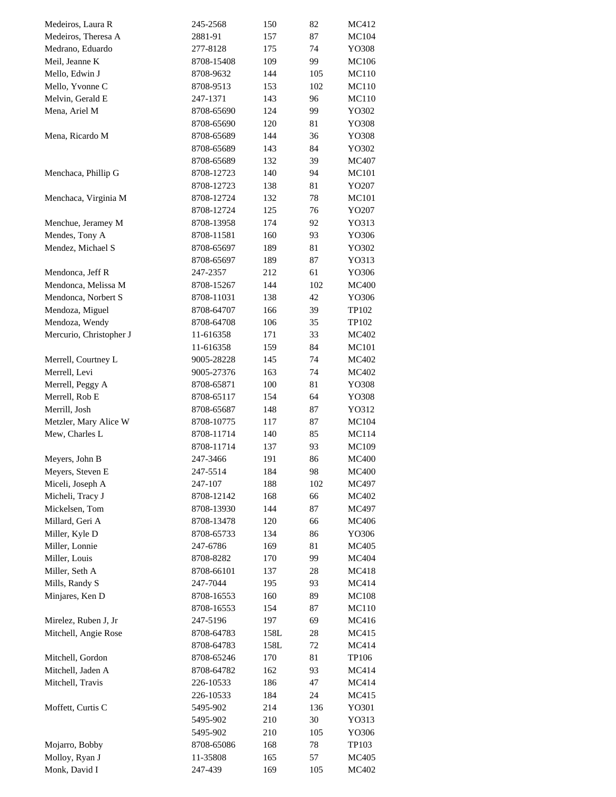| Medeiros, Laura R       | 245-2568   | 150  | 82  | MC412        |
|-------------------------|------------|------|-----|--------------|
| Medeiros, Theresa A     | 2881-91    | 157  | 87  | <b>MC104</b> |
| Medrano, Eduardo        | 277-8128   | 175  | 74  | YO308        |
| Meil, Jeanne K          | 8708-15408 | 109  | 99  | <b>MC106</b> |
| Mello, Edwin J          | 8708-9632  | 144  | 105 | MC110        |
| Mello, Yvonne C         | 8708-9513  | 153  | 102 | MC110        |
| Melvin, Gerald E        | 247-1371   | 143  | 96  | MC110        |
| Mena, Ariel M           | 8708-65690 | 124  | 99  | YO302        |
|                         | 8708-65690 | 120  | 81  | YO308        |
| Mena, Ricardo M         | 8708-65689 | 144  | 36  | YO308        |
|                         | 8708-65689 | 143  | 84  | YO302        |
|                         | 8708-65689 | 132  | 39  | MC407        |
| Menchaca, Phillip G     | 8708-12723 | 140  | 94  | MC101        |
|                         | 8708-12723 | 138  | 81  | YO207        |
| Menchaca, Virginia M    | 8708-12724 | 132  | 78  | MC101        |
|                         | 8708-12724 | 125  | 76  | YO207        |
|                         |            |      |     |              |
| Menchue, Jeramey M      | 8708-13958 | 174  | 92  | YO313        |
| Mendes, Tony A          | 8708-11581 | 160  | 93  | YO306        |
| Mendez, Michael S       | 8708-65697 | 189  | 81  | YO302        |
|                         | 8708-65697 | 189  | 87  | YO313        |
| Mendonca, Jeff R        | 247-2357   | 212  | 61  | YO306        |
| Mendonca, Melissa M     | 8708-15267 | 144  | 102 | <b>MC400</b> |
| Mendonca, Norbert S     | 8708-11031 | 138  | 42  | YO306        |
| Mendoza, Miguel         | 8708-64707 | 166  | 39  | TP102        |
| Mendoza, Wendy          | 8708-64708 | 106  | 35  | TP102        |
| Mercurio, Christopher J | 11-616358  | 171  | 33  | MC402        |
|                         | 11-616358  | 159  | 84  | MC101        |
| Merrell, Courtney L     | 9005-28228 | 145  | 74  | MC402        |
| Merrell, Levi           | 9005-27376 | 163  | 74  | MC402        |
| Merrell, Peggy A        | 8708-65871 | 100  | 81  | YO308        |
| Merrell, Rob E          | 8708-65117 | 154  | 64  | YO308        |
| Merrill, Josh           | 8708-65687 | 148  | 87  | YO312        |
| Metzler, Mary Alice W   | 8708-10775 | 117  | 87  | <b>MC104</b> |
| Mew, Charles L          | 8708-11714 | 140  | 85  | MC114        |
|                         | 8708-11714 | 137  | 93  | <b>MC109</b> |
| Meyers, John B          | 247-3466   | 191  | 86  | <b>MC400</b> |
| Meyers, Steven E        | 247-5514   | 184  | 98  | <b>MC400</b> |
| Miceli, Joseph A        | 247-107    | 188  | 102 | MC497        |
| Micheli, Tracy J        | 8708-12142 | 168  | 66  | MC402        |
| Mickelsen, Tom          | 8708-13930 | 144  | 87  | MC497        |
| Millard, Geri A         | 8708-13478 | 120  | 66  | MC406        |
|                         |            |      |     |              |
| Miller, Kyle D          | 8708-65733 | 134  | 86  | YO306        |
| Miller, Lonnie          | 247-6786   | 169  | 81  | MC405        |
| Miller, Louis           | 8708-8282  | 170  | 99  | MC404        |
| Miller, Seth A          | 8708-66101 | 137  | 28  | MC418        |
| Mills, Randy S          | 247-7044   | 195  | 93  | MC414        |
| Minjares, Ken D         | 8708-16553 | 160  | 89  | <b>MC108</b> |
|                         | 8708-16553 | 154  | 87  | MC110        |
| Mirelez, Ruben J, Jr    | 247-5196   | 197  | 69  | MC416        |
| Mitchell, Angie Rose    | 8708-64783 | 158L | 28  | MC415        |
|                         | 8708-64783 | 158L | 72  | MC414        |
| Mitchell, Gordon        | 8708-65246 | 170  | 81  | TP106        |
| Mitchell, Jaden A       | 8708-64782 | 162  | 93  | MC414        |
| Mitchell, Travis        | 226-10533  | 186  | 47  | MC414        |
|                         | 226-10533  | 184  | 24  | MC415        |
| Moffett, Curtis C       | 5495-902   | 214  | 136 | YO301        |
|                         | 5495-902   | 210  | 30  | YO313        |
|                         | 5495-902   | 210  | 105 | YO306        |
| Mojarro, Bobby          | 8708-65086 | 168  | 78  | TP103        |
| Molloy, Ryan J          | 11-35808   | 165  | 57  | MC405        |
| Monk, David I           | 247-439    | 169  | 105 | MC402        |
|                         |            |      |     |              |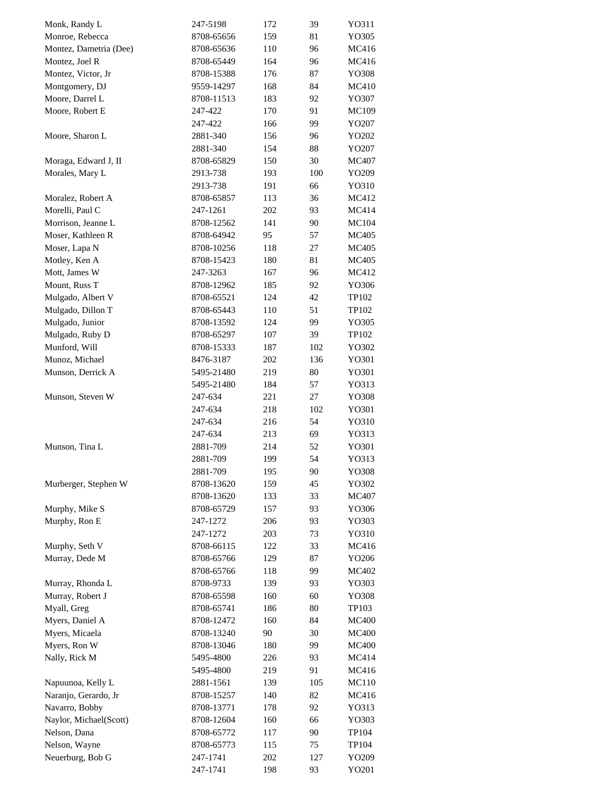| Monk, Randy L          | 247-5198   | 172 | 39  | YO311        |
|------------------------|------------|-----|-----|--------------|
| Monroe, Rebecca        | 8708-65656 | 159 | 81  | YO305        |
| Montez, Dametria (Dee) | 8708-65636 | 110 | 96  | MC416        |
| Montez, Joel R         | 8708-65449 | 164 | 96  | MC416        |
| Montez, Victor, Jr     | 8708-15388 | 176 | 87  | YO308        |
| Montgomery, DJ         | 9559-14297 | 168 | 84  | MC410        |
| Moore, Darrel L        | 8708-11513 | 183 | 92  | YO307        |
| Moore, Robert E        | 247-422    | 170 | 91  | MC109        |
|                        | 247-422    | 166 | 99  | YO207        |
| Moore, Sharon L        | 2881-340   | 156 | 96  | YO202        |
|                        | 2881-340   | 154 | 88  | YO207        |
|                        |            |     |     |              |
| Moraga, Edward J, II   | 8708-65829 | 150 | 30  | MC407        |
| Morales, Mary L        | 2913-738   | 193 | 100 | YO209        |
|                        | 2913-738   | 191 | 66  | YO310        |
| Moralez, Robert A      | 8708-65857 | 113 | 36  | MC412        |
| Morelli, Paul C        | 247-1261   | 202 | 93  | MC414        |
| Morrison, Jeanne L     | 8708-12562 | 141 | 90  | MC104        |
| Moser, Kathleen R      | 8708-64942 | 95  | 57  | MC405        |
| Moser, Lapa N          | 8708-10256 | 118 | 27  | MC405        |
| Motley, Ken A          | 8708-15423 | 180 | 81  | MC405        |
| Mott, James W          | 247-3263   | 167 | 96  | MC412        |
| Mount, Russ T          | 8708-12962 | 185 | 92  | YO306        |
| Mulgado, Albert V      | 8708-65521 | 124 | 42  | TP102        |
| Mulgado, Dillon T      | 8708-65443 | 110 | 51  | TP102        |
| Mulgado, Junior        | 8708-13592 | 124 | 99  | YO305        |
| Mulgado, Ruby D        | 8708-65297 | 107 | 39  | TP102        |
| Munford, Will          | 8708-15333 | 187 | 102 | YO302        |
| Munoz, Michael         | 8476-3187  | 202 | 136 | YO301        |
| Munson, Derrick A      | 5495-21480 | 219 | 80  | YO301        |
|                        | 5495-21480 | 184 | 57  | YO313        |
| Munson, Steven W       | 247-634    | 221 | 27  | YO308        |
|                        | 247-634    | 218 | 102 | YO301        |
|                        | 247-634    | 216 | 54  |              |
|                        |            |     |     | YO310        |
|                        | 247-634    | 213 | 69  | YO313        |
| Munson, Tina L         | 2881-709   | 214 | 52  | YO301        |
|                        | 2881-709   | 199 | 54  | YO313        |
|                        | 2881-709   | 195 | 90  | YO308        |
| Murberger, Stephen W   | 8708-13620 | 159 | 45  | YO302        |
|                        | 8708-13620 | 133 | 33  | MC407        |
| Murphy, Mike S         | 8708-65729 | 157 | 93  | YO306        |
| Murphy, Ron E          | 247-1272   | 206 | 93  | YO303        |
|                        | 247-1272   | 203 | 73  | YO310        |
| Murphy, Seth V         | 8708-66115 | 122 | 33  | MC416        |
| Murray, Dede M         | 8708-65766 | 129 | 87  | YO206        |
|                        | 8708-65766 | 118 | 99  | MC402        |
| Murray, Rhonda L       | 8708-9733  | 139 | 93  | YO303        |
| Murray, Robert J       | 8708-65598 | 160 | 60  | YO308        |
| Myall, Greg            | 8708-65741 | 186 | 80  | TP103        |
| Myers, Daniel A        | 8708-12472 | 160 | 84  | <b>MC400</b> |
| Myers, Micaela         | 8708-13240 | 90  | 30  | <b>MC400</b> |
| Myers, Ron W           | 8708-13046 | 180 | 99  | <b>MC400</b> |
| Nally, Rick M          | 5495-4800  | 226 | 93  | MC414        |
|                        | 5495-4800  | 219 | 91  | MC416        |
|                        |            |     |     |              |
| Napuunoa, Kelly L      | 2881-1561  | 139 | 105 | MC110        |
| Naranjo, Gerardo, Jr   | 8708-15257 | 140 | 82  | MC416        |
| Navarro, Bobby         | 8708-13771 | 178 | 92  | YO313        |
| Naylor, Michael(Scott) | 8708-12604 | 160 | 66  | YO303        |
| Nelson, Dana           | 8708-65772 | 117 | 90  | TP104        |
| Nelson, Wayne          | 8708-65773 | 115 | 75  | TP104        |
| Neuerburg, Bob G       | 247-1741   | 202 | 127 | YO209        |
|                        | 247-1741   | 198 | 93  | YO201        |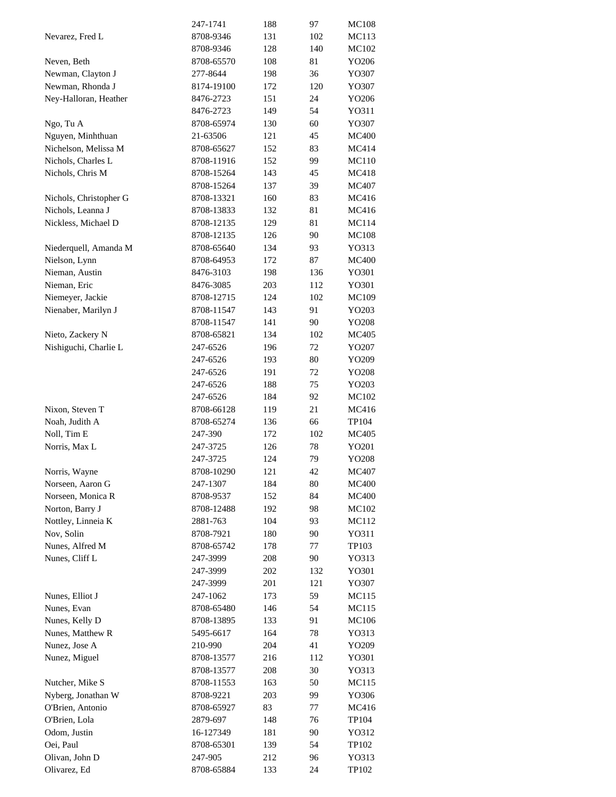|                        | 247-1741   | 188 | 97  | <b>MC108</b> |
|------------------------|------------|-----|-----|--------------|
| Nevarez, Fred L        | 8708-9346  | 131 | 102 | MC113        |
|                        | 8708-9346  | 128 | 140 | MC102        |
| Neven, Beth            | 8708-65570 | 108 | 81  | YO206        |
| Newman, Clayton J      | 277-8644   | 198 | 36  | YO307        |
| Newman, Rhonda J       | 8174-19100 | 172 | 120 | YO307        |
| Ney-Halloran, Heather  | 8476-2723  | 151 | 24  | YO206        |
|                        | 8476-2723  | 149 | 54  | YO311        |
|                        | 8708-65974 | 130 | 60  | YO307        |
| Ngo, Tu A              |            |     |     |              |
| Nguyen, Minhthuan      | 21-63506   | 121 | 45  | <b>MC400</b> |
| Nichelson, Melissa M   | 8708-65627 | 152 | 83  | MC414        |
| Nichols, Charles L     | 8708-11916 | 152 | 99  | MC110        |
| Nichols, Chris M       | 8708-15264 | 143 | 45  | MC418        |
|                        | 8708-15264 | 137 | 39  | MC407        |
| Nichols, Christopher G | 8708-13321 | 160 | 83  | MC416        |
| Nichols, Leanna J      | 8708-13833 | 132 | 81  | MC416        |
| Nickless, Michael D    | 8708-12135 | 129 | 81  | MC114        |
|                        | 8708-12135 | 126 | 90  | <b>MC108</b> |
| Niederquell, Amanda M  | 8708-65640 | 134 | 93  | YO313        |
| Nielson, Lynn          | 8708-64953 | 172 | 87  | <b>MC400</b> |
| Nieman, Austin         | 8476-3103  | 198 | 136 | YO301        |
| Nieman, Eric           | 8476-3085  | 203 | 112 | YO301        |
| Niemeyer, Jackie       | 8708-12715 | 124 | 102 | MC109        |
|                        |            |     | 91  |              |
| Nienaber, Marilyn J    | 8708-11547 | 143 |     | YO203        |
|                        | 8708-11547 | 141 | 90  | YO208        |
| Nieto, Zackery N       | 8708-65821 | 134 | 102 | MC405        |
| Nishiguchi, Charlie L  | 247-6526   | 196 | 72  | YO207        |
|                        | 247-6526   | 193 | 80  | YO209        |
|                        | 247-6526   | 191 | 72  | YO208        |
|                        | 247-6526   | 188 | 75  | YO203        |
|                        | 247-6526   | 184 | 92  | MC102        |
| Nixon, Steven T        | 8708-66128 | 119 | 21  | MC416        |
| Noah, Judith A         | 8708-65274 | 136 | 66  | TP104        |
| Noll, Tim E            | 247-390    | 172 | 102 | MC405        |
| Norris, Max L          | 247-3725   | 126 | 78  | YO201        |
|                        | 247-3725   | 124 | 79  | YO208        |
| Norris, Wayne          | 8708-10290 | 121 | 42  | MC407        |
| Norseen, Aaron G       | 247-1307   | 184 | 80  | <b>MC400</b> |
| Norseen, Monica R      | 8708-9537  | 152 | 84  | <b>MC400</b> |
| Norton, Barry J        | 8708-12488 | 192 | 98  | MC102        |
| Nottley, Linneia K     | 2881-763   | 104 | 93  | MC112        |
| Nov, Solin             | 8708-7921  |     | 90  |              |
|                        |            | 180 |     | YO311        |
| Nunes, Alfred M        | 8708-65742 | 178 | 77  | TP103        |
| Nunes, Cliff L         | 247-3999   | 208 | 90  | YO313        |
|                        | 247-3999   | 202 | 132 | YO301        |
|                        | 247-3999   | 201 | 121 | YO307        |
| Nunes, Elliot J        | 247-1062   | 173 | 59  | MC115        |
| Nunes, Evan            | 8708-65480 | 146 | 54  | MC115        |
| Nunes, Kelly D         | 8708-13895 | 133 | 91  | MC106        |
| Nunes, Matthew R       | 5495-6617  | 164 | 78  | YO313        |
| Nunez, Jose A          | 210-990    | 204 | 41  | YO209        |
| Nunez, Miguel          | 8708-13577 | 216 | 112 | YO301        |
|                        | 8708-13577 | 208 | 30  | YO313        |
| Nutcher, Mike S        | 8708-11553 | 163 | 50  | MC115        |
| Nyberg, Jonathan W     | 8708-9221  | 203 | 99  | YO306        |
| O'Brien, Antonio       | 8708-65927 | 83  | 77  | MC416        |
| O'Brien, Lola          | 2879-697   | 148 | 76  | TP104        |
| Odom, Justin           | 16-127349  | 181 | 90  | YO312        |
| Oei, Paul              | 8708-65301 |     | 54  |              |
|                        |            | 139 |     | TP102        |
| Olivan, John D         | 247-905    | 212 | 96  | YO313        |
| Olivarez, Ed           | 8708-65884 | 133 | 24  | TP102        |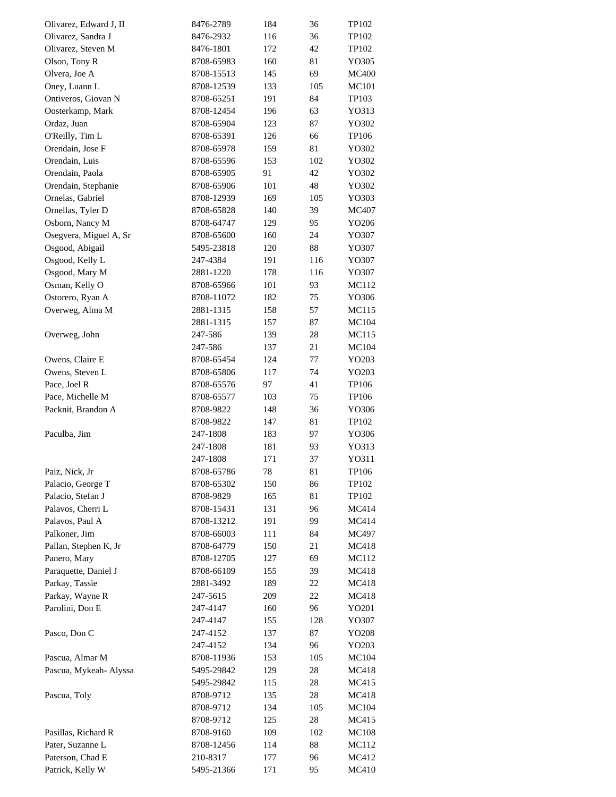| Olivarez, Edward J, II               | 8476-2789  | 184    | 36       | TP102        |
|--------------------------------------|------------|--------|----------|--------------|
| Olivarez, Sandra J                   | 8476-2932  | 116    | 36       | TP102        |
| Olivarez, Steven M                   | 8476-1801  | 172    | 42       | TP102        |
| Olson, Tony R                        | 8708-65983 | 160    | 81       | YO305        |
| Olvera, Joe A                        | 8708-15513 | 145    | 69       | <b>MC400</b> |
| Oney, Luann L                        | 8708-12539 | 133    | 105      | MC101        |
| Ontiveros, Giovan N                  | 8708-65251 | 191    | 84       | TP103        |
| Oosterkamp, Mark                     | 8708-12454 | 196    | 63       | YO313        |
| Ordaz, Juan                          | 8708-65904 | 123    | 87       | YO302        |
| O'Reilly, Tim L                      | 8708-65391 | 126    | 66       | TP106        |
| Orendain, Jose F                     | 8708-65978 | 159    | 81       | YO302        |
| Orendain, Luis                       | 8708-65596 | 153    | 102      | YO302        |
| Orendain, Paola                      | 8708-65905 | 91     | 42       | YO302        |
| Orendain, Stephanie                  | 8708-65906 | 101    | 48       | YO302        |
| Ornelas, Gabriel                     | 8708-12939 | 169    | 105      | YO303        |
| Ornellas, Tyler D                    | 8708-65828 | 140    | 39       | MC407        |
| Osborn, Nancy M                      | 8708-64747 | 129    | 95       | YO206        |
| Osegvera, Miguel A, Sr               | 8708-65600 | 160    | 24       | YO307        |
| Osgood, Abigail                      | 5495-23818 | 120    | 88       | YO307        |
| Osgood, Kelly L                      | 247-4384   | 191    | 116      | YO307        |
| Osgood, Mary M                       | 2881-1220  | 178    | 116      | YO307        |
| Osman, Kelly O                       | 8708-65966 | 101    | 93       | MC112        |
| Ostorero, Ryan A                     | 8708-11072 | 182    | 75       | YO306        |
| Overweg, Alma M                      | 2881-1315  | 158    | 57       | MC115        |
|                                      | 2881-1315  | 157    | 87       | MC104        |
| Overweg, John                        | 247-586    | 139    | 28       | MC115        |
|                                      | 247-586    | 137    | 21       | MC104        |
| Owens, Claire E                      | 8708-65454 | 124    | 77       | YO203        |
| Owens, Steven L                      | 8708-65806 | 117    | 74       | YO203        |
| Pace, Joel R                         | 8708-65576 | 97     | 41       | TP106        |
| Pace, Michelle M                     | 8708-65577 | 103    | 75       | TP106        |
| Packnit, Brandon A                   | 8708-9822  | 148    | 36       | YO306        |
|                                      | 8708-9822  | 147    | 81       | TP102        |
| Paculba, Jim                         | 247-1808   | 183    | 97       | YO306        |
|                                      | 247-1808   | 181    | 93       | YO313        |
|                                      |            |        |          |              |
|                                      | 247-1808   | 171    | 37       | YO311        |
| Paiz, Nick, Jr<br>Palacio, George T  | 8708-65786 | $78\,$ | 81<br>86 | TP106        |
|                                      | 8708-65302 | 150    |          | TP102        |
| Palacio, Stefan J                    | 8708-9829  | 165    | 81       | TP102        |
| Palavos, Cherri L<br>Palavos, Paul A | 8708-15431 | 131    | 96       | MC414        |
|                                      | 8708-13212 | 191    | 99       | MC414        |
| Palkoner, Jim                        | 8708-66003 | 111    | 84       | MC497        |
| Pallan, Stephen K, Jr                | 8708-64779 | 150    | 21       | MC418        |
| Panero, Mary                         | 8708-12705 | 127    | 69       | MC112        |
| Paraquette, Daniel J                 | 8708-66109 | 155    | 39       | MC418        |
| Parkay, Tassie                       | 2881-3492  | 189    | 22       | MC418        |
| Parkay, Wayne R                      | 247-5615   | 209    | 22       | MC418        |
| Parolini, Don E                      | 247-4147   | 160    | 96       | YO201        |
|                                      | 247-4147   | 155    | 128      | YO307        |
| Pasco, Don C                         | 247-4152   | 137    | 87       | YO208        |
|                                      | 247-4152   | 134    | 96       | YO203        |
| Pascua, Almar M                      | 8708-11936 | 153    | 105      | MC104        |
| Pascua, Mykeah- Alyssa               | 5495-29842 | 129    | 28       | MC418        |
|                                      | 5495-29842 | 115    | 28       | MC415        |
| Pascua, Toly                         | 8708-9712  | 135    | 28       | MC418        |
|                                      | 8708-9712  | 134    | 105      | MC104        |
|                                      | 8708-9712  | 125    | 28       | MC415        |
| Pasillas, Richard R                  | 8708-9160  | 109    | 102      | MC108        |
| Pater, Suzanne L                     | 8708-12456 | 114    | 88       | MC112        |
| Paterson, Chad E                     | 210-8317   | 177    | 96       | MC412        |
| Patrick, Kelly W                     | 5495-21366 | 171    | 95       | MC410        |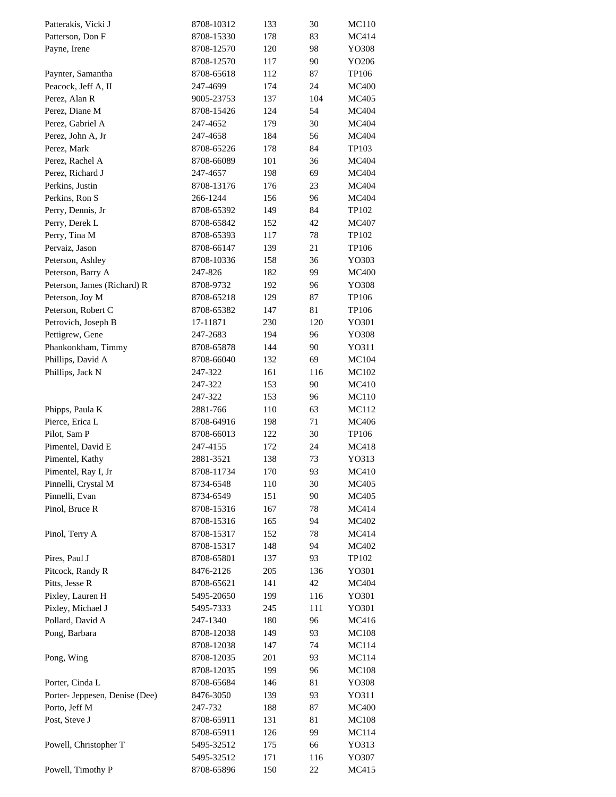| Patterakis, Vicki J            | 8708-10312             | 133 | 30  | MC110        |
|--------------------------------|------------------------|-----|-----|--------------|
| Patterson, Don F               | 8708-15330             | 178 | 83  | MC414        |
| Payne, Irene                   | 8708-12570             | 120 | 98  | YO308        |
|                                | 8708-12570             | 117 | 90  | YO206        |
| Paynter, Samantha              | 8708-65618             | 112 | 87  | TP106        |
| Peacock, Jeff A, II            | 247-4699               | 174 | 24  | <b>MC400</b> |
| Perez, Alan R                  | 9005-23753             | 137 | 104 | MC405        |
| Perez, Diane M                 | 8708-15426             | 124 | 54  | MC404        |
| Perez, Gabriel A               | 247-4652               | 179 | 30  | MC404        |
| Perez, John A, Jr              | 247-4658               | 184 | 56  | MC404        |
| Perez, Mark                    | 8708-65226             | 178 | 84  | TP103        |
| Perez, Rachel A                | 8708-66089             | 101 | 36  | MC404        |
| Perez, Richard J               | 247-4657               | 198 | 69  | MC404        |
| Perkins, Justin                | 8708-13176             | 176 | 23  | MC404        |
| Perkins, Ron S                 | 266-1244               | 156 | 96  | MC404        |
| Perry, Dennis, Jr              | 8708-65392             | 149 | 84  | TP102        |
| Perry, Derek L                 | 8708-65842             | 152 | 42  | MC407        |
| Perry, Tina M                  | 8708-65393             | 117 | 78  | TP102        |
| Pervaiz, Jason                 | 8708-66147             | 139 | 21  | TP106        |
| Peterson, Ashley               | 8708-10336             | 158 | 36  | YO303        |
| Peterson, Barry A              | 247-826                | 182 | 99  | <b>MC400</b> |
| Peterson, James (Richard) R    | 8708-9732              | 192 | 96  | YO308        |
| Peterson, Joy M                | 8708-65218             | 129 | 87  | TP106        |
| Peterson, Robert C             | 8708-65382             | 147 | 81  | TP106        |
| Petrovich, Joseph B            | 17-11871               | 230 | 120 | YO301        |
| Pettigrew, Gene                | 247-2683               | 194 | 96  | YO308        |
| Phankonkham, Timmy             | 8708-65878             | 144 | 90  | YO311        |
| Phillips, David A              | 8708-66040             | 132 | 69  | MC104        |
| Phillips, Jack N               | 247-322                | 161 | 116 | MC102        |
|                                | 247-322                | 153 | 90  | MC410        |
|                                | 247-322                | 153 | 96  | <b>MC110</b> |
| Phipps, Paula K                | 2881-766               | 110 | 63  | MC112        |
| Pierce, Erica L                | 8708-64916             | 198 | 71  | MC406        |
| Pilot, Sam P                   |                        |     |     | TP106        |
| Pimentel, David E              | 8708-66013<br>247-4155 | 122 | 30  |              |
|                                |                        | 172 | 24  | MC418        |
| Pimentel, Kathy                | 2881-3521              | 138 | 73  | YO313        |
| Pimentel, Ray I, Jr            | 8708-11734             | 170 | 93  | MC410        |
| Pinnelli, Crystal M            | 8734-6548              | 110 | 30  | MC405        |
| Pinnelli, Evan                 | 8734-6549              | 151 | 90  | MC405        |
| Pinol, Bruce R                 | 8708-15316             | 167 | 78  | MC414        |
|                                | 8708-15316             | 165 | 94  | MC402        |
| Pinol, Terry A                 | 8708-15317             | 152 | 78  | MC414        |
|                                | 8708-15317             | 148 | 94  | MC402        |
| Pires, Paul J                  | 8708-65801             | 137 | 93  | TP102        |
| Pitcock, Randy R               | 8476-2126              | 205 | 136 | YO301        |
| Pitts, Jesse R                 | 8708-65621             | 141 | 42  | MC404        |
| Pixley, Lauren H               | 5495-20650             | 199 | 116 | YO301        |
| Pixley, Michael J              | 5495-7333              | 245 | 111 | YO301        |
| Pollard, David A               | 247-1340               | 180 | 96  | MC416        |
| Pong, Barbara                  | 8708-12038             | 149 | 93  | <b>MC108</b> |
|                                | 8708-12038             | 147 | 74  | MC114        |
| Pong, Wing                     | 8708-12035             | 201 | 93  | MC114        |
|                                | 8708-12035             | 199 | 96  | MC108        |
| Porter, Cinda L                | 8708-65684             | 146 | 81  | YO308        |
| Porter- Jeppesen, Denise (Dee) | 8476-3050              | 139 | 93  | YO311        |
| Porto, Jeff M                  | 247-732                | 188 | 87  | <b>MC400</b> |
| Post, Steve J                  | 8708-65911             | 131 | 81  | MC108        |
|                                | 8708-65911             | 126 | 99  | MC114        |
| Powell, Christopher T          | 5495-32512             | 175 | 66  | YO313        |
|                                | 5495-32512             | 171 | 116 | YO307        |
| Powell, Timothy P              | 8708-65896             | 150 | 22  | MC415        |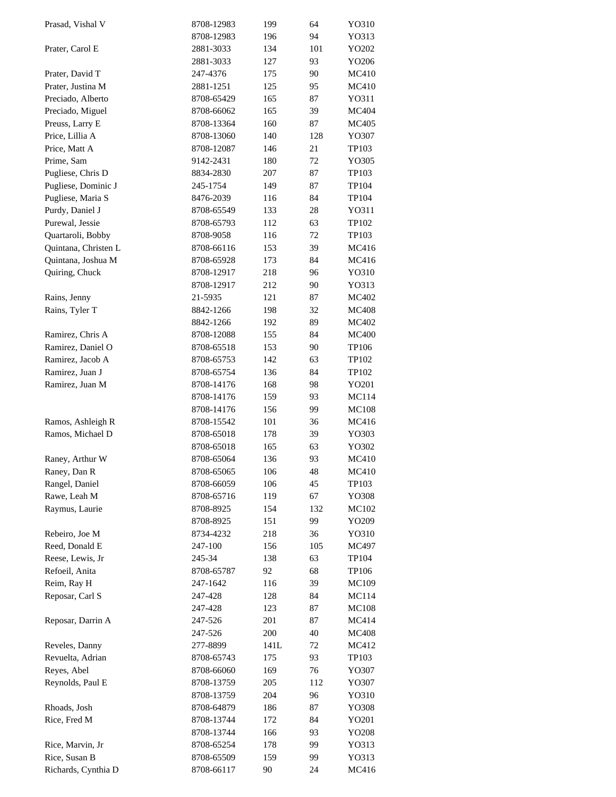| Prasad, Vishal V     | 8708-12983 | 199  | 64  | YO310        |
|----------------------|------------|------|-----|--------------|
|                      | 8708-12983 | 196  | 94  | YO313        |
| Prater, Carol E      | 2881-3033  | 134  | 101 | YO202        |
|                      | 2881-3033  | 127  | 93  | YO206        |
| Prater, David T      | 247-4376   | 175  | 90  | MC410        |
| Prater, Justina M    | 2881-1251  | 125  | 95  | MC410        |
| Preciado, Alberto    | 8708-65429 | 165  | 87  | YO311        |
| Preciado, Miguel     | 8708-66062 | 165  | 39  | MC404        |
| Preuss, Larry E      | 8708-13364 | 160  | 87  | <b>MC405</b> |
| Price, Lillia A      | 8708-13060 | 140  | 128 | YO307        |
| Price, Matt A        | 8708-12087 | 146  | 21  | TP103        |
| Prime, Sam           | 9142-2431  | 180  | 72  | YO305        |
| Pugliese, Chris D    | 8834-2830  | 207  | 87  | TP103        |
| Pugliese, Dominic J  | 245-1754   | 149  | 87  | TP104        |
| Pugliese, Maria S    | 8476-2039  | 116  | 84  | TP104        |
| Purdy, Daniel J      | 8708-65549 | 133  | 28  | YO311        |
| Purewal, Jessie      | 8708-65793 | 112  | 63  | TP102        |
| Quartaroli, Bobby    | 8708-9058  | 116  | 72  | TP103        |
|                      | 8708-66116 |      |     |              |
| Quintana, Christen L |            | 153  | 39  | MC416        |
| Quintana, Joshua M   | 8708-65928 | 173  | 84  | MC416        |
| Quiring, Chuck       | 8708-12917 | 218  | 96  | YO310        |
|                      | 8708-12917 | 212  | 90  | YO313        |
| Rains, Jenny         | 21-5935    | 121  | 87  | MC402        |
| Rains, Tyler T       | 8842-1266  | 198  | 32  | <b>MC408</b> |
|                      | 8842-1266  | 192  | 89  | MC402        |
| Ramirez, Chris A     | 8708-12088 | 155  | 84  | <b>MC400</b> |
| Ramirez, Daniel O    | 8708-65518 | 153  | 90  | TP106        |
| Ramirez, Jacob A     | 8708-65753 | 142  | 63  | TP102        |
| Ramirez, Juan J      | 8708-65754 | 136  | 84  | TP102        |
| Ramirez, Juan M      | 8708-14176 | 168  | 98  | YO201        |
|                      | 8708-14176 | 159  | 93  | MC114        |
|                      | 8708-14176 | 156  | 99  | <b>MC108</b> |
| Ramos, Ashleigh R    | 8708-15542 | 101  | 36  | MC416        |
| Ramos, Michael D     | 8708-65018 | 178  | 39  | YO303        |
|                      | 8708-65018 | 165  | 63  | YO302        |
| Raney, Arthur W      | 8708-65064 | 136  | 93  | <b>MC410</b> |
| Raney, Dan R         | 8708-65065 | 106  | 48  | MC410        |
| Rangel, Daniel       | 8708-66059 | 106  | 45  | TP103        |
| Rawe, Leah M         | 8708-65716 | 119  | 67  | YO308        |
| Raymus, Laurie       | 8708-8925  | 154  | 132 | MC102        |
|                      | 8708-8925  | 151  | 99  | YO209        |
| Rebeiro, Joe M       | 8734-4232  | 218  | 36  | YO310        |
| Reed, Donald E       | 247-100    | 156  | 105 | MC497        |
| Reese, Lewis, Jr     | 245-34     | 138  | 63  | TP104        |
| Refoeil, Anita       | 8708-65787 | 92   | 68  | TP106        |
| Reim, Ray H          | 247-1642   | 116  | 39  | MC109        |
| Reposar, Carl S      | 247-428    | 128  | 84  | MC114        |
|                      | 247-428    | 123  | 87  | <b>MC108</b> |
| Reposar, Darrin A    | 247-526    | 201  | 87  | MC414        |
|                      | 247-526    | 200  | 40  | <b>MC408</b> |
|                      |            |      |     |              |
| Reveles, Danny       | 277-8899   | 141L | 72  | MC412        |
| Revuelta, Adrian     | 8708-65743 | 175  | 93  | TP103        |
| Reyes, Abel          | 8708-66060 | 169  | 76  | YO307        |
| Reynolds, Paul E     | 8708-13759 | 205  | 112 | YO307        |
|                      | 8708-13759 | 204  | 96  | YO310        |
| Rhoads, Josh         | 8708-64879 | 186  | 87  | YO308        |
| Rice, Fred M         | 8708-13744 | 172  | 84  | YO201        |
|                      | 8708-13744 | 166  | 93  | YO208        |
| Rice, Marvin, Jr     | 8708-65254 | 178  | 99  | YO313        |
| Rice, Susan B        | 8708-65509 | 159  | 99  | YO313        |
| Richards, Cynthia D  | 8708-66117 | 90   | 24  | MC416        |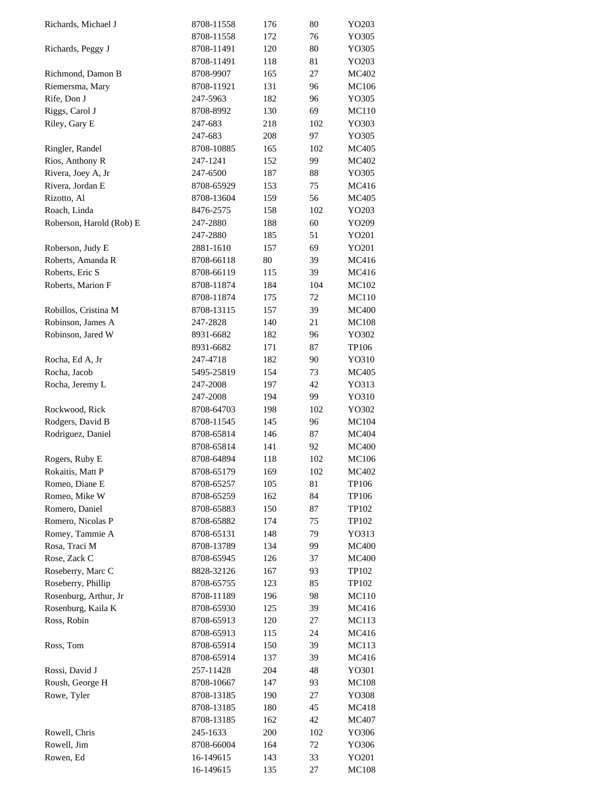| Richards, Michael J      | 8708-11558 | 176 | 80  | YO203        |
|--------------------------|------------|-----|-----|--------------|
|                          | 8708-11558 | 172 | 76  | YO305        |
| Richards, Peggy J        | 8708-11491 | 120 | 80  | YO305        |
|                          | 8708-11491 | 118 | 81  | YO203        |
| Richmond, Damon B        | 8708-9907  | 165 | 27  | MC402        |
| Riemersma, Mary          | 8708-11921 | 131 | 96  | <b>MC106</b> |
| Rife, Don J              | 247-5963   | 182 | 96  | YO305        |
| Riggs, Carol J           | 8708-8992  | 130 | 69  | MC110        |
| Riley, Gary E            | 247-683    | 218 | 102 | YO303        |
|                          | 247-683    | 208 | 97  | YO305        |
| Ringler, Randel          | 8708-10885 | 165 | 102 | MC405        |
| Rios, Anthony R          | 247-1241   | 152 | 99  | MC402        |
| Rivera, Joey A, Jr       | 247-6500   | 187 | 88  | YO305        |
| Rivera, Jordan E         | 8708-65929 | 153 | 75  | MC416        |
| Rizotto, Al              | 8708-13604 | 159 | 56  | MC405        |
| Roach, Linda             | 8476-2575  | 158 | 102 | YO203        |
| Roberson, Harold (Rob) E | 247-2880   | 188 | 60  | YO209        |
|                          | 247-2880   | 185 | 51  | YO201        |
| Roberson, Judy E         | 2881-1610  | 157 | 69  | YO201        |
| Roberts, Amanda R        | 8708-66118 | 80  | 39  | MC416        |
| Roberts, Eric S          | 8708-66119 | 115 | 39  | MC416        |
| Roberts, Marion F        | 8708-11874 | 184 | 104 | MC102        |
|                          | 8708-11874 | 175 | 72  | <b>MC110</b> |
| Robillos, Cristina M     | 8708-13115 | 157 | 39  | <b>MC400</b> |
| Robinson, James A        | 247-2828   | 140 | 21  | <b>MC108</b> |
| Robinson, Jared W        | 8931-6682  | 182 | 96  | YO302        |
|                          | 8931-6682  | 171 | 87  | TP106        |
| Rocha, Ed A, Jr          | 247-4718   | 182 | 90  | YO310        |
| Rocha, Jacob             | 5495-25819 | 154 | 73  | MC405        |
|                          |            |     | 42  |              |
| Rocha, Jeremy L          | 247-2008   | 197 | 99  | YO313        |
|                          | 247-2008   | 194 |     | YO310        |
| Rockwood, Rick           | 8708-64703 | 198 | 102 | YO302        |
| Rodgers, David B         | 8708-11545 | 145 | 96  | MC104        |
| Rodriguez, Daniel        | 8708-65814 | 146 | 87  | MC404        |
|                          | 8708-65814 | 141 | 92  | <b>MC400</b> |
| Rogers, Ruby E           | 8708-64894 | 118 | 102 | <b>MC106</b> |
| Rokaitis, Matt P         | 8708-65179 | 169 | 102 | MC402        |
| Romeo, Diane E           | 8708-65257 | 105 | 81  | TP106        |
| Romeo, Mike W            | 8708-65259 | 162 | 84  | TP106        |
| Romero, Daniel           | 8708-65883 | 150 | 87  | TP102        |
| Romero, Nicolas P        | 8708-65882 | 174 | 75  | TP102        |
| Romey, Tammie A          | 8708-65131 | 148 | 79  | YO313        |
| Rosa, Traci M            | 8708-13789 | 134 | 99  | <b>MC400</b> |
| Rose, Zack C             | 8708-65945 | 126 | 37  | <b>MC400</b> |
| Roseberry, Marc C        | 8828-32126 | 167 | 93  | TP102        |
| Roseberry, Phillip       | 8708-65755 | 123 | 85  | TP102        |
| Rosenburg, Arthur, Jr    | 8708-11189 | 196 | 98  | MC110        |
| Rosenburg, Kaila K       | 8708-65930 | 125 | 39  | MC416        |
| Ross, Robin              | 8708-65913 | 120 | 27  | MC113        |
|                          | 8708-65913 | 115 | 24  | MC416        |
| Ross, Tom                | 8708-65914 | 150 | 39  | MC113        |
|                          | 8708-65914 | 137 | 39  | MC416        |
| Rossi, David J           | 257-11428  | 204 | 48  | YO301        |
| Roush, George H          | 8708-10667 | 147 | 93  | <b>MC108</b> |
| Rowe, Tyler              | 8708-13185 | 190 | 27  | YO308        |
|                          | 8708-13185 | 180 | 45  | MC418        |
|                          | 8708-13185 | 162 | 42  | MC407        |
| Rowell, Chris            | 245-1633   | 200 | 102 | YO306        |
| Rowell, Jim              | 8708-66004 | 164 | 72  | YO306        |
| Rowen, Ed                | 16-149615  | 143 | 33  | YO201        |
|                          | 16-149615  | 135 | 27  | <b>MC108</b> |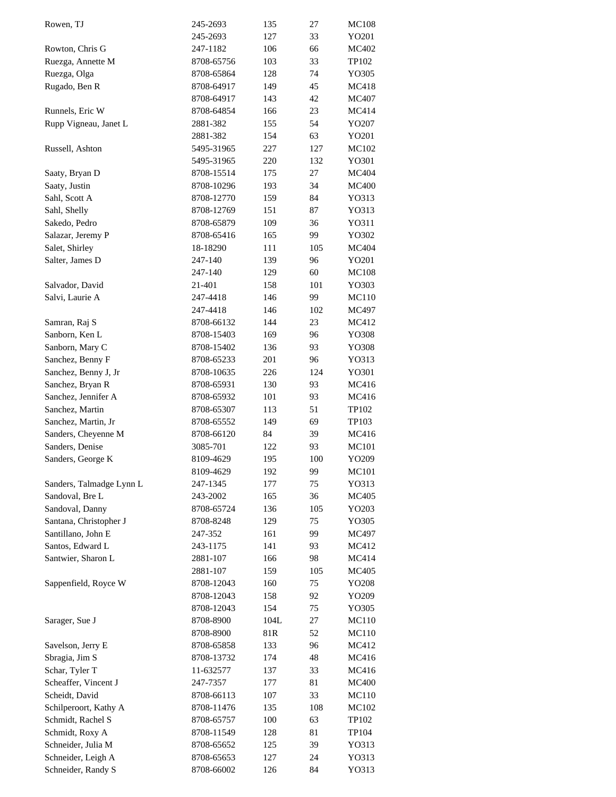| Rowen, TJ                | 245-2693   | 135  | 27  | <b>MC108</b> |
|--------------------------|------------|------|-----|--------------|
|                          | 245-2693   | 127  | 33  | YO201        |
| Rowton, Chris G          | 247-1182   | 106  | 66  | MC402        |
| Ruezga, Annette M        | 8708-65756 | 103  | 33  | TP102        |
| Ruezga, Olga             | 8708-65864 | 128  | 74  | YO305        |
| Rugado, Ben R            | 8708-64917 | 149  | 45  | MC418        |
|                          | 8708-64917 | 143  | 42  | MC407        |
| Runnels, Eric W          | 8708-64854 | 166  | 23  | MC414        |
| Rupp Vigneau, Janet L    | 2881-382   | 155  | 54  | YO207        |
|                          | 2881-382   | 154  | 63  | YO201        |
| Russell, Ashton          | 5495-31965 | 227  | 127 | MC102        |
|                          | 5495-31965 | 220  | 132 | YO301        |
|                          |            |      |     |              |
| Saaty, Bryan D           | 8708-15514 | 175  | 27  | MC404        |
| Saaty, Justin            | 8708-10296 | 193  | 34  | <b>MC400</b> |
| Sahl, Scott A            | 8708-12770 | 159  | 84  | YO313        |
| Sahl, Shelly             | 8708-12769 | 151  | 87  | YO313        |
| Sakedo, Pedro            | 8708-65879 | 109  | 36  | Y0311        |
| Salazar, Jeremy P        | 8708-65416 | 165  | 99  | YO302        |
| Salet, Shirley           | 18-18290   | 111  | 105 | MC404        |
| Salter, James D          | 247-140    | 139  | 96  | YO201        |
|                          | 247-140    | 129  | 60  | <b>MC108</b> |
| Salvador, David          | 21-401     | 158  | 101 | YO303        |
| Salvi, Laurie A          | 247-4418   | 146  | 99  | MC110        |
|                          | 247-4418   | 146  | 102 | MC497        |
| Samran, Raj S            | 8708-66132 | 144  | 23  | MC412        |
| Sanborn, Ken L           | 8708-15403 | 169  | 96  | YO308        |
| Sanborn, Mary C          | 8708-15402 | 136  | 93  | YO308        |
| Sanchez, Benny F         | 8708-65233 | 201  | 96  | YO313        |
| Sanchez, Benny J, Jr     | 8708-10635 | 226  | 124 | YO301        |
| Sanchez, Bryan R         | 8708-65931 | 130  | 93  | MC416        |
| Sanchez, Jennifer A      | 8708-65932 | 101  | 93  | MC416        |
| Sanchez, Martin          | 8708-65307 | 113  | 51  | TP102        |
| Sanchez, Martin, Jr      | 8708-65552 | 149  | 69  | TP103        |
|                          |            |      |     |              |
| Sanders, Cheyenne M      | 8708-66120 | 84   | 39  | MC416        |
| Sanders, Denise          | 3085-701   | 122  | 93  | <b>MC101</b> |
| Sanders, George K        | 8109-4629  | 195  | 100 | YO209        |
|                          | 8109-4629  | 192  | 99  | <b>MC101</b> |
| Sanders, Talmadge Lynn L | 247-1345   | 177  | 75  | YO313        |
| Sandoval, Bre L          | 243-2002   | 165  | 36  | MC405        |
| Sandoval, Danny          | 8708-65724 | 136  | 105 | YO203        |
| Santana, Christopher J   | 8708-8248  | 129  | 75  | YO305        |
| Santillano, John E       | 247-352    | 161  | 99  | MC497        |
| Santos, Edward L         | 243-1175   | 141  | 93  | MC412        |
| Santwier, Sharon L       | 2881-107   | 166  | 98  | MC414        |
|                          | 2881-107   | 159  | 105 | MC405        |
| Sappenfield, Royce W     | 8708-12043 | 160  | 75  | YO208        |
|                          | 8708-12043 | 158  | 92  | YO209        |
|                          | 8708-12043 | 154  | 75  | YO305        |
| Sarager, Sue J           | 8708-8900  | 104L | 27  | MC110        |
|                          | 8708-8900  | 81R  | 52  | MC110        |
| Savelson, Jerry E        | 8708-65858 | 133  | 96  | MC412        |
| Sbragia, Jim S           | 8708-13732 | 174  | 48  | MC416        |
| Schar, Tyler T           | 11-632577  | 137  | 33  | MC416        |
| Scheaffer, Vincent J     | 247-7357   | 177  | 81  | <b>MC400</b> |
| Scheidt, David           |            |      |     |              |
|                          | 8708-66113 | 107  | 33  | MC110        |
| Schilperoort, Kathy A    | 8708-11476 | 135  | 108 | MC102        |
| Schmidt, Rachel S        | 8708-65757 | 100  | 63  | TP102        |
| Schmidt, Roxy A          | 8708-11549 | 128  | 81  | TP104        |
| Schneider, Julia M       | 8708-65652 | 125  | 39  | YO313        |
| Schneider, Leigh A       | 8708-65653 | 127  | 24  | YO313        |
| Schneider, Randy S       | 8708-66002 | 126  | 84  | YO313        |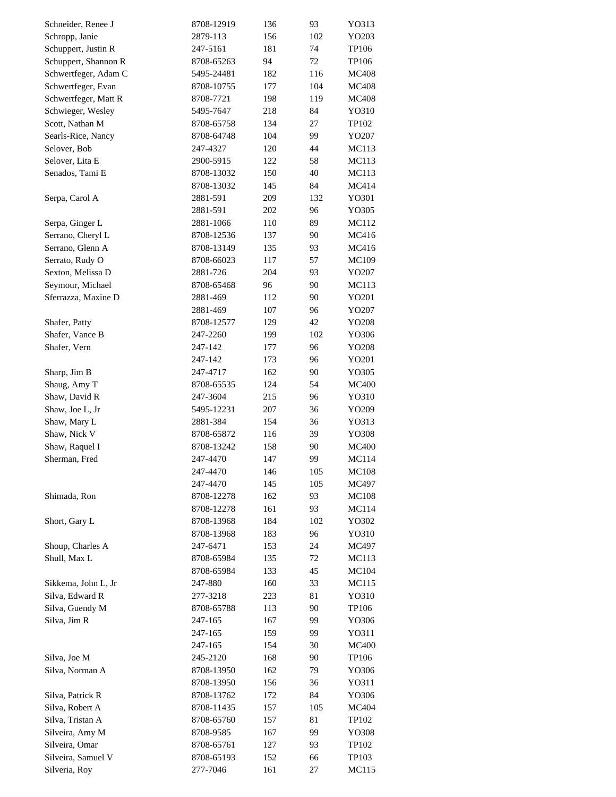| Schneider, Renee J   | 8708-12919 | 136 | 93       | YO313          |
|----------------------|------------|-----|----------|----------------|
| Schropp, Janie       | 2879-113   | 156 | 102      | YO203          |
| Schuppert, Justin R  | 247-5161   | 181 | 74       | TP106          |
| Schuppert, Shannon R | 8708-65263 | 94  | 72       | TP106          |
| Schwertfeger, Adam C | 5495-24481 | 182 | 116      | <b>MC408</b>   |
| Schwertfeger, Evan   | 8708-10755 | 177 | 104      | <b>MC408</b>   |
| Schwertfeger, Matt R | 8708-7721  | 198 | 119      | <b>MC408</b>   |
| Schwieger, Wesley    | 5495-7647  | 218 | 84       | YO310          |
| Scott, Nathan M      | 8708-65758 | 134 | 27       | TP102          |
| Searls-Rice, Nancy   | 8708-64748 | 104 | 99       | YO207          |
| Selover, Bob         | 247-4327   | 120 | 44       | <b>MC113</b>   |
| Selover, Lita E      | 2900-5915  | 122 | 58       | MC113          |
| Senados, Tami E      | 8708-13032 | 150 | 40       | MC113          |
|                      | 8708-13032 | 145 | 84       | MC414          |
| Serpa, Carol A       | 2881-591   | 209 | 132      | YO301          |
|                      | 2881-591   | 202 | 96       | YO305          |
| Serpa, Ginger L      | 2881-1066  | 110 | 89       | MC112          |
| Serrano, Cheryl L    | 8708-12536 | 137 | 90       | MC416          |
| Serrano, Glenn A     | 8708-13149 | 135 | 93       | MC416          |
| Serrato, Rudy O      | 8708-66023 | 117 | 57       | MC109          |
| Sexton, Melissa D    | 2881-726   | 204 | 93       | YO207          |
| Seymour, Michael     | 8708-65468 | 96  | 90       | MC113          |
| Sferrazza, Maxine D  | 2881-469   | 112 | 90       | YO201          |
|                      | 2881-469   | 107 | 96       | YO207          |
| Shafer, Patty        | 8708-12577 | 129 | 42       | YO208          |
| Shafer, Vance B      | 247-2260   | 199 | 102      | YO306          |
| Shafer, Vern         | 247-142    | 177 | 96       | YO208          |
|                      | 247-142    | 173 | 96       | YO201          |
|                      | 247-4717   | 162 | 90       | YO305          |
| Sharp, Jim B         |            |     | 54       |                |
| Shaug, Amy T         | 8708-65535 | 124 |          | <b>MC400</b>   |
| Shaw, David R        | 247-3604   | 215 | 96<br>36 | YO310<br>YO209 |
| Shaw, Joe L, Jr      | 5495-12231 | 207 |          |                |
| Shaw, Mary L         | 2881-384   | 154 | 36       | YO313          |
| Shaw, Nick V         | 8708-65872 | 116 | 39       | YO308          |
| Shaw, Raquel I       | 8708-13242 | 158 | 90       | <b>MC400</b>   |
| Sherman, Fred        | 247-4470   | 147 | 99       | MC114          |
|                      | 247-4470   | 146 | 105      | <b>MC108</b>   |
|                      | 247-4470   | 145 | 105      | MC497          |
| Shimada, Ron         | 8708-12278 | 162 | 93       | <b>MC108</b>   |
|                      | 8708-12278 | 161 | 93       | MC114          |
| Short, Gary L        | 8708-13968 | 184 | 102      | YO302          |
|                      | 8708-13968 | 183 | 96       | YO310          |
| Shoup, Charles A     | 247-6471   | 153 | 24       | MC497          |
| Shull, Max L         | 8708-65984 | 135 | 72       | MC113          |
|                      | 8708-65984 | 133 | 45       | MC104          |
| Sikkema, John L, Jr  | 247-880    | 160 | 33       | MC115          |
| Silva. Edward R      | 277-3218   | 223 | 81       | YO310          |
| Silva, Guendy M      | 8708-65788 | 113 | 90       | TP106          |
| Silva, Jim R         | 247-165    | 167 | 99       | YO306          |
|                      | 247-165    | 159 | 99       | YO311          |
|                      | 247-165    | 154 | 30       | <b>MC400</b>   |
| Silva, Joe M         | 245-2120   | 168 | 90       | TP106          |
| Silva, Norman A      | 8708-13950 | 162 | 79       | YO306          |
|                      | 8708-13950 | 156 | 36       | YO311          |
| Silva, Patrick R     | 8708-13762 | 172 | 84       | YO306          |
| Silva, Robert A      | 8708-11435 | 157 | 105      | MC404          |
| Silva, Tristan A     | 8708-65760 | 157 | 81       | TP102          |
| Silveira, Amy M      | 8708-9585  | 167 | 99       | YO308          |
| Silveira, Omar       | 8708-65761 | 127 | 93       | TP102          |
| Silveira, Samuel V   | 8708-65193 | 152 | 66       | TP103          |
| Silveria, Roy        | 277-7046   | 161 | 27       | MC115          |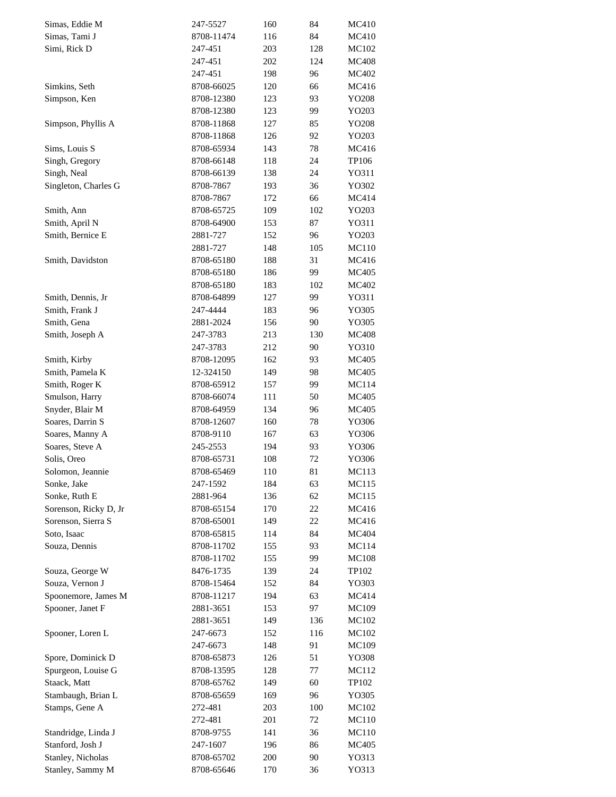| Simas, Eddie M        | 247-5527   | 160 | 84  | MC410        |
|-----------------------|------------|-----|-----|--------------|
| Simas, Tami J         | 8708-11474 | 116 | 84  | MC410        |
| Simi, Rick D          | 247-451    | 203 | 128 | MC102        |
|                       | 247-451    | 202 | 124 | <b>MC408</b> |
|                       | 247-451    | 198 | 96  | MC402        |
| Simkins, Seth         | 8708-66025 | 120 | 66  | MC416        |
| Simpson, Ken          | 8708-12380 | 123 | 93  | YO208        |
|                       | 8708-12380 | 123 | 99  | YO203        |
| Simpson, Phyllis A    | 8708-11868 | 127 | 85  | YO208        |
|                       | 8708-11868 | 126 | 92  | YO203        |
| Sims, Louis S         | 8708-65934 | 143 | 78  | MC416        |
| Singh, Gregory        | 8708-66148 | 118 | 24  | TP106        |
| Singh, Neal           | 8708-66139 | 138 | 24  | YO311        |
| Singleton, Charles G  | 8708-7867  | 193 | 36  | YO302        |
|                       | 8708-7867  | 172 | 66  | MC414        |
| Smith, Ann            | 8708-65725 | 109 | 102 | YO203        |
| Smith, April N        | 8708-64900 | 153 | 87  | Y0311        |
| Smith, Bernice E      | 2881-727   | 152 | 96  | YO203        |
|                       |            | 148 | 105 | MC110        |
|                       | 2881-727   |     | 31  | MC416        |
| Smith, Davidston      | 8708-65180 | 188 |     |              |
|                       | 8708-65180 | 186 | 99  | MC405        |
|                       | 8708-65180 | 183 | 102 | MC402        |
| Smith, Dennis, Jr     | 8708-64899 | 127 | 99  | YO311        |
| Smith, Frank J        | 247-4444   | 183 | 96  | YO305        |
| Smith, Gena           | 2881-2024  | 156 | 90  | YO305        |
| Smith, Joseph A       | 247-3783   | 213 | 130 | <b>MC408</b> |
|                       | 247-3783   | 212 | 90  | YO310        |
| Smith, Kirby          | 8708-12095 | 162 | 93  | MC405        |
| Smith, Pamela K       | 12-324150  | 149 | 98  | MC405        |
| Smith, Roger K        | 8708-65912 | 157 | 99  | MC114        |
| Smulson, Harry        | 8708-66074 | 111 | 50  | MC405        |
| Snyder, Blair M       | 8708-64959 | 134 | 96  | MC405        |
| Soares, Darrin S      | 8708-12607 | 160 | 78  | YO306        |
| Soares, Manny A       | 8708-9110  | 167 | 63  | YO306        |
| Soares, Steve A       | 245-2553   | 194 | 93  | YO306        |
| Solis, Oreo           | 8708-65731 | 108 | 72  | YO306        |
| Solomon, Jeannie      | 8708-65469 | 110 | 81  | MC113        |
| Sonke, Jake           | 247-1592   | 184 | 63  | MC115        |
| Sonke, Ruth E         | 2881-964   | 136 | 62  | MC115        |
| Sorenson, Ricky D, Jr | 8708-65154 | 170 | 22  | MC416        |
| Sorenson, Sierra S    | 8708-65001 | 149 | 22  | MC416        |
| Soto, Isaac           | 8708-65815 | 114 | 84  | MC404        |
| Souza, Dennis         | 8708-11702 | 155 | 93  | MC114        |
|                       | 8708-11702 | 155 | 99  | MC108        |
| Souza, George W       | 8476-1735  | 139 | 24  | TP102        |
| Souza, Vernon J       | 8708-15464 | 152 | 84  | YO303        |
| Spoonemore, James M   | 8708-11217 | 194 | 63  | MC414        |
| Spooner, Janet F      | 2881-3651  | 153 | 97  | MC109        |
|                       | 2881-3651  | 149 | 136 | MC102        |
| Spooner, Loren L      | 247-6673   | 152 | 116 | MC102        |
|                       | 247-6673   | 148 | 91  | MC109        |
| Spore, Dominick D     | 8708-65873 | 126 | 51  | YO308        |
| Spurgeon, Louise G    | 8708-13595 | 128 | 77  | MC112        |
| Staack, Matt          | 8708-65762 | 149 | 60  | TP102        |
| Stambaugh, Brian L    | 8708-65659 | 169 | 96  | YO305        |
|                       |            |     |     |              |
| Stamps, Gene A        | 272-481    | 203 | 100 | MC102        |
|                       | 272-481    | 201 | 72  | MC110        |
| Standridge, Linda J   | 8708-9755  | 141 | 36  | MC110        |
| Stanford, Josh J      | 247-1607   | 196 | 86  | MC405        |
| Stanley, Nicholas     | 8708-65702 | 200 | 90  | YO313        |
| Stanley, Sammy M      | 8708-65646 | 170 | 36  | YO313        |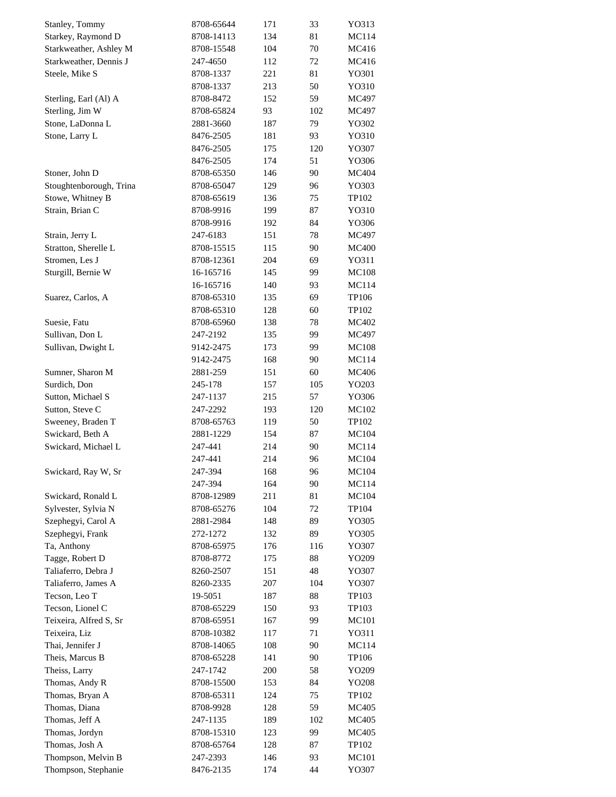| Stanley, Tommy          | 8708-65644 | 171 | 33  | YO313        |
|-------------------------|------------|-----|-----|--------------|
| Starkey, Raymond D      | 8708-14113 | 134 | 81  | MC114        |
| Starkweather, Ashley M  | 8708-15548 | 104 | 70  | MC416        |
| Starkweather, Dennis J  | 247-4650   | 112 | 72  | MC416        |
| Steele, Mike S          | 8708-1337  | 221 | 81  | YO301        |
|                         | 8708-1337  | 213 | 50  | YO310        |
| Sterling, Earl (Al) A   | 8708-8472  | 152 | 59  | MC497        |
| Sterling, Jim W         | 8708-65824 | 93  | 102 | MC497        |
| Stone, LaDonna L        | 2881-3660  | 187 | 79  | YO302        |
| Stone, Larry L          | 8476-2505  | 181 | 93  | YO310        |
|                         | 8476-2505  | 175 | 120 | YO307        |
|                         | 8476-2505  | 174 | 51  | YO306        |
| Stoner, John D          | 8708-65350 | 146 | 90  | MC404        |
| Stoughtenborough, Trina | 8708-65047 | 129 | 96  | YO303        |
| Stowe, Whitney B        | 8708-65619 | 136 | 75  | TP102        |
| Strain, Brian C         | 8708-9916  | 199 | 87  | YO310        |
|                         | 8708-9916  | 192 | 84  | YO306        |
| Strain, Jerry L         | 247-6183   | 151 | 78  | MC497        |
| Stratton, Sherelle L    | 8708-15515 | 115 | 90  | <b>MC400</b> |
| Stromen, Les J          | 8708-12361 | 204 | 69  | YO311        |
| Sturgill, Bernie W      |            |     | 99  |              |
|                         | 16-165716  | 145 |     | <b>MC108</b> |
|                         | 16-165716  | 140 | 93  | MC114        |
| Suarez, Carlos, A       | 8708-65310 | 135 | 69  | TP106        |
|                         | 8708-65310 | 128 | 60  | TP102        |
| Suesie, Fatu            | 8708-65960 | 138 | 78  | MC402        |
| Sullivan, Don L         | 247-2192   | 135 | 99  | MC497        |
| Sullivan, Dwight L      | 9142-2475  | 173 | 99  | <b>MC108</b> |
|                         | 9142-2475  | 168 | 90  | MC114        |
| Sumner, Sharon M        | 2881-259   | 151 | 60  | MC406        |
| Surdich, Don            | 245-178    | 157 | 105 | YO203        |
| Sutton, Michael S       | 247-1137   | 215 | 57  | YO306        |
| Sutton, Steve C         | 247-2292   | 193 | 120 | MC102        |
| Sweeney, Braden T       | 8708-65763 | 119 | 50  | TP102        |
| Swickard, Beth A        | 2881-1229  | 154 | 87  | MC104        |
| Swickard, Michael L     | 247-441    | 214 | 90  | MC114        |
|                         | 247-441    | 214 | 96  | MC104        |
| Swickard, Ray W, Sr     | 247-394    | 168 | 96  | MC104        |
|                         | 247-394    | 164 | 90  | MC114        |
| Swickard, Ronald L      | 8708-12989 | 211 | 81  | MC104        |
| Sylvester, Sylvia N     | 8708-65276 | 104 | 72  | TP104        |
| Szephegyi, Carol A      | 2881-2984  | 148 | 89  | YO305        |
| Szephegyi, Frank        | 272-1272   | 132 | 89  | YO305        |
| Ta, Anthony             | 8708-65975 | 176 | 116 | YO307        |
| Tagge, Robert D         | 8708-8772  | 175 | 88  | YO209        |
| Taliaferro, Debra J     | 8260-2507  | 151 | 48  | YO307        |
| Taliaferro, James A     | 8260-2335  | 207 | 104 | YO307        |
| Tecson, Leo T           | 19-5051    | 187 | 88  | TP103        |
| Tecson, Lionel C        | 8708-65229 | 150 | 93  | TP103        |
| Teixeira, Alfred S, Sr  | 8708-65951 | 167 | 99  | MC101        |
| Teixeira, Liz           | 8708-10382 | 117 | 71  | YO311        |
| Thai, Jennifer J        | 8708-14065 | 108 | 90  | MC114        |
| Theis, Marcus B         | 8708-65228 | 141 | 90  | TP106        |
| Theiss, Larry           | 247-1742   | 200 | 58  | YO209        |
| Thomas, Andy R          | 8708-15500 | 153 | 84  | YO208        |
| Thomas, Bryan A         | 8708-65311 | 124 | 75  | TP102        |
| Thomas, Diana           | 8708-9928  | 128 | 59  | MC405        |
| Thomas, Jeff A          | 247-1135   | 189 | 102 | MC405        |
| Thomas, Jordyn          | 8708-15310 | 123 | 99  | MC405        |
| Thomas, Josh A          | 8708-65764 | 128 | 87  | TP102        |
| Thompson, Melvin B      | 247-2393   | 146 | 93  | MC101        |
| Thompson, Stephanie     | 8476-2135  | 174 | 44  | YO307        |
|                         |            |     |     |              |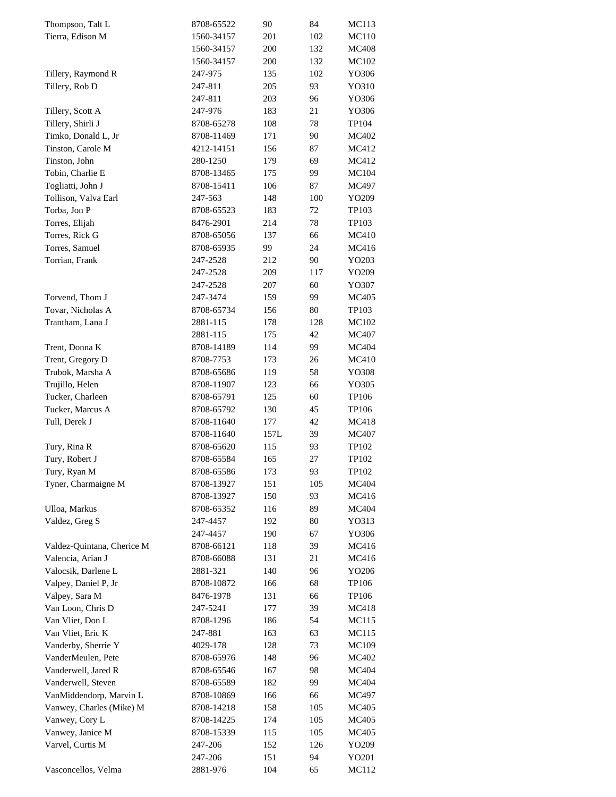| Thompson, Talt L           | 8708-65522 | 90   | 84  | MC113        |
|----------------------------|------------|------|-----|--------------|
| Tierra, Edison M           | 1560-34157 | 201  | 102 | MC110        |
|                            | 1560-34157 | 200  | 132 | <b>MC408</b> |
|                            | 1560-34157 | 200  | 132 | MC102        |
| Tillery, Raymond R         | 247-975    | 135  | 102 | YO306        |
| Tillery, Rob D             | 247-811    | 205  | 93  | YO310        |
|                            | 247-811    | 203  | 96  | YO306        |
| Tillery, Scott A           | 247-976    | 183  | 21  | YO306        |
| Tillery, Shirli J          | 8708-65278 | 108  | 78  | TP104        |
| Timko, Donald L, Jr        | 8708-11469 | 171  | 90  | MC402        |
| Tinston, Carole M          | 4212-14151 | 156  | 87  | MC412        |
| Tinston, John              | 280-1250   | 179  | 69  | MC412        |
| Tobin, Charlie E           | 8708-13465 | 175  | 99  | <b>MC104</b> |
| Togliatti, John J          | 8708-15411 | 106  | 87  | MC497        |
| Tollison, Valva Earl       | 247-563    | 148  | 100 | YO209        |
| Torba, Jon P               | 8708-65523 | 183  | 72  | TP103        |
| Torres, Elijah             | 8476-2901  | 214  | 78  | TP103        |
| Torres, Rick G             | 8708-65056 | 137  | 66  | <b>MC410</b> |
| Torres, Samuel             | 8708-65935 | 99   | 24  | MC416        |
| Torrian, Frank             | 247-2528   | 212  | 90  | YO203        |
|                            | 247-2528   | 209  | 117 | YO209        |
|                            | 247-2528   | 207  | 60  | YO307        |
| Torvend, Thom J            | 247-3474   | 159  | 99  | MC405        |
| Tovar, Nicholas A          | 8708-65734 | 156  | 80  | TP103        |
| Trantham, Lana J           | 2881-115   | 178  | 128 | MC102        |
|                            |            |      | 42  |              |
|                            | 2881-115   | 175  |     | MC407        |
| Trent, Donna K             | 8708-14189 | 114  | 99  | <b>MC404</b> |
| Trent, Gregory D           | 8708-7753  | 173  | 26  | MC410        |
| Trubok, Marsha A           | 8708-65686 | 119  | 58  | YO308        |
| Trujillo, Helen            | 8708-11907 | 123  | 66  | YO305        |
| Tucker, Charleen           | 8708-65791 | 125  | 60  | TP106        |
| Tucker, Marcus A           | 8708-65792 | 130  | 45  | TP106        |
| Tull, Derek J              | 8708-11640 | 177  | 42  | MC418        |
|                            | 8708-11640 | 157L | 39  | MC407        |
| Tury, Rina R               | 8708-65620 | 115  | 93  | TP102        |
| Tury, Robert J             | 8708-65584 | 165  | 27  | TP102        |
| Tury, Ryan M               | 8708-65586 | 173  | 93  | TP102        |
| Tyner, Charmaigne M        | 8708-13927 | 151  | 105 | MC404        |
|                            | 8708-13927 | 150  | 93  | MC416        |
| Ulloa, Markus              | 8708-65352 | 116  | 89  | <b>MC404</b> |
| Valdez, Greg S             | 247-4457   | 192  | 80  | YO313        |
|                            | 247-4457   | 190  | 67  | YO306        |
| Valdez-Quintana, Cherice M | 8708-66121 | 118  | 39  | MC416        |
| Valencia, Arian J          | 8708-66088 | 131  | 21  | MC416        |
| Valocsik, Darlene L        | 2881-321   | 140  | 96  | YO206        |
| Valpey, Daniel P, Jr       | 8708-10872 | 166  | 68  | TP106        |
| Valpey, Sara M             | 8476-1978  | 131  | 66  | TP106        |
| Van Loon, Chris D          | 247-5241   | 177  | 39  | MC418        |
| Van Vliet, Don L           | 8708-1296  | 186  | 54  | MC115        |
| Van Vliet, Eric K          | 247-881    | 163  | 63  | MC115        |
| Vanderby, Sherrie Y        | 4029-178   | 128  | 73  | MC109        |
| VanderMeulen, Pete         | 8708-65976 | 148  | 96  | MC402        |
| Vanderwell, Jared R        | 8708-65546 | 167  | 98  | MC404        |
| Vanderwell, Steven         | 8708-65589 | 182  | 99  | MC404        |
| VanMiddendorp, Marvin L    | 8708-10869 | 166  | 66  | MC497        |
| Vanwey, Charles (Mike) M   | 8708-14218 | 158  | 105 | MC405        |
| Vanwey, Cory L             | 8708-14225 | 174  | 105 | MC405        |
| Vanwey, Janice M           | 8708-15339 | 115  | 105 | MC405        |
| Varvel, Curtis M           | 247-206    | 152  | 126 | YO209        |
|                            | 247-206    | 151  | 94  | YO201        |
| Vasconcellos, Velma        | 2881-976   | 104  | 65  | MC112        |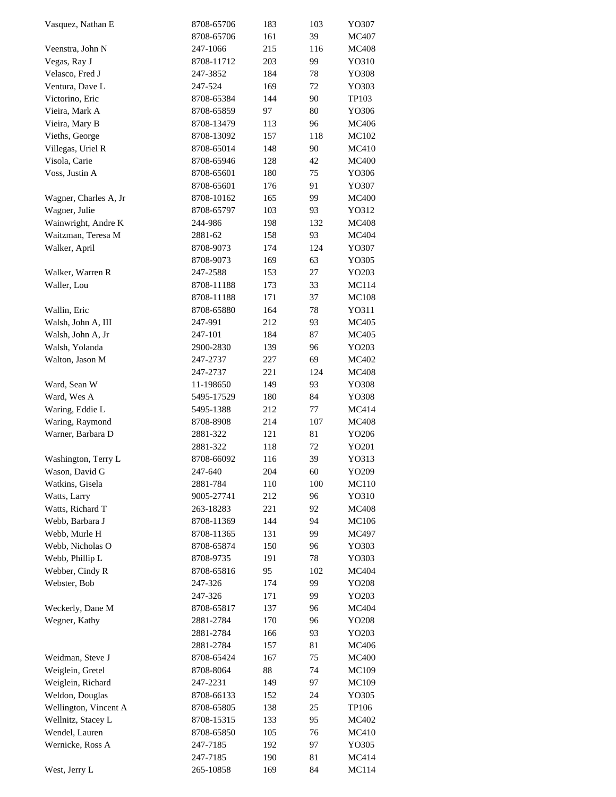| Vasquez, Nathan E     | 8708-65706 | 183 | 103 | YO307        |
|-----------------------|------------|-----|-----|--------------|
|                       | 8708-65706 | 161 | 39  | MC407        |
| Veenstra, John N      | 247-1066   | 215 | 116 | <b>MC408</b> |
| Vegas, Ray J          | 8708-11712 | 203 | 99  | YO310        |
| Velasco, Fred J       | 247-3852   | 184 | 78  | YO308        |
| Ventura, Dave L       | 247-524    | 169 | 72  | YO303        |
| Victorino, Eric       | 8708-65384 | 144 | 90  | TP103        |
| Vieira, Mark A        | 8708-65859 | 97  | 80  | YO306        |
| Vieira, Mary B        | 8708-13479 | 113 | 96  | MC406        |
| Vieths, George        | 8708-13092 | 157 | 118 | MC102        |
| Villegas, Uriel R     | 8708-65014 | 148 | 90  | <b>MC410</b> |
| Visola, Carie         | 8708-65946 | 128 | 42  | <b>MC400</b> |
| Voss, Justin A        | 8708-65601 | 180 | 75  | YO306        |
|                       | 8708-65601 | 176 | 91  | YO307        |
| Wagner, Charles A, Jr | 8708-10162 | 165 | 99  | <b>MC400</b> |
| Wagner, Julie         | 8708-65797 | 103 | 93  | YO312        |
|                       |            |     |     |              |
| Wainwright, Andre K   | 244-986    | 198 | 132 | <b>MC408</b> |
| Waitzman, Teresa M    | 2881-62    | 158 | 93  | <b>MC404</b> |
| Walker, April         | 8708-9073  | 174 | 124 | YO307        |
|                       | 8708-9073  | 169 | 63  | YO305        |
| Walker, Warren R      | 247-2588   | 153 | 27  | YO203        |
| Waller, Lou           | 8708-11188 | 173 | 33  | MC114        |
|                       | 8708-11188 | 171 | 37  | <b>MC108</b> |
| Wallin, Eric          | 8708-65880 | 164 | 78  | YO311        |
| Walsh, John A, III    | 247-991    | 212 | 93  | MC405        |
| Walsh, John A, Jr     | 247-101    | 184 | 87  | MC405        |
| Walsh, Yolanda        | 2900-2830  | 139 | 96  | YO203        |
| Walton, Jason M       | 247-2737   | 227 | 69  | MC402        |
|                       | 247-2737   | 221 | 124 | <b>MC408</b> |
| Ward, Sean W          | 11-198650  | 149 | 93  | YO308        |
| Ward, Wes A           | 5495-17529 | 180 | 84  | YO308        |
| Waring, Eddie L       | 5495-1388  | 212 | 77  | MC414        |
| Waring, Raymond       | 8708-8908  | 214 | 107 | <b>MC408</b> |
| Warner, Barbara D     | 2881-322   | 121 | 81  | YO206        |
|                       | 2881-322   | 118 | 72  | YO201        |
| Washington, Terry L   | 8708-66092 | 116 | 39  | YO313        |
| Wason, David G        | 247-640    | 204 | 60  | YO209        |
| Watkins, Gisela       | 2881-784   | 110 | 100 | MC110        |
| Watts, Larry          | 9005-27741 | 212 | 96  | YO310        |
| Watts, Richard T      | 263-18283  | 221 | 92  | <b>MC408</b> |
| Webb, Barbara J       | 8708-11369 | 144 | 94  | MC106        |
| Webb, Murle H         | 8708-11365 | 131 | 99  | MC497        |
| Webb, Nicholas O      | 8708-65874 | 150 | 96  | YO303        |
| Webb, Phillip L       | 8708-9735  | 191 | 78  |              |
|                       |            |     |     | YO303        |
| Webber, Cindy R       | 8708-65816 | 95  | 102 | MC404        |
| Webster, Bob          | 247-326    | 174 | 99  | YO208        |
|                       | 247-326    | 171 | 99  | YO203        |
| Weckerly, Dane M      | 8708-65817 | 137 | 96  | MC404        |
| Wegner, Kathy         | 2881-2784  | 170 | 96  | YO208        |
|                       | 2881-2784  | 166 | 93  | YO203        |
|                       | 2881-2784  | 157 | 81  | MC406        |
| Weidman, Steve J      | 8708-65424 | 167 | 75  | <b>MC400</b> |
| Weiglein, Gretel      | 8708-8064  | 88  | 74  | MC109        |
| Weiglein, Richard     | 247-2231   | 149 | 97  | MC109        |
| Weldon, Douglas       | 8708-66133 | 152 | 24  | YO305        |
| Wellington, Vincent A | 8708-65805 | 138 | 25  | TP106        |
| Wellnitz, Stacey L    | 8708-15315 | 133 | 95  | MC402        |
| Wendel, Lauren        | 8708-65850 | 105 | 76  | MC410        |
| Wernicke, Ross A      | 247-7185   | 192 | 97  | YO305        |
|                       | 247-7185   | 190 | 81  | MC414        |
| West, Jerry L         | 265-10858  | 169 | 84  | MC114        |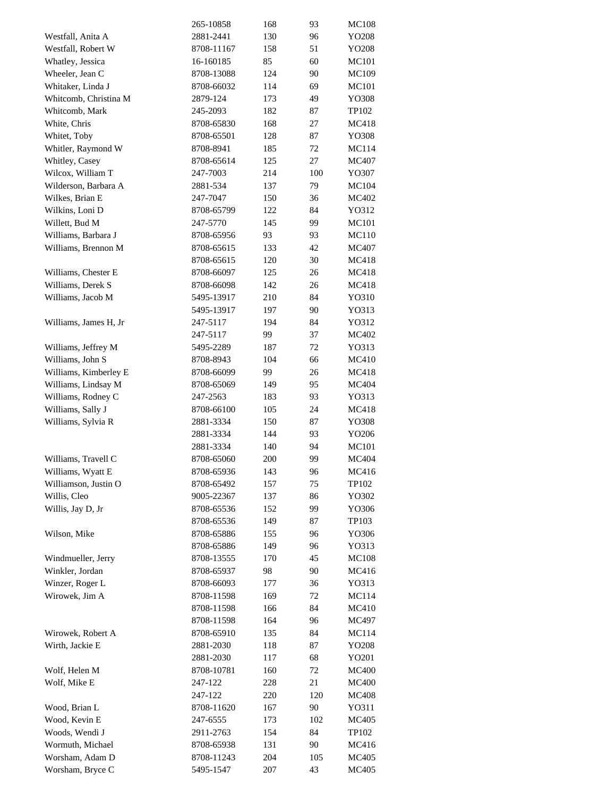|                                           | 265-10858                | 168        | 93  | <b>MC108</b>   |
|-------------------------------------------|--------------------------|------------|-----|----------------|
| Westfall, Anita A                         | 2881-2441                | 130        | 96  | YO208          |
| Westfall, Robert W                        | 8708-11167               | 158        | 51  | YO208          |
| Whatley, Jessica                          | 16-160185                | 85         | 60  | MC101          |
| Wheeler, Jean C                           | 8708-13088               | 124        | 90  | MC109          |
| Whitaker, Linda J                         | 8708-66032               | 114        | 69  | <b>MC101</b>   |
| Whitcomb, Christina M                     | 2879-124                 | 173        | 49  | YO308          |
| Whitcomb, Mark                            | 245-2093                 | 182        | 87  | TP102          |
| White, Chris                              | 8708-65830               | 168        | 27  | MC418          |
| Whitet, Toby                              | 8708-65501               | 128        | 87  | YO308          |
| Whitler, Raymond W                        | 8708-8941                | 185        | 72  | MC114          |
| Whitley, Casey                            | 8708-65614               | 125        | 27  | MC407          |
| Wilcox, William T                         | 247-7003                 | 214        | 100 | YO307          |
| Wilderson, Barbara A                      | 2881-534                 | 137        | 79  | MC104          |
| Wilkes, Brian E                           | 247-7047                 | 150        | 36  | MC402          |
| Wilkins, Loni D                           | 8708-65799               | 122        | 84  | YO312          |
| Willett, Bud M                            | 247-5770                 | 145        | 99  | MC101          |
| Williams, Barbara J                       | 8708-65956               | 93         | 93  | MC110          |
| Williams, Brennon M                       | 8708-65615               | 133        | 42  | MC407          |
|                                           | 8708-65615               | 120        | 30  | MC418          |
| Williams, Chester E                       | 8708-66097               | 125        | 26  | MC418          |
| Williams, Derek S                         | 8708-66098               | 142        | 26  | MC418          |
| Williams, Jacob M                         | 5495-13917               | 210        | 84  | YO310          |
|                                           | 5495-13917               | 197        | 90  | YO313          |
| Williams, James H, Jr                     | 247-5117                 | 194        | 84  | YO312          |
|                                           | 247-5117                 | 99         | 37  | MC402          |
| Williams, Jeffrey M                       | 5495-2289                | 187        | 72  | YO313          |
| Williams, John S                          | 8708-8943                | 104        | 66  | MC410          |
| Williams, Kimberley E                     | 8708-66099               | 99         | 26  | MC418          |
| Williams, Lindsay M                       | 8708-65069               | 149        | 95  | MC404          |
| Williams, Rodney C                        | 247-2563                 | 183        | 93  | YO313          |
| Williams, Sally J                         | 8708-66100               | 105        | 24  | MC418          |
| Williams, Sylvia R                        | 2881-3334                | 150        | 87  | YO308          |
|                                           | 2881-3334                | 144        | 93  | YO206          |
|                                           | 2881-3334                | 140        | 94  | <b>MC101</b>   |
| Williams, Travell C                       | 8708-65060               | 200        | 99  | MC404          |
|                                           | 8708-65936               |            | 96  |                |
| Williams, Wyatt E<br>Williamson, Justin O | 8708-65492               | 143<br>157 | 75  | MC416<br>TP102 |
| Willis, Cleo                              | 9005-22367               | 137        | 86  | YO302          |
| Willis, Jay D, Jr                         | 8708-65536               |            | 99  |                |
|                                           |                          | 152<br>149 | 87  | YO306          |
|                                           | 8708-65536               |            |     | TP103          |
| Wilson, Mike                              | 8708-65886<br>8708-65886 | 155        | 96  | YO306          |
| Windmueller, Jerry                        |                          | 149        | 96  | YO313          |
| Winkler, Jordan                           | 8708-13555               | 170        | 45  | MC108          |
|                                           | 8708-65937               | 98         | 90  | MC416          |
| Winzer, Roger L                           | 8708-66093               | 177        | 36  | YO313          |
| Wirowek, Jim A                            | 8708-11598               | 169        | 72  | MC114          |
|                                           | 8708-11598               | 166        | 84  | MC410          |
|                                           | 8708-11598               | 164        | 96  | MC497          |
| Wirowek, Robert A                         | 8708-65910               | 135        | 84  | MC114          |
| Wirth, Jackie E                           | 2881-2030                | 118        | 87  | YO208          |
|                                           | 2881-2030                | 117        | 68  | YO201          |
| Wolf, Helen M                             | 8708-10781               | 160        | 72  | <b>MC400</b>   |
| Wolf, Mike E                              | 247-122                  | 228        | 21  | <b>MC400</b>   |
|                                           | 247-122                  | 220        | 120 | <b>MC408</b>   |
| Wood, Brian L                             | 8708-11620               | 167        | 90  | YO311          |
| Wood, Kevin E                             | 247-6555                 | 173        | 102 | MC405          |
| Woods, Wendi J                            | 2911-2763                | 154        | 84  | TP102          |
| Wormuth, Michael                          | 8708-65938               | 131        | 90  | MC416          |
| Worsham, Adam D                           | 8708-11243               | 204        | 105 | MC405          |
| Worsham, Bryce C                          | 5495-1547                | 207        | 43  | MC405          |